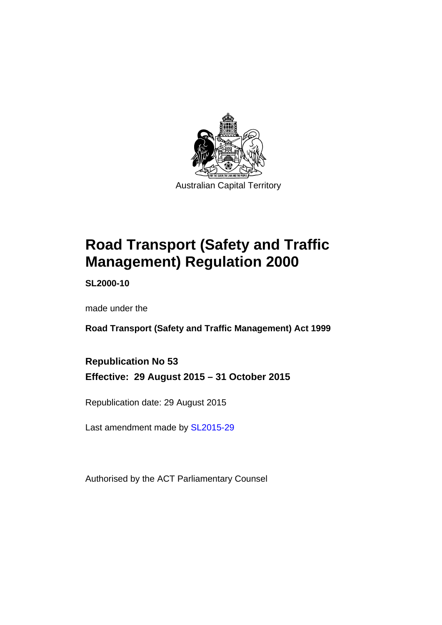

# **Road Transport (Safety and Traffic Management) Regulation 2000**

**SL2000-10** 

made under the

**Road Transport (Safety and Traffic Management) Act 1999** 

**Republication No 53 Effective: 29 August 2015 – 31 October 2015** 

Republication date: 29 August 2015

Last amendment made by [SL2015-29](http://www.legislation.act.gov.au/sl/2015-29)

Authorised by the ACT Parliamentary Counsel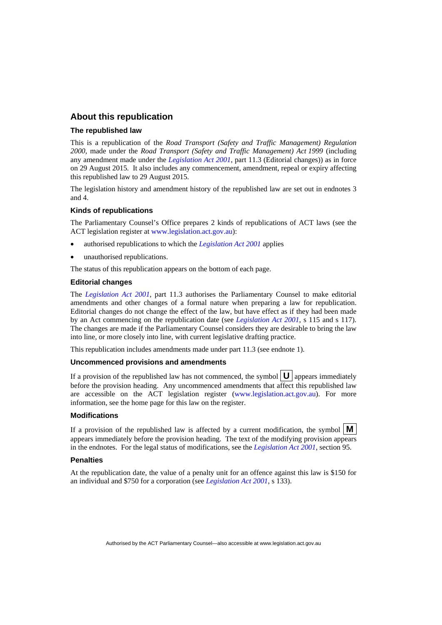### **About this republication**

#### **The republished law**

This is a republication of the *Road Transport (Safety and Traffic Management) Regulation 2000*, made under the *Road Transport (Safety and Traffic Management) Act 1999* (including any amendment made under the *[Legislation Act 2001](http://www.legislation.act.gov.au/a/2001-14)*, part 11.3 (Editorial changes)) as in force on 29 August 2015*.* It also includes any commencement, amendment, repeal or expiry affecting this republished law to 29 August 2015.

The legislation history and amendment history of the republished law are set out in endnotes 3 and 4.

#### **Kinds of republications**

The Parliamentary Counsel's Office prepares 2 kinds of republications of ACT laws (see the ACT legislation register at [www.legislation.act.gov.au](http://www.legislation.act.gov.au/)):

- authorised republications to which the *[Legislation Act 2001](http://www.legislation.act.gov.au/a/2001-14)* applies
- unauthorised republications.

The status of this republication appears on the bottom of each page.

#### **Editorial changes**

The *[Legislation Act 2001](http://www.legislation.act.gov.au/a/2001-14)*, part 11.3 authorises the Parliamentary Counsel to make editorial amendments and other changes of a formal nature when preparing a law for republication. Editorial changes do not change the effect of the law, but have effect as if they had been made by an Act commencing on the republication date (see *[Legislation Act 2001](http://www.legislation.act.gov.au/a/2001-14)*, s 115 and s 117). The changes are made if the Parliamentary Counsel considers they are desirable to bring the law into line, or more closely into line, with current legislative drafting practice.

This republication includes amendments made under part 11.3 (see endnote 1).

#### **Uncommenced provisions and amendments**

If a provision of the republished law has not commenced, the symbol  $\mathbf{U}$  appears immediately before the provision heading. Any uncommenced amendments that affect this republished law are accessible on the ACT legislation register [\(www.legislation.act.gov.au](http://www.legislation.act.gov.au/)). For more information, see the home page for this law on the register.

#### **Modifications**

If a provision of the republished law is affected by a current modification, the symbol  $\mathbf{M}$ appears immediately before the provision heading. The text of the modifying provision appears in the endnotes. For the legal status of modifications, see the *[Legislation Act 2001](http://www.legislation.act.gov.au/a/2001-14)*, section 95.

#### **Penalties**

At the republication date, the value of a penalty unit for an offence against this law is \$150 for an individual and \$750 for a corporation (see *[Legislation Act 2001](http://www.legislation.act.gov.au/a/2001-14)*, s 133).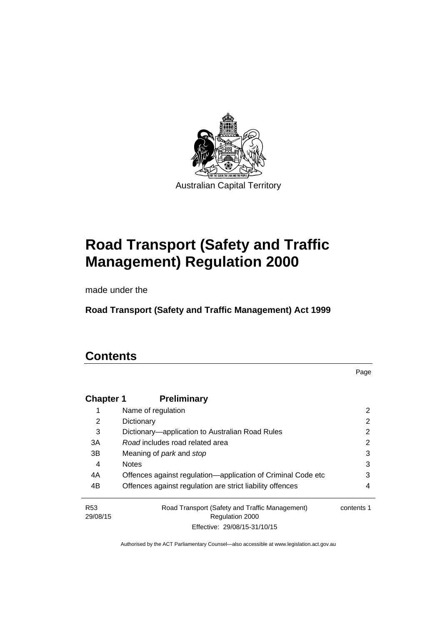

# **Road Transport (Safety and Traffic Management) Regulation 2000**

made under the

**Road Transport (Safety and Traffic Management) Act 1999** 

## **Contents**

Page

| <b>Chapter 1</b> | <b>Preliminary</b>                                           |            |
|------------------|--------------------------------------------------------------|------------|
|                  | Name of regulation                                           | 2          |
| 2                | Dictionary                                                   | 2          |
| 3                | Dictionary—application to Australian Road Rules              | 2          |
| 3A               | Road includes road related area                              | 2          |
| 3B               | Meaning of <i>park</i> and <i>stop</i>                       | 3          |
| 4                | <b>Notes</b>                                                 | 3          |
| 4A               | Offences against regulation-application of Criminal Code etc | 3          |
| 4B               | Offences against regulation are strict liability offences    | 4          |
| R <sub>53</sub>  | Road Transport (Safety and Traffic Management)               | contents 1 |
| 29/08/15         | <b>Regulation 2000</b>                                       |            |
|                  | Effective: 29/08/15-31/10/15                                 |            |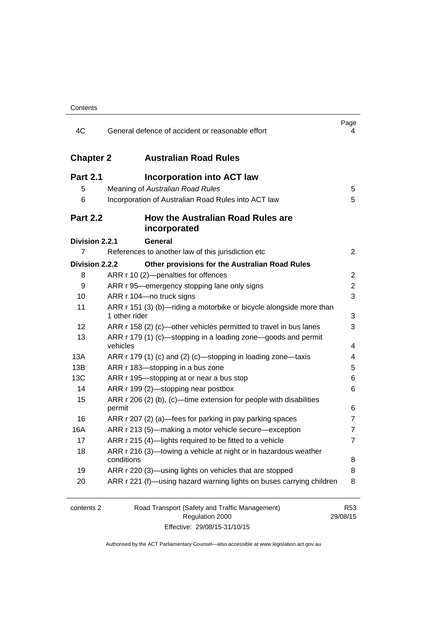| 4C               | General defence of accident or reasonable effort                                     | Page<br>4                   |
|------------------|--------------------------------------------------------------------------------------|-----------------------------|
| <b>Chapter 2</b> | <b>Australian Road Rules</b>                                                         |                             |
| <b>Part 2.1</b>  | <b>Incorporation into ACT law</b>                                                    |                             |
| 5                | Meaning of Australian Road Rules                                                     | 5                           |
| 6                | Incorporation of Australian Road Rules into ACT law                                  | 5                           |
| <b>Part 2.2</b>  | How the Australian Road Rules are<br>incorporated                                    |                             |
| Division 2.2.1   | <b>General</b>                                                                       |                             |
| $\overline{7}$   | References to another law of this jurisdiction etc                                   | $\overline{2}$              |
| Division 2.2.2   | Other provisions for the Australian Road Rules                                       |                             |
| 8                | ARR r 10 (2)-penalties for offences                                                  | 2                           |
| 9                | ARR r 95—emergency stopping lane only signs                                          | 2                           |
| 10               | ARR r 104-no truck signs                                                             | 3                           |
| 11               | ARR r 151 (3) (b)—riding a motorbike or bicycle alongside more than<br>1 other rider | 3                           |
| 12               | ARR r 158 (2) (c)—other vehicles permitted to travel in bus lanes                    | 3                           |
| 13               | ARR r 179 (1) (c)—stopping in a loading zone—goods and permit<br>vehicles            | 4                           |
| 13A              | ARR r 179 (1) (c) and (2) (c)-stopping in loading zone-taxis                         | 4                           |
| 13B              | ARR r 183-stopping in a bus zone                                                     | 5                           |
| 13C              | ARR r 195-stopping at or near a bus stop                                             | 6                           |
| 14               | ARR r 199 (2)-stopping near postbox                                                  | 6                           |
| 15               | ARR r 206 (2) (b), (c)—time extension for people with disabilities                   |                             |
|                  | permit                                                                               | 6                           |
| 16               | ARR r 207 (2) (a)—fees for parking in pay parking spaces                             | 7                           |
| 16A              | ARR r 213 (5)—making a motor vehicle secure—exception                                | 7                           |
| 17               | ARR r 215 (4)-lights required to be fitted to a vehicle                              | 7                           |
| 18               | ARR r 216 (3)-towing a vehicle at night or in hazardous weather<br>conditions        | 8                           |
| 19               | ARR r 220 (3)—using lights on vehicles that are stopped                              | 8                           |
| 20               | ARR r 221 (f)—using hazard warning lights on buses carrying children                 | 8                           |
|                  |                                                                                      |                             |
| contents 2       | Road Transport (Safety and Traffic Management)<br>Regulation 2000                    | R <sub>53</sub><br>29/08/15 |

Effective: 29/08/15-31/10/15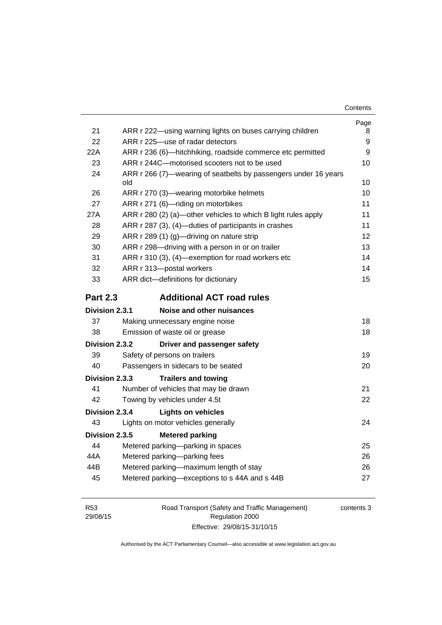|                 |                                                                        | Page |
|-----------------|------------------------------------------------------------------------|------|
| 21              | ARR r 222—using warning lights on buses carrying children              | 8    |
| 22              | ARR r 225-use of radar detectors                                       | 9    |
| 22A             | ARR r 236 (6)—hitchhiking, roadside commerce etc permitted             | 9    |
| 23              | ARR r 244C-motorised scooters not to be used                           | 10   |
| 24              | ARR r 266 (7)—wearing of seatbelts by passengers under 16 years<br>old | 10   |
| 26              | ARR r 270 (3)—wearing motorbike helmets                                | 10   |
| 27              | ARR r 271 (6)-riding on motorbikes                                     | 11   |
| 27A             | ARR r 280 (2) (a)—other vehicles to which B light rules apply          | 11   |
| 28              | ARR r 287 (3), (4)-duties of participants in crashes                   | 11   |
| 29              | ARR r 289 (1) (g)-driving on nature strip                              | 12   |
| 30              | ARR r 298-driving with a person in or on trailer                       | 13   |
| 31              | ARR r 310 (3), (4)—exemption for road workers etc                      | 14   |
| 32              | ARR r 313-postal workers                                               | 14   |
| 33              | ARR dict-definitions for dictionary                                    | 15   |
| <b>Part 2.3</b> | <b>Additional ACT road rules</b>                                       |      |
| Division 2.3.1  | Noise and other nuisances                                              |      |
| 37              | Making unnecessary engine noise                                        | 18   |
| 38              | Emission of waste oil or grease                                        | 18   |
| Division 2.3.2  | Driver and passenger safety                                            |      |
| 39              | Safety of persons on trailers                                          | 19   |
| 40              | Passengers in sidecars to be seated                                    | 20   |
| Division 2.3.3  | <b>Trailers and towing</b>                                             |      |
| 41              | Number of vehicles that may be drawn                                   | 21   |
| 42              | Towing by vehicles under 4.5t                                          | 22   |
| Division 2.3.4  | <b>Lights on vehicles</b>                                              |      |
| 43              | Lights on motor vehicles generally                                     | 24   |
| Division 2.3.5  | <b>Metered parking</b>                                                 |      |
| 44              | Metered parking-parking in spaces                                      | 25   |
| 44A             | Metered parking-parking fees                                           | 26   |
| 44B             | Metered parking-maximum length of stay                                 | 26   |
| 45              |                                                                        |      |
|                 | Metered parking-exceptions to s 44A and s 44B                          | 27   |

| R <sub>53</sub> | Road Transport (Safety and Traffic Management) | contents 3 |
|-----------------|------------------------------------------------|------------|
| 29/08/15        | Regulation 2000                                |            |
|                 | Effective: 29/08/15-31/10/15                   |            |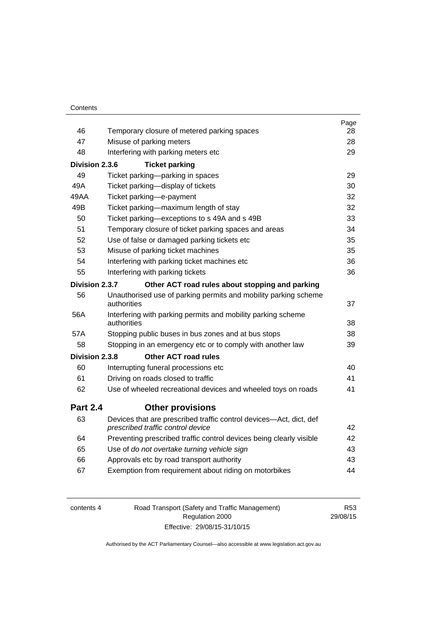| Contents |
|----------|
|----------|

|                 |                                                                                                         | Page |
|-----------------|---------------------------------------------------------------------------------------------------------|------|
| 46              | Temporary closure of metered parking spaces                                                             | 28   |
| 47              | Misuse of parking meters                                                                                | 28   |
| 48              | Interfering with parking meters etc                                                                     | 29   |
| Division 2.3.6  | <b>Ticket parking</b>                                                                                   |      |
| 49              | Ticket parking-parking in spaces                                                                        | 29   |
| 49A             | Ticket parking-display of tickets                                                                       | 30   |
| 49AA            | Ticket parking-e-payment                                                                                | 32   |
| 49B             | Ticket parking-maximum length of stay                                                                   | 32   |
| 50              | Ticket parking-exceptions to s 49A and s 49B                                                            | 33   |
| 51              | Temporary closure of ticket parking spaces and areas                                                    | 34   |
| 52              | Use of false or damaged parking tickets etc                                                             | 35   |
| 53              | Misuse of parking ticket machines                                                                       | 35   |
| 54              | Interfering with parking ticket machines etc                                                            | 36   |
| 55              | Interfering with parking tickets                                                                        | 36   |
| Division 2.3.7  | Other ACT road rules about stopping and parking                                                         |      |
| 56              | Unauthorised use of parking permits and mobility parking scheme                                         |      |
|                 | authorities                                                                                             | 37   |
| 56A             | Interfering with parking permits and mobility parking scheme<br>authorities                             | 38   |
| 57A             | Stopping public buses in bus zones and at bus stops                                                     | 38   |
| 58              | Stopping in an emergency etc or to comply with another law                                              | 39   |
| Division 2.3.8  | <b>Other ACT road rules</b>                                                                             |      |
| 60              | Interrupting funeral processions etc                                                                    | 40   |
| 61              | Driving on roads closed to traffic                                                                      | 41   |
| 62              | Use of wheeled recreational devices and wheeled toys on roads                                           | 41   |
| <b>Part 2.4</b> | <b>Other provisions</b>                                                                                 |      |
| 63              | Devices that are prescribed traffic control devices-Act, dict, def<br>prescribed traffic control device | 42   |
| 64              | Preventing prescribed traffic control devices being clearly visible                                     | 42   |
| 65              | Use of do not overtake turning vehicle sign                                                             | 43   |
| 66              | Approvals etc by road transport authority                                                               | 43   |
| 67              | Exemption from requirement about riding on motorbikes                                                   | 44   |
|                 |                                                                                                         |      |

| contents 4 | Road Transport (Safety and Traffic Management) | R53      |
|------------|------------------------------------------------|----------|
|            | Regulation 2000                                | 29/08/15 |
|            | Effective: 29/08/15-31/10/15                   |          |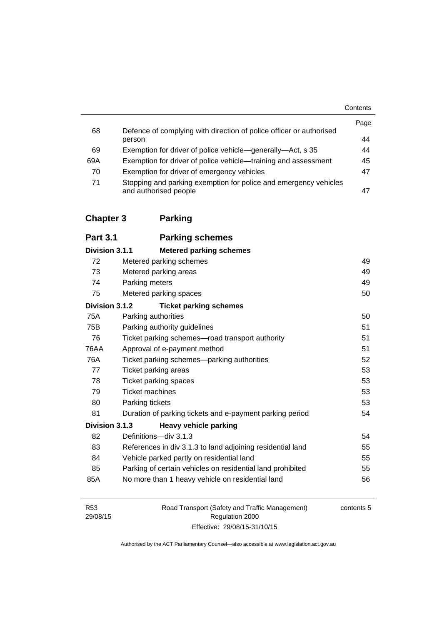|     |                                                                                           | Contents |
|-----|-------------------------------------------------------------------------------------------|----------|
| 68  | Defence of complying with direction of police officer or authorised                       | Page     |
|     | person                                                                                    | 44       |
| 69  | Exemption for driver of police vehicle—generally—Act, s 35                                | 44       |
| 69A | Exemption for driver of police vehicle—training and assessment                            | 45       |
| 70  | Exemption for driver of emergency vehicles                                                | 47       |
| 71  | Stopping and parking exemption for police and emergency vehicles<br>and authorised people | 47       |

## **[Chapter 3](#page-65-0) Parking**

| <b>Part 3.1</b> | <b>Parking schemes</b>         |
|-----------------|--------------------------------|
| Division 3.1.1  | <b>Metered parking schemes</b> |

| 72             | Metered parking schemes                                    | 49 |
|----------------|------------------------------------------------------------|----|
| 73             | Metered parking areas                                      | 49 |
| 74             | Parking meters                                             | 49 |
| 75             | Metered parking spaces                                     | 50 |
| Division 3.1.2 | <b>Ticket parking schemes</b>                              |    |
| 75A            | Parking authorities                                        | 50 |
| 75B            | Parking authority guidelines                               | 51 |
| 76             | Ticket parking schemes-road transport authority            | 51 |
| 76AA           | Approval of e-payment method                               | 51 |
| 76A            | Ticket parking schemes—parking authorities                 | 52 |
| 77             | Ticket parking areas                                       | 53 |
| 78             | <b>Ticket parking spaces</b>                               | 53 |
| 79             | <b>Ticket machines</b>                                     | 53 |
| 80             | Parking tickets                                            | 53 |
| 81             | Duration of parking tickets and e-payment parking period   | 54 |
| Division 3.1.3 | <b>Heavy vehicle parking</b>                               |    |
| 82             | Definitions-div 3.1.3                                      | 54 |
| 83             | References in div 3.1.3 to land adjoining residential land | 55 |
| 84             | Vehicle parked partly on residential land                  | 55 |
| 85             | Parking of certain vehicles on residential land prohibited | 55 |
| 85A            | No more than 1 heavy vehicle on residential land           | 56 |

| R <sub>53</sub>             | Road Transport (Safety and Traffic Management) | contents 5 |
|-----------------------------|------------------------------------------------|------------|
| 29/08/15<br>Regulation 2000 |                                                |            |
|                             | Effective: 29/08/15-31/10/15                   |            |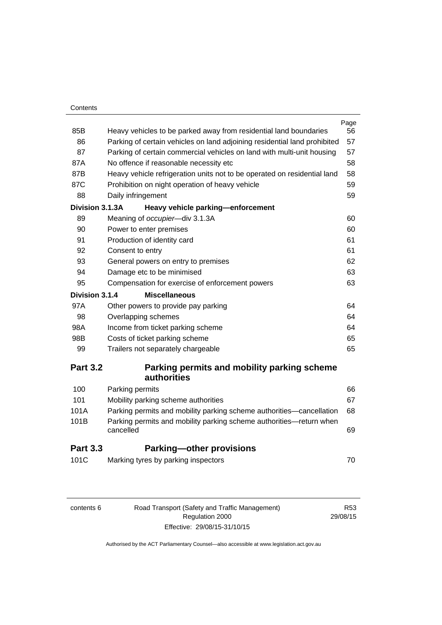#### **Contents**

| 85B             |                                                                                                                    | Page<br>56 |  |
|-----------------|--------------------------------------------------------------------------------------------------------------------|------------|--|
| 86              | Heavy vehicles to be parked away from residential land boundaries                                                  | 57         |  |
| 87              | Parking of certain vehicles on land adjoining residential land prohibited                                          |            |  |
| 87A             | Parking of certain commercial vehicles on land with multi-unit housing<br>57                                       |            |  |
| 87B             | No offence if reasonable necessity etc<br>Heavy vehicle refrigeration units not to be operated on residential land | 58<br>58   |  |
| 87C             | Prohibition on night operation of heavy vehicle                                                                    | 59         |  |
| 88              | Daily infringement                                                                                                 | 59         |  |
| Division 3.1.3A | Heavy vehicle parking-enforcement                                                                                  |            |  |
| 89              | Meaning of occupier-div 3.1.3A                                                                                     | 60         |  |
| 90              | Power to enter premises                                                                                            | 60         |  |
| 91              | Production of identity card                                                                                        | 61         |  |
| 92              | Consent to entry                                                                                                   | 61         |  |
| 93              | General powers on entry to premises                                                                                | 62         |  |
| 94              | Damage etc to be minimised                                                                                         | 63         |  |
| 95              | Compensation for exercise of enforcement powers                                                                    |            |  |
| Division 3.1.4  | <b>Miscellaneous</b>                                                                                               | 63         |  |
| 97A             | Other powers to provide pay parking                                                                                | 64         |  |
| 98              | Overlapping schemes                                                                                                | 64         |  |
| 98A             | Income from ticket parking scheme                                                                                  | 64         |  |
| 98B             | Costs of ticket parking scheme                                                                                     | 65         |  |
| 99              | Trailers not separately chargeable                                                                                 | 65         |  |
|                 |                                                                                                                    |            |  |
| <b>Part 3.2</b> | Parking permits and mobility parking scheme                                                                        |            |  |
|                 | authorities                                                                                                        |            |  |
| 100             | Parking permits                                                                                                    | 66         |  |
| 101             | Mobility parking scheme authorities                                                                                | 67         |  |
| 101A            | Parking permits and mobility parking scheme authorities-cancellation                                               | 68         |  |
| 101B            | Parking permits and mobility parking scheme authorities—return when<br>cancelled                                   | 69         |  |
| <b>Part 3.3</b> | <b>Parking-other provisions</b>                                                                                    |            |  |
| 101C            | Marking tyres by parking inspectors                                                                                | 70         |  |
|                 |                                                                                                                    |            |  |

| contents 6 |
|------------|
|------------|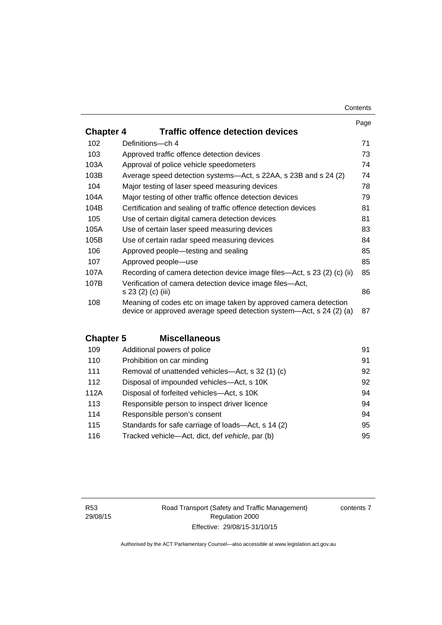#### **Contents**

|                  |                                                                                                                                         | Page |
|------------------|-----------------------------------------------------------------------------------------------------------------------------------------|------|
| <b>Chapter 4</b> | <b>Traffic offence detection devices</b>                                                                                                |      |
| 102              | Definitions-ch 4                                                                                                                        | 71   |
| 103              | Approved traffic offence detection devices                                                                                              | 73   |
| 103A             | Approval of police vehicle speedometers                                                                                                 | 74   |
| 103B             | Average speed detection systems—Act, s 22AA, s 23B and s 24 (2)                                                                         | 74   |
| 104              | Major testing of laser speed measuring devices                                                                                          | 78   |
| 104A             | Major testing of other traffic offence detection devices                                                                                | 79   |
| 104B             | Certification and sealing of traffic offence detection devices                                                                          | 81   |
| 105              | Use of certain digital camera detection devices                                                                                         | 81   |
| 105A             | Use of certain laser speed measuring devices                                                                                            | 83   |
| 105B             | Use of certain radar speed measuring devices                                                                                            | 84   |
| 106              | Approved people—testing and sealing                                                                                                     | 85   |
| 107              | Approved people-use                                                                                                                     | 85   |
| 107A             | Recording of camera detection device image files—Act, s 23 (2) (c) (ii)                                                                 | 85   |
| 107B             | Verification of camera detection device image files—Act,<br>s 23 (2) (c) (iii)                                                          | 86   |
| 108              | Meaning of codes etc on image taken by approved camera detection<br>device or approved average speed detection system—Act, s 24 (2) (a) | 87   |

## **Chapter 5 [Miscellaneous](#page-107-0)**

| 109  | Additional powers of police                        | 91 |
|------|----------------------------------------------------|----|
| 110  | Prohibition on car minding                         | 91 |
| 111  | Removal of unattended vehicles-Act, s 32 (1) (c)   | 92 |
| 112  | Disposal of impounded vehicles—Act, s 10K          | 92 |
| 112A | Disposal of forfeited vehicles-Act, s 10K          | 94 |
| 113  | Responsible person to inspect driver licence       | 94 |
| 114  | Responsible person's consent                       | 94 |
| 115  | Standards for safe carriage of loads—Act, s 14 (2) | 95 |
| 116  | Tracked vehicle-Act, dict, def vehicle, par (b)    | 95 |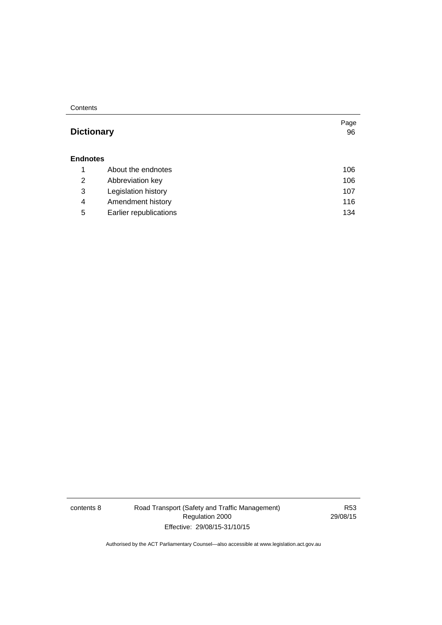**Contents** 

## Page **Dictionary [96](#page-112-0) [Endnotes](#page-123-0)** 1 [About the endnotes 106](#page-123-1) 2 [Abbreviation key 106](#page-123-2) 3 [Legislation history 107](#page-124-0) 4 [Amendment history 116](#page-133-0) 5 [Earlier republications 134](#page-151-0)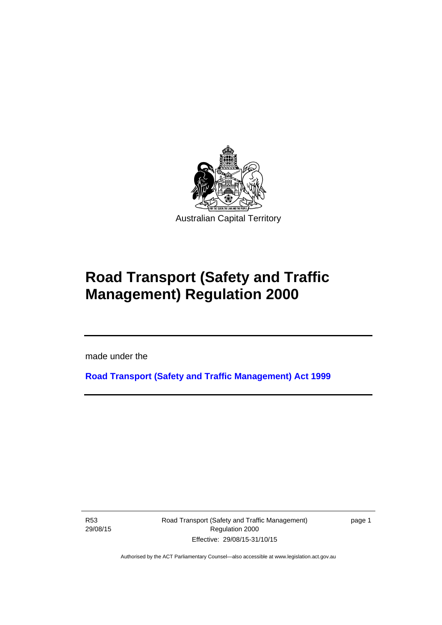

# **Road Transport (Safety and Traffic Management) Regulation 2000**

made under the

**[Road Transport \(Safety and Traffic Management\) Act 1999](http://www.legislation.act.gov.au/a/1999-80)**

R53 29/08/15

Ī

Road Transport (Safety and Traffic Management) Regulation 2000 Effective: 29/08/15-31/10/15

page 1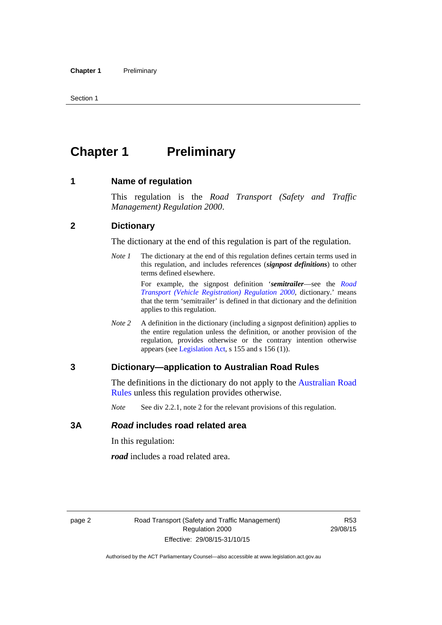## <span id="page-11-0"></span>**Chapter 1** Preliminary

#### <span id="page-11-1"></span>**1 Name of regulation**

This regulation is the *Road Transport (Safety and Traffic Management) Regulation 2000*.

#### <span id="page-11-2"></span>**2 Dictionary**

The dictionary at the end of this regulation is part of the regulation.

*Note 1* The dictionary at the end of this regulation defines certain terms used in this regulation, and includes references (*signpost definitions*) to other terms defined elsewhere.

> For example, the signpost definition '*semitrailer*—see the *[Road](http://www.legislation.act.gov.au/sl/2000-12)  [Transport \(Vehicle Registration\) Regulation 2000](http://www.legislation.act.gov.au/sl/2000-12)*, dictionary.' means that the term 'semitrailer' is defined in that dictionary and the definition applies to this regulation.

*Note 2* A definition in the dictionary (including a signpost definition) applies to the entire regulation unless the definition, or another provision of the regulation, provides otherwise or the contrary intention otherwise appears (see [Legislation Act,](http://www.legislation.act.gov.au/a/2001-14) s 155 and s 156 (1)).

#### <span id="page-11-3"></span>**3 Dictionary—application to Australian Road Rules**

The definitions in the dictionary do not apply to the Australian Road [Rules](http://www.legislation.act.gov.au//ni/db_37271/default.asp) unless this regulation provides otherwise.

*Note* See div 2.2.1, note 2 for the relevant provisions of this regulation.

#### <span id="page-11-4"></span>**3A** *Road* **includes road related area**

In this regulation:

*road* includes a road related area.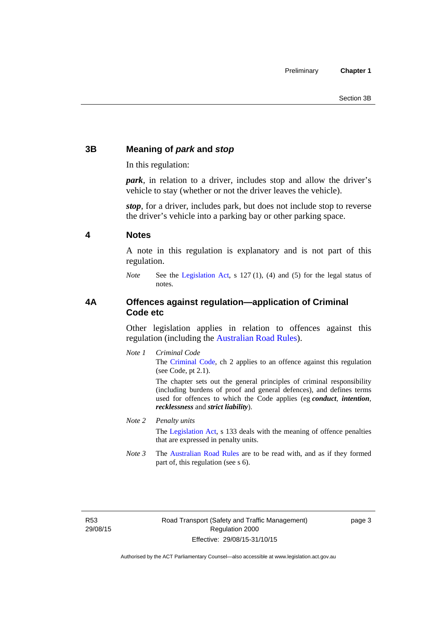## <span id="page-12-0"></span>**3B Meaning of** *park* **and** *stop*

In this regulation:

*park*, in relation to a driver, includes stop and allow the driver's vehicle to stay (whether or not the driver leaves the vehicle).

*stop*, for a driver, includes park, but does not include stop to reverse the driver's vehicle into a parking bay or other parking space.

#### <span id="page-12-1"></span>**4 Notes**

A note in this regulation is explanatory and is not part of this regulation.

*Note* See the [Legislation Act,](http://www.legislation.act.gov.au/a/2001-14) s 127 (1), (4) and (5) for the legal status of notes.

### <span id="page-12-2"></span>**4A Offences against regulation—application of Criminal Code etc**

Other legislation applies in relation to offences against this regulation (including the [Australian Road Rules](http://www.legislation.act.gov.au//ni/db_37271/default.asp)).

*Note 1 Criminal Code* The [Criminal Code,](http://www.legislation.act.gov.au/a/2002-51) ch 2 applies to an offence against this regulation (see Code, pt 2.1).

> The chapter sets out the general principles of criminal responsibility (including burdens of proof and general defences), and defines terms used for offences to which the Code applies (eg *conduct*, *intention*, *recklessness* and *strict liability*).

#### *Note 2 Penalty units*

The [Legislation Act](http://www.legislation.act.gov.au/a/2001-14), s 133 deals with the meaning of offence penalties that are expressed in penalty units.

*Note 3* The [Australian Road Rules](http://www.legislation.act.gov.au//ni/db_37271/default.asp) are to be read with, and as if they formed part of, this regulation (see s 6).

R53 29/08/15 page 3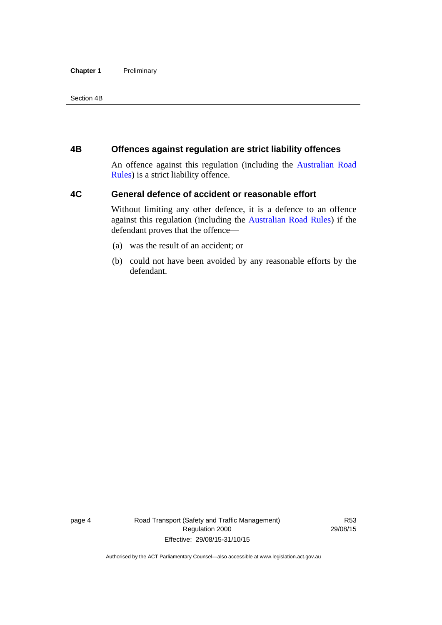#### **Chapter 1** Preliminary

Section 4B

### <span id="page-13-0"></span>**4B Offences against regulation are strict liability offences**

An offence against this regulation (including the [Australian Road](http://www.legislation.act.gov.au//ni/db_37271/default.asp)  [Rules](http://www.legislation.act.gov.au//ni/db_37271/default.asp)) is a strict liability offence.

## <span id="page-13-1"></span>**4C General defence of accident or reasonable effort**

Without limiting any other defence, it is a defence to an offence against this regulation (including the [Australian Road Rules\)](http://www.legislation.act.gov.au//ni/db_37271/default.asp) if the defendant proves that the offence—

- (a) was the result of an accident; or
- (b) could not have been avoided by any reasonable efforts by the defendant.

page 4 Road Transport (Safety and Traffic Management) Regulation 2000 Effective: 29/08/15-31/10/15

R53 29/08/15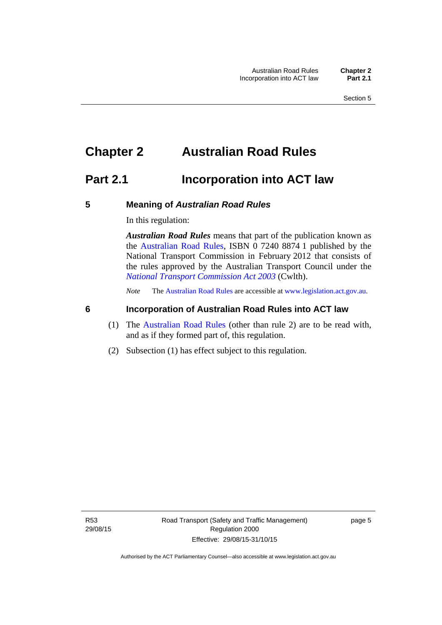## <span id="page-14-0"></span>**Chapter 2 Australian Road Rules**

## <span id="page-14-1"></span>**Part 2.1 Incorporation into ACT law**

#### <span id="page-14-2"></span>**5 Meaning of** *Australian Road Rules*

In this regulation:

*Australian Road Rules* means that part of the publication known as the [Australian Road Rules](http://www.legislation.act.gov.au//ni/db_37271/default.asp), ISBN 0 7240 8874 1 published by the National Transport Commission in February 2012 that consists of the rules approved by the Australian Transport Council under the *[National Transport Commission Act 2003](http://www.comlaw.gov.au/Series/C2004A01166)* (Cwlth).

*Note* The [Australian Road Rules](http://www.legislation.act.gov.au//ni/db_37271/default.asp) are accessible at [www.legislation.act.gov.au](http://www.legislation.act.gov.au/).

### <span id="page-14-3"></span>**6 Incorporation of Australian Road Rules into ACT law**

- (1) The [Australian Road Rules](http://www.legislation.act.gov.au//ni/db_37271/default.asp) (other than rule 2) are to be read with, and as if they formed part of, this regulation.
- (2) Subsection (1) has effect subject to this regulation.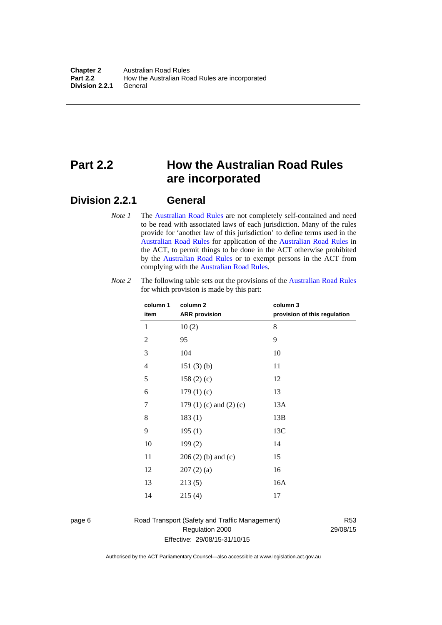## <span id="page-15-0"></span>**Part 2.2 How the Australian Road Rules are incorporated**

## <span id="page-15-1"></span>**Division 2.2.1 General**

*Note 1* The [Australian Road Rules](http://www.legislation.act.gov.au//ni/db_37271/default.asp) are not completely self-contained and need to be read with associated laws of each jurisdiction. Many of the rules provide for 'another law of this jurisdiction' to define terms used in the [Australian Road Rules](http://www.legislation.act.gov.au//ni/db_37271/default.asp) for application of the [Australian Road Rules](http://www.legislation.act.gov.au//ni/db_37271/default.asp) in the ACT, to permit things to be done in the ACT otherwise prohibited by the [Australian Road Rules](http://www.legislation.act.gov.au//ni/db_37271/default.asp) or to exempt persons in the ACT from complying with the [Australian Road Rules.](http://www.legislation.act.gov.au//ni/db_37271/default.asp)

| column 1<br>item | column <sub>2</sub><br><b>ARR</b> provision | column 3<br>provision of this regulation |
|------------------|---------------------------------------------|------------------------------------------|
| 1                | 10(2)                                       | 8                                        |
| $\mathbf{2}$     | 95                                          | 9                                        |
| $\mathfrak{Z}$   | 104                                         | 10                                       |
| 4                | 151(3)(b)                                   | 11                                       |
| 5                | 158(2)(c)                                   | 12                                       |
| 6                | 179(1)(c)                                   | 13                                       |
| 7                | 179 $(1)$ $(c)$ and $(2)$ $(c)$             | 13A                                      |
| 8                | 183(1)                                      | 13B                                      |
| 9                | 195(1)                                      | 13C                                      |
| 10               | 199(2)                                      | 14                                       |
| 11               | $206(2)$ (b) and (c)                        | 15                                       |
| 12               | 207(2)(a)                                   | 16                                       |
| 13               | 213(5)                                      | 16A                                      |
| 14               | 215(4)                                      | 17                                       |

*Note 2* The following table sets out the provisions of the [Australian Road Rules](http://www.legislation.act.gov.au//ni/db_37271/default.asp) for which provision is made by this part:

page 6 Road Transport (Safety and Traffic Management) Regulation 2000 Effective: 29/08/15-31/10/15

R53 29/08/15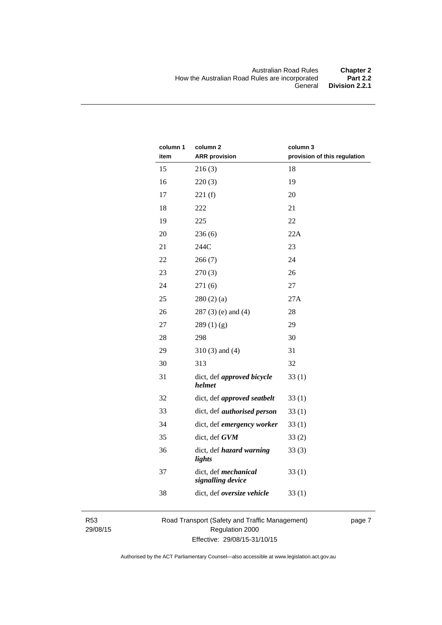| column 1<br>item | column <sub>2</sub><br><b>ARR</b> provision | column 3<br>provision of this regulation |
|------------------|---------------------------------------------|------------------------------------------|
| 15               | 216(3)                                      | 18                                       |
| 16               | 220(3)                                      | 19                                       |
| 17               | 221(f)                                      | 20                                       |
| 18               | 222                                         | 21                                       |
| 19               | 225                                         | 22                                       |
| 20               | 236(6)                                      | 22A                                      |
| 21               | 244C                                        | 23                                       |
| 22               | 266(7)                                      | 24                                       |
| 23               | 270(3)                                      | 26                                       |
| 24               | 271(6)                                      | 27                                       |
| 25               | 280(2)(a)                                   | 27A                                      |
| 26               | $287(3)$ (e) and (4)                        | 28                                       |
| 27               | 289(1)(g)                                   | 29                                       |
| 28               | 298                                         | 30                                       |
| 29               | $310(3)$ and $(4)$                          | 31                                       |
| 30               | 313                                         | 32                                       |
| 31               | dict, def approved bicycle<br>helmet        | 33(1)                                    |
| 32               | dict, def approved seatbelt                 | 33(1)                                    |
| 33               | dict, def <i>authorised</i> person          | 33(1)                                    |
| 34               | dict, def emergency worker                  | 33(1)                                    |
| 35               | dict, def GVM                               | 33(2)                                    |
| 36               | dict, def hazard warning<br>lights          | 33(3)                                    |
| 37               | dict, def mechanical<br>signalling device   | 33(1)                                    |
| 38               | dict, def oversize vehicle                  | 33(1)                                    |

R53 29/08/15 Road Transport (Safety and Traffic Management) Regulation 2000 Effective: 29/08/15-31/10/15

page 7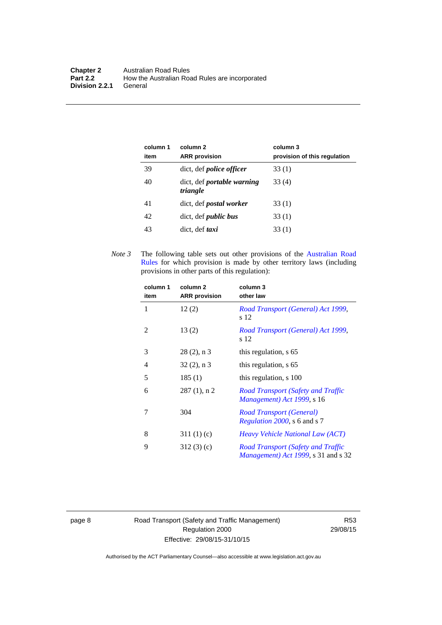| column 1<br>item | column 2<br><b>ARR</b> provision              | column 3<br>provision of this regulation |
|------------------|-----------------------------------------------|------------------------------------------|
| 39               | dict, def <i>police officer</i>               | 33 (1)                                   |
| 40               | dict, def <i>portable</i> warning<br>triangle | 33 (4)                                   |
| 41               | dict, def <i>postal</i> worker                | 33 (1)                                   |
| 42               | dict, def <i>public</i> bus                   | 33 (1)                                   |
| 43               | dict, def taxi                                | 33(1)                                    |

*Note 3* The following table sets out other provisions of the [Australian Road](http://www.legislation.act.gov.au//ni/db_37271/default.asp)  [Rules](http://www.legislation.act.gov.au//ni/db_37271/default.asp) for which provision is made by other territory laws (including provisions in other parts of this regulation):

| column 1<br>item | column 2<br><b>ARR</b> provision | column 3<br>other law                                                                     |
|------------------|----------------------------------|-------------------------------------------------------------------------------------------|
| 1                | 12(2)                            | Road Transport (General) Act 1999,<br>s 12                                                |
| 2                | 13(2)                            | Road Transport (General) Act 1999,<br>s 12                                                |
| 3                | $28(2)$ , n 3                    | this regulation, s 65                                                                     |
| 4                | $32(2)$ , n 3                    | this regulation, s 65                                                                     |
| 5                | 185(1)                           | this regulation, s 100                                                                    |
| 6                | $287(1)$ , n 2                   | Road Transport (Safety and Traffic<br>Management) Act 1999, s 16                          |
| 7                | 304                              | Road Transport (General)<br><i>Regulation 2000</i> , s 6 and s 7                          |
| 8                | 311(1)(c)                        | <i>Heavy Vehicle National Law (ACT)</i>                                                   |
| 9                | 312(3)(c)                        | Road Transport (Safety and Traffic<br><i>Management</i> ) <i>Act 1999</i> , s 31 and s 32 |

page 8 Road Transport (Safety and Traffic Management) Regulation 2000 Effective: 29/08/15-31/10/15

R53 29/08/15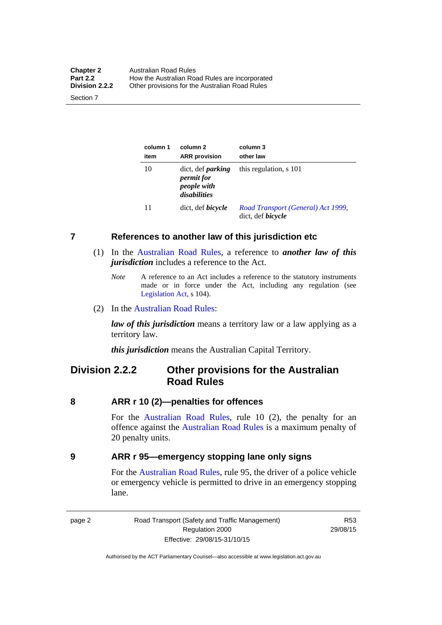| <b>Chapter 2</b> | <b>Australian Road Rules</b>                   |
|------------------|------------------------------------------------|
| <b>Part 2.2</b>  | How the Australian Road Rules are incorporated |
| Division 2.2.2   | Other provisions for the Australian Road Rules |

Section 7

| column 1<br>item | column 2<br><b>ARR</b> provision                                             | column 3<br>other law                                          |
|------------------|------------------------------------------------------------------------------|----------------------------------------------------------------|
| 10               | dict, def <i>parking</i><br><i>permit for</i><br>people with<br>disabilities | this regulation, s 101                                         |
| 11               | dict, def <i>bicycle</i>                                                     | Road Transport (General) Act 1999,<br>dict, def <i>bicycle</i> |

#### <span id="page-18-0"></span>**7 References to another law of this jurisdiction etc**

- (1) In the [Australian Road Rules,](http://www.legislation.act.gov.au//ni/db_37271/default.asp) a reference to *another law of this jurisdiction* includes a reference to the Act.
	- *Note* A reference to an Act includes a reference to the statutory instruments made or in force under the Act, including any regulation (see [Legislation Act,](http://www.legislation.act.gov.au/a/2001-14) s 104).
- (2) In the [Australian Road Rules](http://www.legislation.act.gov.au//ni/db_37271/default.asp):

*law of this jurisdiction* means a territory law or a law applying as a territory law.

*this jurisdiction* means the Australian Capital Territory.

## <span id="page-18-1"></span>**Division 2.2.2 Other provisions for the Australian Road Rules**

#### <span id="page-18-2"></span>**8 ARR r 10 (2)—penalties for offences**

For the [Australian Road Rules,](http://www.legislation.act.gov.au//ni/db_37271/default.asp) rule 10 (2), the penalty for an offence against the [Australian Road Rules](http://www.legislation.act.gov.au//ni/db_37271/default.asp) is a maximum penalty of 20 penalty units.

#### <span id="page-18-3"></span>**9 ARR r 95—emergency stopping lane only signs**

For the [Australian Road Rules](http://www.legislation.act.gov.au//ni/db_37271/default.asp), rule 95, the driver of a police vehicle or emergency vehicle is permitted to drive in an emergency stopping lane.

page 2 Road Transport (Safety and Traffic Management) Regulation 2000 Effective: 29/08/15-31/10/15

R53 29/08/15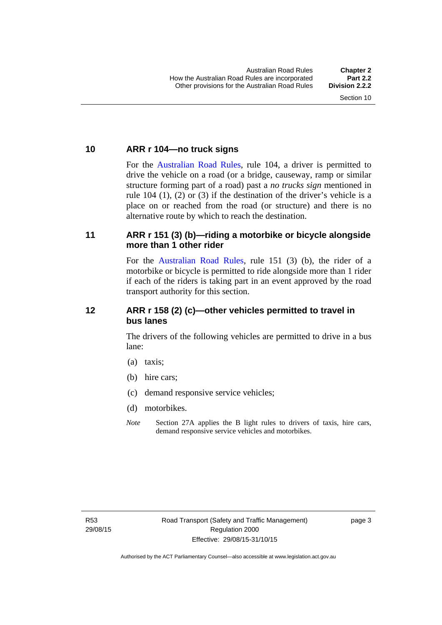#### <span id="page-19-0"></span>**10 ARR r 104—no truck signs**

For the [Australian Road Rules,](http://www.legislation.act.gov.au//ni/db_37271/default.asp) rule 104, a driver is permitted to drive the vehicle on a road (or a bridge, causeway, ramp or similar structure forming part of a road) past a *no trucks sign* mentioned in rule 104 (1), (2) or (3) if the destination of the driver's vehicle is a place on or reached from the road (or structure) and there is no alternative route by which to reach the destination.

#### <span id="page-19-1"></span>**11 ARR r 151 (3) (b)—riding a motorbike or bicycle alongside more than 1 other rider**

For the [Australian Road Rules](http://www.legislation.act.gov.au//ni/db_37271/default.asp), rule 151 (3) (b), the rider of a motorbike or bicycle is permitted to ride alongside more than 1 rider if each of the riders is taking part in an event approved by the road transport authority for this section.

### <span id="page-19-2"></span>**12 ARR r 158 (2) (c)—other vehicles permitted to travel in bus lanes**

The drivers of the following vehicles are permitted to drive in a bus lane:

- (a) taxis;
- (b) hire cars;
- (c) demand responsive service vehicles;
- (d) motorbikes.
- *Note* Section 27A applies the B light rules to drivers of taxis, hire cars, demand responsive service vehicles and motorbikes.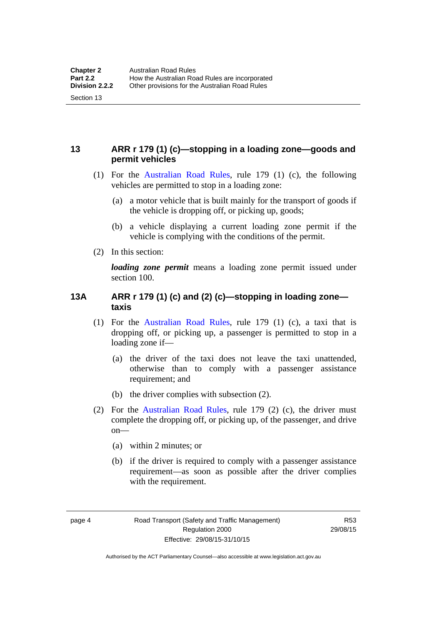## <span id="page-20-0"></span>**13 ARR r 179 (1) (c)—stopping in a loading zone—goods and permit vehicles**

- (1) For the [Australian Road Rules,](http://www.legislation.act.gov.au//ni/db_37271/default.asp) rule 179 (1) (c), the following vehicles are permitted to stop in a loading zone:
	- (a) a motor vehicle that is built mainly for the transport of goods if the vehicle is dropping off, or picking up, goods;
	- (b) a vehicle displaying a current loading zone permit if the vehicle is complying with the conditions of the permit.
- (2) In this section:

Section 13

*loading zone permit* means a loading zone permit issued under section 100.

### <span id="page-20-1"></span>**13A ARR r 179 (1) (c) and (2) (c)—stopping in loading zone taxis**

- (1) For the [Australian Road Rules,](http://www.legislation.act.gov.au//ni/db_37271/default.asp) rule 179 (1) (c), a taxi that is dropping off, or picking up, a passenger is permitted to stop in a loading zone if—
	- (a) the driver of the taxi does not leave the taxi unattended, otherwise than to comply with a passenger assistance requirement; and
	- (b) the driver complies with subsection (2).
- (2) For the [Australian Road Rules,](http://www.legislation.act.gov.au//ni/db_37271/default.asp) rule 179 (2) (c), the driver must complete the dropping off, or picking up, of the passenger, and drive on—
	- (a) within 2 minutes; or
	- (b) if the driver is required to comply with a passenger assistance requirement—as soon as possible after the driver complies with the requirement.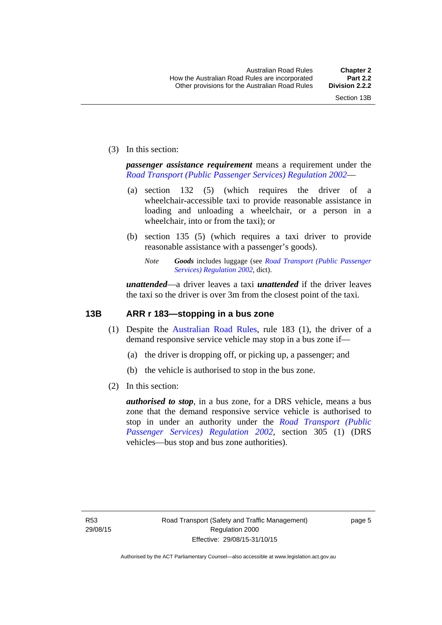(3) In this section:

*passenger assistance requirement* means a requirement under the *[Road Transport \(Public Passenger Services\) Regulation 2002](http://www.legislation.act.gov.au/sl/2002-3)*—

- (a) section 132 (5) (which requires the driver of a wheelchair-accessible taxi to provide reasonable assistance in loading and unloading a wheelchair, or a person in a wheelchair, into or from the taxi); or
- (b) section 135 (5) (which requires a taxi driver to provide reasonable assistance with a passenger's goods).
	- *Note Goods* includes luggage (see *[Road Transport \(Public Passenger](http://www.legislation.act.gov.au/sl/2002-3)  [Services\) Regulation 2002](http://www.legislation.act.gov.au/sl/2002-3)*, dict).

*unattended*—a driver leaves a taxi *unattended* if the driver leaves the taxi so the driver is over 3m from the closest point of the taxi.

### <span id="page-21-0"></span>**13B ARR r 183—stopping in a bus zone**

- (1) Despite the [Australian Road Rules](http://www.legislation.act.gov.au//ni/db_37271/default.asp), rule 183 (1), the driver of a demand responsive service vehicle may stop in a bus zone if—
	- (a) the driver is dropping off, or picking up, a passenger; and
	- (b) the vehicle is authorised to stop in the bus zone.
- (2) In this section:

*authorised to stop*, in a bus zone, for a DRS vehicle, means a bus zone that the demand responsive service vehicle is authorised to stop in under an authority under the *[Road Transport \(Public](http://www.legislation.act.gov.au/sl/2002-3)  [Passenger Services\) Regulation 2002](http://www.legislation.act.gov.au/sl/2002-3)*, section 305 (1) (DRS vehicles—bus stop and bus zone authorities).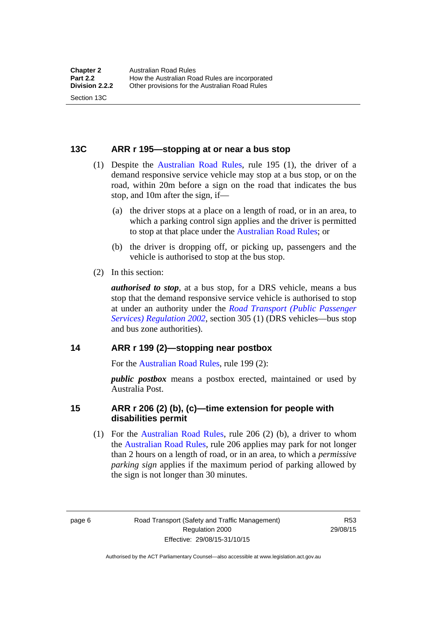#### <span id="page-22-0"></span>**13C ARR r 195—stopping at or near a bus stop**

- (1) Despite the [Australian Road Rules](http://www.legislation.act.gov.au//ni/db_37271/default.asp), rule 195 (1), the driver of a demand responsive service vehicle may stop at a bus stop, or on the road, within 20m before a sign on the road that indicates the bus stop, and 10m after the sign, if—
	- (a) the driver stops at a place on a length of road, or in an area, to which a parking control sign applies and the driver is permitted to stop at that place under the [Australian Road Rules;](http://www.legislation.act.gov.au//ni/db_37271/default.asp) or
	- (b) the driver is dropping off, or picking up, passengers and the vehicle is authorised to stop at the bus stop.
- (2) In this section:

Section 13C

*authorised to stop*, at a bus stop, for a DRS vehicle, means a bus stop that the demand responsive service vehicle is authorised to stop at under an authority under the *[Road Transport \(Public Passenger](http://www.legislation.act.gov.au/sl/2002-3)  [Services\) Regulation 2002](http://www.legislation.act.gov.au/sl/2002-3)*, section 305 (1) (DRS vehicles—bus stop and bus zone authorities).

#### <span id="page-22-1"></span>**14 ARR r 199 (2)—stopping near postbox**

For the [Australian Road Rules,](http://www.legislation.act.gov.au//ni/db_37271/default.asp) rule 199 (2):

*public postbox* means a postbox erected, maintained or used by Australia Post.

#### <span id="page-22-2"></span>**15 ARR r 206 (2) (b), (c)—time extension for people with disabilities permit**

 (1) For the [Australian Road Rules](http://www.legislation.act.gov.au//ni/db_37271/default.asp), rule 206 (2) (b), a driver to whom the [Australian Road Rules](http://www.legislation.act.gov.au//ni/db_37271/default.asp), rule 206 applies may park for not longer than 2 hours on a length of road, or in an area, to which a *permissive parking sign* applies if the maximum period of parking allowed by the sign is not longer than 30 minutes.

page 6 Road Transport (Safety and Traffic Management) Regulation 2000 Effective: 29/08/15-31/10/15

R53 29/08/15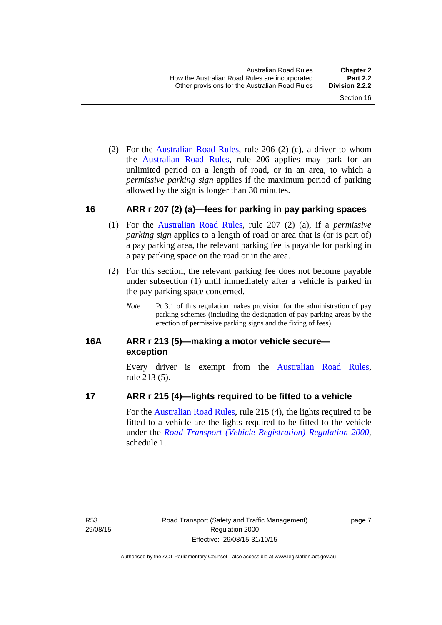(2) For the [Australian Road Rules,](http://www.legislation.act.gov.au//ni/db_37271/default.asp) rule 206 (2) (c), a driver to whom the [Australian Road Rules](http://www.legislation.act.gov.au//ni/db_37271/default.asp), rule 206 applies may park for an unlimited period on a length of road, or in an area, to which a *permissive parking sign* applies if the maximum period of parking allowed by the sign is longer than 30 minutes.

#### <span id="page-23-0"></span>**16 ARR r 207 (2) (a)—fees for parking in pay parking spaces**

- (1) For the [Australian Road Rules,](http://www.legislation.act.gov.au//ni/db_37271/default.asp) rule 207 (2) (a), if a *permissive parking sign* applies to a length of road or area that is (or is part of) a pay parking area, the relevant parking fee is payable for parking in a pay parking space on the road or in the area.
- (2) For this section, the relevant parking fee does not become payable under subsection (1) until immediately after a vehicle is parked in the pay parking space concerned.
	- *Note* Pt 3.1 of this regulation makes provision for the administration of pay parking schemes (including the designation of pay parking areas by the erection of permissive parking signs and the fixing of fees).

### <span id="page-23-1"></span>**16A ARR r 213 (5)—making a motor vehicle secure exception**

Every driver is exempt from the [Australian Road Rules](http://www.legislation.act.gov.au//ni/db_37271/default.asp), rule 213 (5).

#### <span id="page-23-2"></span>**17 ARR r 215 (4)—lights required to be fitted to a vehicle**

For the [Australian Road Rules,](http://www.legislation.act.gov.au//ni/db_37271/default.asp) rule 215 (4), the lights required to be fitted to a vehicle are the lights required to be fitted to the vehicle under the *[Road Transport \(Vehicle Registration\) Regulation 2000](http://www.legislation.act.gov.au/sl/2000-12),*  schedule 1.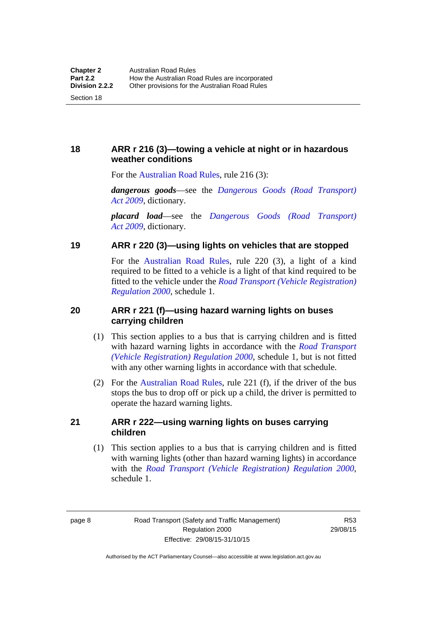## <span id="page-24-0"></span>**18 ARR r 216 (3)—towing a vehicle at night or in hazardous weather conditions**

For the [Australian Road Rules,](http://www.legislation.act.gov.au//ni/db_37271/default.asp) rule 216 (3):

*dangerous goods*—see the *[Dangerous Goods \(Road Transport\)](http://www.legislation.act.gov.au/a/2009-34)  [Act 2009](http://www.legislation.act.gov.au/a/2009-34)*, dictionary.

*placard load*—see the *[Dangerous Goods \(Road Transport\)](http://www.legislation.act.gov.au/a/2009-34)  [Act 2009](http://www.legislation.act.gov.au/a/2009-34)*, dictionary.

## <span id="page-24-1"></span>**19 ARR r 220 (3)—using lights on vehicles that are stopped**

For the [Australian Road Rules](http://www.legislation.act.gov.au//ni/db_37271/default.asp), rule 220 (3), a light of a kind required to be fitted to a vehicle is a light of that kind required to be fitted to the vehicle under the *[Road Transport \(Vehicle Registration\)](http://www.legislation.act.gov.au/sl/2000-12)  [Regulation 2000](http://www.legislation.act.gov.au/sl/2000-12)*, schedule 1.

## <span id="page-24-2"></span>**20 ARR r 221 (f)—using hazard warning lights on buses carrying children**

- (1) This section applies to a bus that is carrying children and is fitted with hazard warning lights in accordance with the *[Road Transport](http://www.legislation.act.gov.au/sl/2000-12)  [\(Vehicle Registration\) Regulation 2000](http://www.legislation.act.gov.au/sl/2000-12)*, schedule 1, but is not fitted with any other warning lights in accordance with that schedule.
- (2) For the [Australian Road Rules](http://www.legislation.act.gov.au//ni/db_37271/default.asp), rule 221 (f), if the driver of the bus stops the bus to drop off or pick up a child, the driver is permitted to operate the hazard warning lights.

## <span id="page-24-3"></span>**21 ARR r 222—using warning lights on buses carrying children**

(1) This section applies to a bus that is carrying children and is fitted with warning lights (other than hazard warning lights) in accordance with the *[Road Transport \(Vehicle Registration\) Regulation 2000](http://www.legislation.act.gov.au/sl/2000-12)*, schedule 1.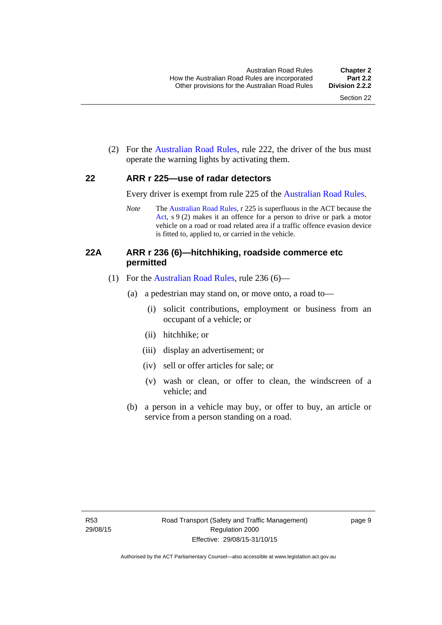(2) For the [Australian Road Rules](http://www.legislation.act.gov.au//ni/db_37271/default.asp), rule 222, the driver of the bus must operate the warning lights by activating them.

#### <span id="page-25-0"></span>**22 ARR r 225—use of radar detectors**

Every driver is exempt from rule 225 of the [Australian Road Rules.](http://www.legislation.act.gov.au//ni/db_37271/default.asp)

*Note* The [Australian Road Rules](http://www.legislation.act.gov.au//ni/db_37271/default.asp), r 225 is superfluous in the ACT because the [Act,](http://www.legislation.act.gov.au/a/1999-80/default.asp) s 9 (2) makes it an offence for a person to drive or park a motor vehicle on a road or road related area if a traffic offence evasion device is fitted to, applied to, or carried in the vehicle.

### <span id="page-25-1"></span>**22A ARR r 236 (6)—hitchhiking, roadside commerce etc permitted**

- (1) For the [Australian Road Rules](http://www.legislation.act.gov.au//ni/db_37271/default.asp), rule 236 (6)—
	- (a) a pedestrian may stand on, or move onto, a road to—
		- (i) solicit contributions, employment or business from an occupant of a vehicle; or
		- (ii) hitchhike; or
		- (iii) display an advertisement; or
		- (iv) sell or offer articles for sale; or
		- (v) wash or clean, or offer to clean, the windscreen of a vehicle; and
	- (b) a person in a vehicle may buy, or offer to buy, an article or service from a person standing on a road.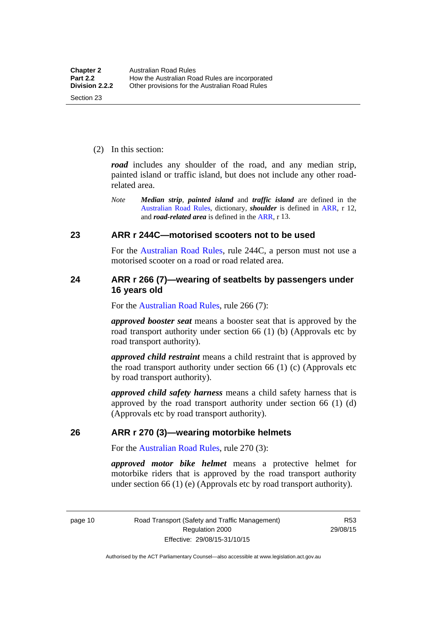(2) In this section:

*road* includes any shoulder of the road, and any median strip, painted island or traffic island, but does not include any other roadrelated area.

*Note Median strip*, *painted island* and *traffic island* are defined in the [Australian Road Rules](http://www.legislation.act.gov.au//ni/db_37271/default.asp), dictionary, *shoulder* is defined in [ARR,](http://www.legislation.act.gov.au//ni/db_37271/default.asp) r 12, and *road-related area* is defined in the [ARR,](http://www.legislation.act.gov.au//ni/db_37271/default.asp) r 13.

#### <span id="page-26-0"></span>**23 ARR r 244C—motorised scooters not to be used**

For the [Australian Road Rules](http://www.legislation.act.gov.au//ni/db_37271/default.asp), rule 244C, a person must not use a motorised scooter on a road or road related area.

#### <span id="page-26-1"></span>**24 ARR r 266 (7)—wearing of seatbelts by passengers under 16 years old**

For the [Australian Road Rules,](http://www.legislation.act.gov.au//ni/db_37271/default.asp) rule 266 (7):

*approved booster seat* means a booster seat that is approved by the road transport authority under section 66 (1) (b) (Approvals etc by road transport authority).

*approved child restraint* means a child restraint that is approved by the road transport authority under section 66 (1) (c) (Approvals etc by road transport authority).

*approved child safety harness* means a child safety harness that is approved by the road transport authority under section 66 (1) (d) (Approvals etc by road transport authority).

#### <span id="page-26-2"></span>**26 ARR r 270 (3)—wearing motorbike helmets**

For the [Australian Road Rules,](http://www.legislation.act.gov.au//ni/db_37271/default.asp) rule 270 (3):

*approved motor bike helmet* means a protective helmet for motorbike riders that is approved by the road transport authority under section 66 (1) (e) (Approvals etc by road transport authority).

page 10 Road Transport (Safety and Traffic Management) Regulation 2000 Effective: 29/08/15-31/10/15

R53 29/08/15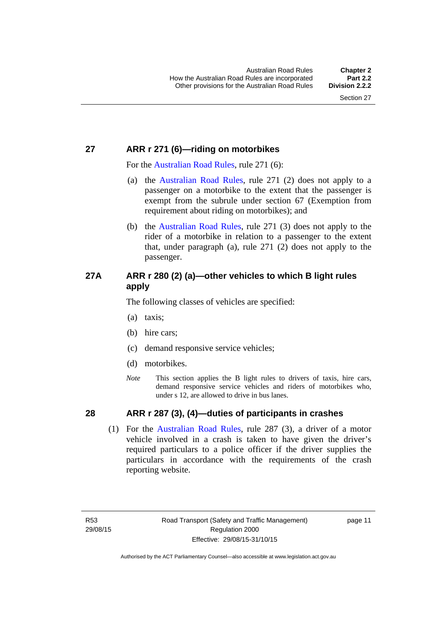## <span id="page-27-0"></span>**27 ARR r 271 (6)—riding on motorbikes**

For the [Australian Road Rules](http://www.legislation.act.gov.au//ni/db_37271/default.asp), rule 271 (6):

- (a) the [Australian Road Rules,](http://www.legislation.act.gov.au//ni/db_37271/default.asp) rule 271 (2) does not apply to a passenger on a motorbike to the extent that the passenger is exempt from the subrule under section 67 (Exemption from requirement about riding on motorbikes); and
- (b) the [Australian Road Rules](http://www.legislation.act.gov.au//ni/db_37271/default.asp), rule 271 (3) does not apply to the rider of a motorbike in relation to a passenger to the extent that, under paragraph (a), rule 271 (2) does not apply to the passenger.

## <span id="page-27-1"></span>**27A ARR r 280 (2) (a)—other vehicles to which B light rules apply**

The following classes of vehicles are specified:

- (a) taxis;
- (b) hire cars;
- (c) demand responsive service vehicles;
- (d) motorbikes.
- *Note* This section applies the B light rules to drivers of taxis, hire cars, demand responsive service vehicles and riders of motorbikes who, under s 12, are allowed to drive in bus lanes.

## <span id="page-27-2"></span>**28 ARR r 287 (3), (4)—duties of participants in crashes**

 (1) For the [Australian Road Rules,](http://www.legislation.act.gov.au//ni/db_37271/default.asp) rule 287 (3), a driver of a motor vehicle involved in a crash is taken to have given the driver's required particulars to a police officer if the driver supplies the particulars in accordance with the requirements of the crash reporting website.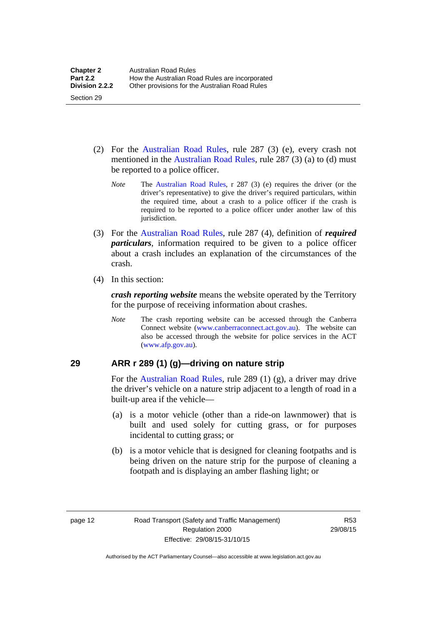- (2) For the [Australian Road Rules](http://www.legislation.act.gov.au//ni/db_37271/default.asp), rule 287 (3) (e), every crash not mentioned in the [Australian Road Rules,](http://www.legislation.act.gov.au//ni/db_37271/default.asp) rule 287 (3) (a) to (d) must be reported to a police officer.
	- *Note* The [Australian Road Rules](http://www.legislation.act.gov.au//ni/db_37271/default.asp), r 287 (3) (e) requires the driver (or the driver's representative) to give the driver's required particulars, within the required time, about a crash to a police officer if the crash is required to be reported to a police officer under another law of this jurisdiction.
- (3) For the [Australian Road Rules](http://www.legislation.act.gov.au//ni/db_37271/default.asp), rule 287 (4), definition of *required particulars*, information required to be given to a police officer about a crash includes an explanation of the circumstances of the crash.
- (4) In this section:

Section 29

*crash reporting website* means the website operated by the Territory for the purpose of receiving information about crashes.

*Note* The crash reporting website can be accessed through the Canberra Connect website [\(www.canberraconnect.act.gov.au](http://www.canberraconnect.act.gov.au/)). The website can also be accessed through the website for police services in the ACT [\(www.afp.gov.au\)](http://www.afp.gov.au/).

## <span id="page-28-0"></span>**29 ARR r 289 (1) (g)—driving on nature strip**

For the [Australian Road Rules](http://www.legislation.act.gov.au//ni/db_37271/default.asp), rule 289 (1) (g), a driver may drive the driver's vehicle on a nature strip adjacent to a length of road in a built-up area if the vehicle—

- (a) is a motor vehicle (other than a ride-on lawnmower) that is built and used solely for cutting grass, or for purposes incidental to cutting grass; or
- (b) is a motor vehicle that is designed for cleaning footpaths and is being driven on the nature strip for the purpose of cleaning a footpath and is displaying an amber flashing light; or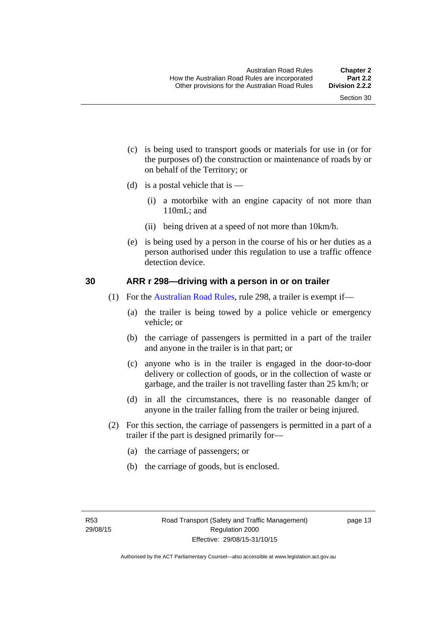- (c) is being used to transport goods or materials for use in (or for the purposes of) the construction or maintenance of roads by or on behalf of the Territory; or
- (d) is a postal vehicle that is  $-$ 
	- (i) a motorbike with an engine capacity of not more than 110mL; and
	- (ii) being driven at a speed of not more than 10km/h.
- (e) is being used by a person in the course of his or her duties as a person authorised under this regulation to use a traffic offence detection device.

#### <span id="page-29-0"></span>**30 ARR r 298—driving with a person in or on trailer**

- (1) For the [Australian Road Rules](http://www.legislation.act.gov.au//ni/db_37271/default.asp), rule 298, a trailer is exempt if—
	- (a) the trailer is being towed by a police vehicle or emergency vehicle; or
	- (b) the carriage of passengers is permitted in a part of the trailer and anyone in the trailer is in that part; or
	- (c) anyone who is in the trailer is engaged in the door-to-door delivery or collection of goods, or in the collection of waste or garbage, and the trailer is not travelling faster than 25 km/h; or
	- (d) in all the circumstances, there is no reasonable danger of anyone in the trailer falling from the trailer or being injured.
- (2) For this section, the carriage of passengers is permitted in a part of a trailer if the part is designed primarily for—
	- (a) the carriage of passengers; or
	- (b) the carriage of goods, but is enclosed.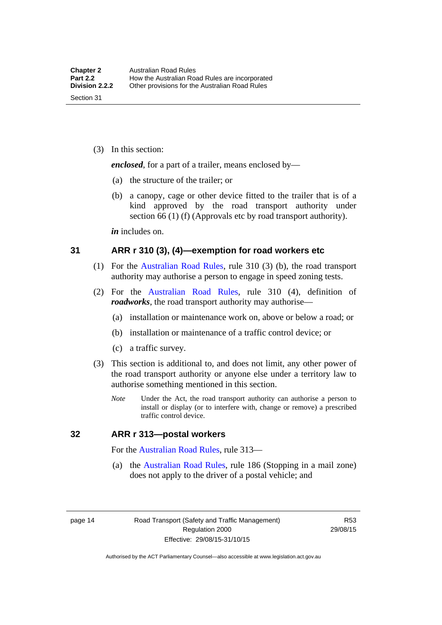(3) In this section:

*enclosed*, for a part of a trailer, means enclosed by—

- (a) the structure of the trailer; or
- (b) a canopy, cage or other device fitted to the trailer that is of a kind approved by the road transport authority under section 66 (1) (f) (Approvals etc by road transport authority).

*in* includes on.

#### <span id="page-30-0"></span>**31 ARR r 310 (3), (4)—exemption for road workers etc**

- (1) For the [Australian Road Rules](http://www.legislation.act.gov.au//ni/db_37271/default.asp), rule 310 (3) (b), the road transport authority may authorise a person to engage in speed zoning tests.
- (2) For the [Australian Road Rules,](http://www.legislation.act.gov.au//ni/db_37271/default.asp) rule 310 (4), definition of *roadworks*, the road transport authority may authorise—
	- (a) installation or maintenance work on, above or below a road; or
	- (b) installation or maintenance of a traffic control device; or
	- (c) a traffic survey.
- (3) This section is additional to, and does not limit, any other power of the road transport authority or anyone else under a territory law to authorise something mentioned in this section.
	- *Note* Under the Act, the road transport authority can authorise a person to install or display (or to interfere with, change or remove) a prescribed traffic control device.

#### <span id="page-30-1"></span>**32 ARR r 313—postal workers**

For the [Australian Road Rules,](http://www.legislation.act.gov.au//ni/db_37271/default.asp) rule 313—

 (a) the [Australian Road Rules,](http://www.legislation.act.gov.au//ni/db_37271/default.asp) rule 186 (Stopping in a mail zone) does not apply to the driver of a postal vehicle; and

page 14 Road Transport (Safety and Traffic Management) Regulation 2000 Effective: 29/08/15-31/10/15

R53 29/08/15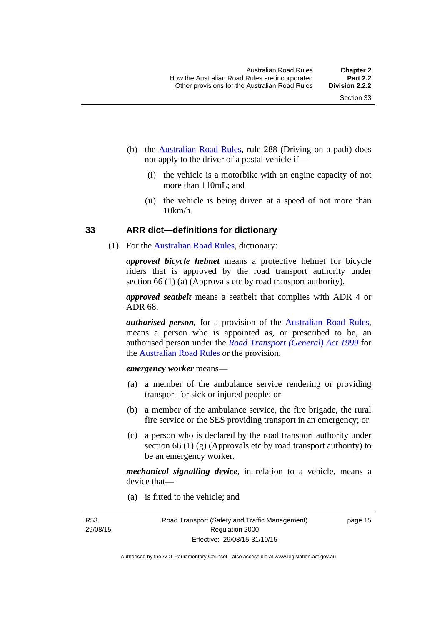- (b) the [Australian Road Rules](http://www.legislation.act.gov.au//ni/db_37271/default.asp), rule 288 (Driving on a path) does not apply to the driver of a postal vehicle if—
	- (i) the vehicle is a motorbike with an engine capacity of not more than 110mL; and
	- (ii) the vehicle is being driven at a speed of not more than  $10km/h$ .

#### <span id="page-31-0"></span>**33 ARR dict—definitions for dictionary**

(1) For the [Australian Road Rules](http://www.legislation.act.gov.au//ni/db_37271/default.asp), dictionary:

*approved bicycle helmet* means a protective helmet for bicycle riders that is approved by the road transport authority under section 66 (1) (a) (Approvals etc by road transport authority).

*approved seatbelt* means a seatbelt that complies with ADR 4 or ADR 68.

*authorised person,* for a provision of the [Australian Road Rules](http://www.legislation.act.gov.au//ni/db_37271/default.asp), means a person who is appointed as, or prescribed to be, an authorised person under the *[Road Transport \(General\) Act 1999](http://www.legislation.act.gov.au/a/1999-77)* for the [Australian Road Rules](http://www.legislation.act.gov.au//ni/db_37271/default.asp) or the provision.

#### *emergency worker* means—

- (a) a member of the ambulance service rendering or providing transport for sick or injured people; or
- (b) a member of the ambulance service, the fire brigade, the rural fire service or the SES providing transport in an emergency; or
- (c) a person who is declared by the road transport authority under section 66 (1) (g) (Approvals etc by road transport authority) to be an emergency worker.

*mechanical signalling device*, in relation to a vehicle, means a device that—

(a) is fitted to the vehicle; and

R53 29/08/15 page 15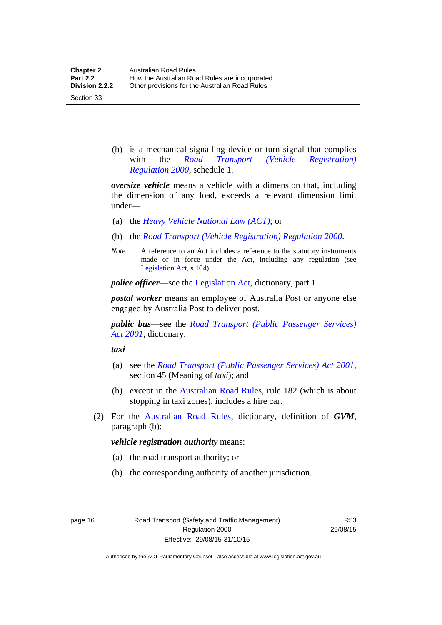Section 33

 (b) is a mechanical signalling device or turn signal that complies with the *[Road Transport \(Vehicle Registration\)](http://www.legislation.act.gov.au/sl/2000-12)  [Regulation 2000](http://www.legislation.act.gov.au/sl/2000-12)*, schedule 1.

*oversize vehicle* means a vehicle with a dimension that, including the dimension of any load, exceeds a relevant dimension limit under—

- (a) the *[Heavy Vehicle National Law \(ACT\)](http://www.legislation.act.gov.au/a/db_49155/default.asp)*; or
- (b) the *[Road Transport \(Vehicle Registration\) Regulation 2000](http://www.legislation.act.gov.au/sl/2000-12)*.
- *Note* A reference to an Act includes a reference to the statutory instruments made or in force under the Act, including any regulation (see [Legislation Act,](http://www.legislation.act.gov.au/a/2001-14) s 104).

*police officer*—see the [Legislation Act](http://www.legislation.act.gov.au/a/2001-14), dictionary, part 1.

*postal worker* means an employee of Australia Post or anyone else engaged by Australia Post to deliver post.

*public bus*—see the *[Road Transport \(Public Passenger Services\)](http://www.legislation.act.gov.au/a/2001-62)  [Act 2001](http://www.legislation.act.gov.au/a/2001-62)*, dictionary.

*taxi*—

- (a) see the *[Road Transport \(Public Passenger Services\) Act 2001](http://www.legislation.act.gov.au/a/2001-62)*, section 45 (Meaning of *taxi*); and
- (b) except in the [Australian Road Rules,](http://www.legislation.act.gov.au//ni/db_37271/default.asp) rule 182 (which is about stopping in taxi zones), includes a hire car.
- (2) For the [Australian Road Rules](http://www.legislation.act.gov.au//ni/db_37271/default.asp), dictionary, definition of *GVM*, paragraph (b):

#### *vehicle registration authority* means:

- (a) the road transport authority; or
- (b) the corresponding authority of another jurisdiction.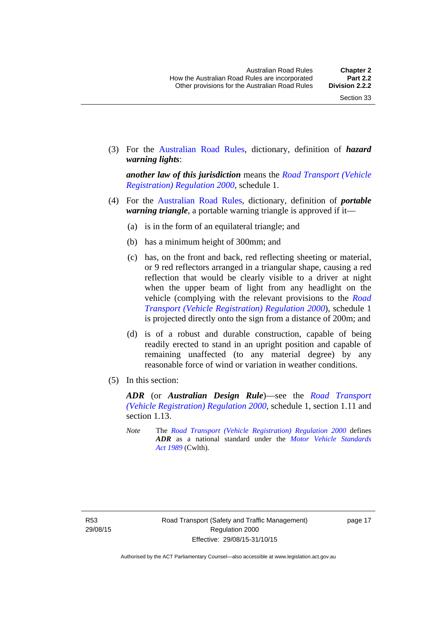(3) For the [Australian Road Rules,](http://www.legislation.act.gov.au//ni/db_37271/default.asp) dictionary, definition of *hazard warning lights*:

*another law of this jurisdiction* means the *[Road Transport \(Vehicle](http://www.legislation.act.gov.au/sl/2000-12)  [Registration\) Regulation 2000](http://www.legislation.act.gov.au/sl/2000-12)*, schedule 1.

- (4) For the [Australian Road Rules](http://www.legislation.act.gov.au//ni/db_37271/default.asp), dictionary, definition of *portable warning triangle*, a portable warning triangle is approved if it—
	- (a) is in the form of an equilateral triangle; and
	- (b) has a minimum height of 300mm; and
	- (c) has, on the front and back, red reflecting sheeting or material, or 9 red reflectors arranged in a triangular shape, causing a red reflection that would be clearly visible to a driver at night when the upper beam of light from any headlight on the vehicle (complying with the relevant provisions to the *[Road](http://www.legislation.act.gov.au/sl/2000-12)  [Transport \(Vehicle Registration\) Regulation 2000](http://www.legislation.act.gov.au/sl/2000-12)*), schedule 1 is projected directly onto the sign from a distance of 200m; and
	- (d) is of a robust and durable construction, capable of being readily erected to stand in an upright position and capable of remaining unaffected (to any material degree) by any reasonable force of wind or variation in weather conditions.
- (5) In this section:

*ADR* (or *Australian Design Rule*)—see the *[Road Transport](http://www.legislation.act.gov.au/sl/2000-12)  [\(Vehicle Registration\) Regulation 2000](http://www.legislation.act.gov.au/sl/2000-12)*, schedule 1, section 1.11 and section 1.13.

*Note* The *[Road Transport \(Vehicle Registration\) Regulation 2000](http://www.legislation.act.gov.au/sl/2000-12)* defines *ADR* as a national standard under the *[Motor Vehicle Standards](http://www.comlaw.gov.au/Series/C2004A03813)  [Act 1989](http://www.comlaw.gov.au/Series/C2004A03813)* (Cwlth).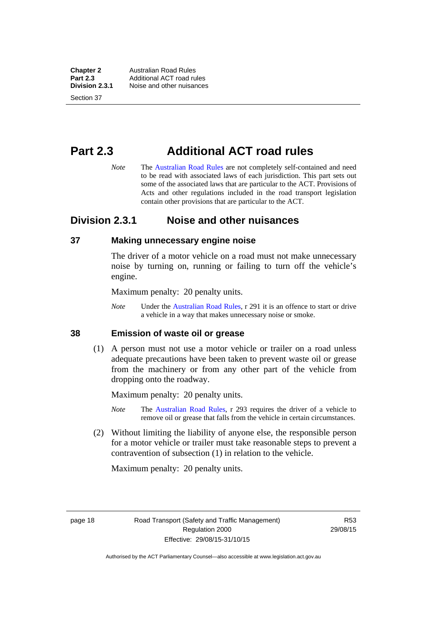**Chapter 2 Australian Road Rules**<br>**Part 2.3 Additional ACT road rules Part 2.3** Additional ACT road rules<br>**Division 2.3.1** Noise and other nuisances **Division 2.3.1** Noise and other nuisances

Section 37

## <span id="page-34-0"></span>**Part 2.3 Additional ACT road rules**

*Note* The [Australian Road Rules](http://www.legislation.act.gov.au//ni/db_37271/default.asp) are not completely self-contained and need to be read with associated laws of each jurisdiction. This part sets out some of the associated laws that are particular to the ACT. Provisions of Acts and other regulations included in the road transport legislation contain other provisions that are particular to the ACT.

## <span id="page-34-1"></span>**Division 2.3.1 Noise and other nuisances**

#### <span id="page-34-2"></span>**37 Making unnecessary engine noise**

The driver of a motor vehicle on a road must not make unnecessary noise by turning on, running or failing to turn off the vehicle's engine.

Maximum penalty: 20 penalty units.

*Note* Under the [Australian Road Rules,](http://www.legislation.act.gov.au//ni/db_37271/default.asp) r 291 it is an offence to start or drive a vehicle in a way that makes unnecessary noise or smoke.

#### <span id="page-34-3"></span>**38 Emission of waste oil or grease**

 (1) A person must not use a motor vehicle or trailer on a road unless adequate precautions have been taken to prevent waste oil or grease from the machinery or from any other part of the vehicle from dropping onto the roadway.

Maximum penalty: 20 penalty units.

- *Note* The [Australian Road Rules,](http://www.legislation.act.gov.au//ni/db_37271/default.asp) r 293 requires the driver of a vehicle to remove oil or grease that falls from the vehicle in certain circumstances.
- (2) Without limiting the liability of anyone else, the responsible person for a motor vehicle or trailer must take reasonable steps to prevent a contravention of subsection (1) in relation to the vehicle.

Maximum penalty: 20 penalty units.

page 18 Road Transport (Safety and Traffic Management) Regulation 2000 Effective: 29/08/15-31/10/15

R53 29/08/15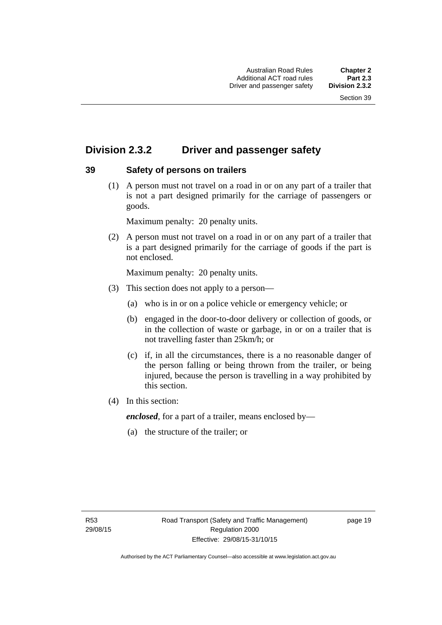## <span id="page-35-0"></span>**Division 2.3.2 Driver and passenger safety**

## <span id="page-35-1"></span>**39 Safety of persons on trailers**

 (1) A person must not travel on a road in or on any part of a trailer that is not a part designed primarily for the carriage of passengers or goods.

Maximum penalty: 20 penalty units.

 (2) A person must not travel on a road in or on any part of a trailer that is a part designed primarily for the carriage of goods if the part is not enclosed.

Maximum penalty: 20 penalty units.

- (3) This section does not apply to a person—
	- (a) who is in or on a police vehicle or emergency vehicle; or
	- (b) engaged in the door-to-door delivery or collection of goods, or in the collection of waste or garbage, in or on a trailer that is not travelling faster than 25km/h; or
	- (c) if, in all the circumstances, there is a no reasonable danger of the person falling or being thrown from the trailer, or being injured, because the person is travelling in a way prohibited by this section.
- (4) In this section:

*enclosed*, for a part of a trailer, means enclosed by—

(a) the structure of the trailer; or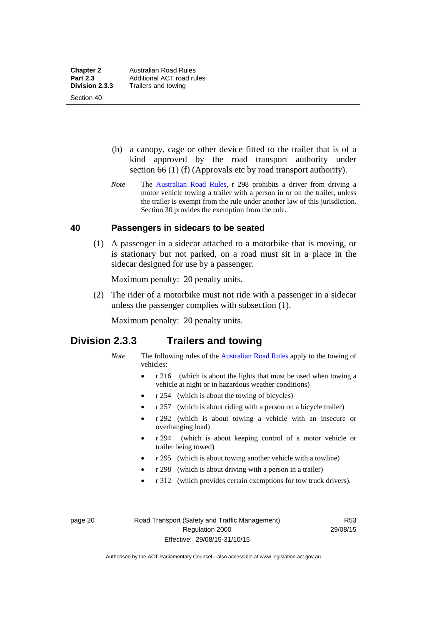Section 40

 (b) a canopy, cage or other device fitted to the trailer that is of a kind approved by the road transport authority under section 66 (1) (f) (Approvals etc by road transport authority).

*Note* The [Australian Road Rules](http://www.legislation.act.gov.au//ni/db_37271/default.asp), r 298 prohibits a driver from driving a motor vehicle towing a trailer with a person in or on the trailer, unless the trailer is exempt from the rule under another law of this jurisdiction. Section 30 provides the exemption from the rule.

#### **40 Passengers in sidecars to be seated**

 (1) A passenger in a sidecar attached to a motorbike that is moving, or is stationary but not parked, on a road must sit in a place in the sidecar designed for use by a passenger.

Maximum penalty: 20 penalty units.

 (2) The rider of a motorbike must not ride with a passenger in a sidecar unless the passenger complies with subsection (1).

Maximum penalty: 20 penalty units.

## **Division 2.3.3 Trailers and towing**

- *Note* The following rules of the [Australian Road Rules](http://www.legislation.act.gov.au//ni/db_37271/default.asp) apply to the towing of vehicles:
	- r 216 (which is about the lights that must be used when towing a vehicle at night or in hazardous weather conditions)
	- r 254 (which is about the towing of bicycles)
	- r 257 (which is about riding with a person on a bicycle trailer)
	- r 292 (which is about towing a vehicle with an insecure or overhanging load)
	- r 294 (which is about keeping control of a motor vehicle or trailer being towed)
	- r 295 (which is about towing another vehicle with a towline)
	- r 298 (which is about driving with a person in a trailer)
	- r 312 (which provides certain exemptions for tow truck drivers).

page 20 Road Transport (Safety and Traffic Management) Regulation 2000 Effective: 29/08/15-31/10/15

R53 29/08/15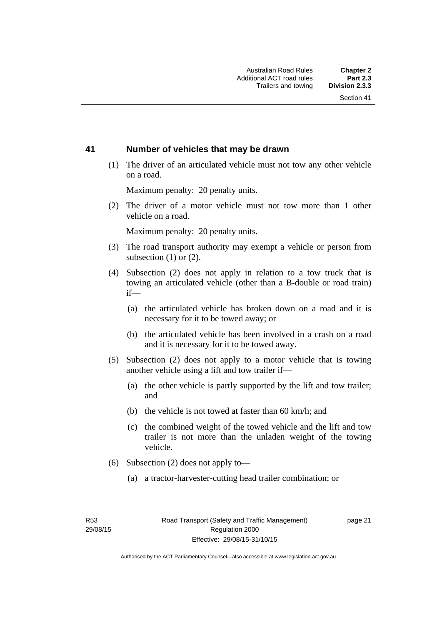#### **41 Number of vehicles that may be drawn**

 (1) The driver of an articulated vehicle must not tow any other vehicle on a road.

Maximum penalty: 20 penalty units.

 (2) The driver of a motor vehicle must not tow more than 1 other vehicle on a road.

Maximum penalty: 20 penalty units.

- (3) The road transport authority may exempt a vehicle or person from subsection (1) or (2).
- (4) Subsection (2) does not apply in relation to a tow truck that is towing an articulated vehicle (other than a B-double or road train) if—
	- (a) the articulated vehicle has broken down on a road and it is necessary for it to be towed away; or
	- (b) the articulated vehicle has been involved in a crash on a road and it is necessary for it to be towed away.
- (5) Subsection (2) does not apply to a motor vehicle that is towing another vehicle using a lift and tow trailer if—
	- (a) the other vehicle is partly supported by the lift and tow trailer; and
	- (b) the vehicle is not towed at faster than 60 km/h; and
	- (c) the combined weight of the towed vehicle and the lift and tow trailer is not more than the unladen weight of the towing vehicle.
- (6) Subsection (2) does not apply to—
	- (a) a tractor-harvester-cutting head trailer combination; or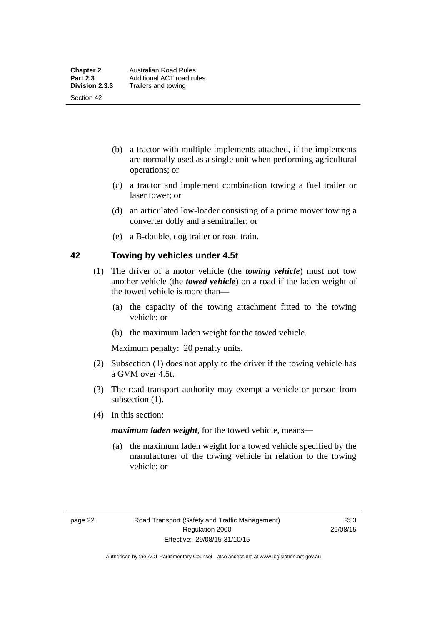Section 42

- (b) a tractor with multiple implements attached, if the implements are normally used as a single unit when performing agricultural operations; or
- (c) a tractor and implement combination towing a fuel trailer or laser tower; or
- (d) an articulated low-loader consisting of a prime mover towing a converter dolly and a semitrailer; or
- (e) a B-double, dog trailer or road train.

#### **42 Towing by vehicles under 4.5t**

- (1) The driver of a motor vehicle (the *towing vehicle*) must not tow another vehicle (the *towed vehicle*) on a road if the laden weight of the towed vehicle is more than—
	- (a) the capacity of the towing attachment fitted to the towing vehicle; or
	- (b) the maximum laden weight for the towed vehicle.

Maximum penalty: 20 penalty units.

- (2) Subsection (1) does not apply to the driver if the towing vehicle has a GVM over 4.5t.
- (3) The road transport authority may exempt a vehicle or person from subsection  $(1)$ .
- (4) In this section:

*maximum laden weight*, for the towed vehicle, means—

 (a) the maximum laden weight for a towed vehicle specified by the manufacturer of the towing vehicle in relation to the towing vehicle; or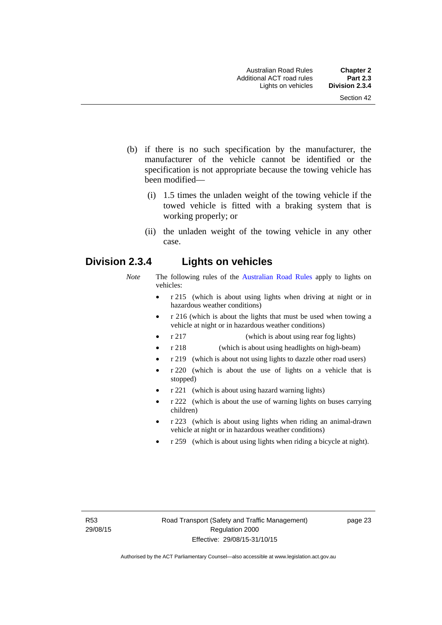- (b) if there is no such specification by the manufacturer, the manufacturer of the vehicle cannot be identified or the specification is not appropriate because the towing vehicle has been modified—
	- (i) 1.5 times the unladen weight of the towing vehicle if the towed vehicle is fitted with a braking system that is working properly; or
	- (ii) the unladen weight of the towing vehicle in any other case.

# **Division 2.3.4 Lights on vehicles**

- *Note* The following rules of the [Australian Road Rules](http://www.legislation.act.gov.au//ni/db_37271/default.asp) apply to lights on vehicles:
	- r 215 (which is about using lights when driving at night or in hazardous weather conditions)
	- r 216 (which is about the lights that must be used when towing a vehicle at night or in hazardous weather conditions)
	- r 217 (which is about using rear fog lights)
	- r 218 (which is about using headlights on high-beam)
	- r 219 (which is about not using lights to dazzle other road users)
	- r 220 (which is about the use of lights on a vehicle that is stopped)
	- r 221 (which is about using hazard warning lights)
	- r 222 (which is about the use of warning lights on buses carrying children)
	- r 223 (which is about using lights when riding an animal-drawn vehicle at night or in hazardous weather conditions)
	- r 259 (which is about using lights when riding a bicycle at night).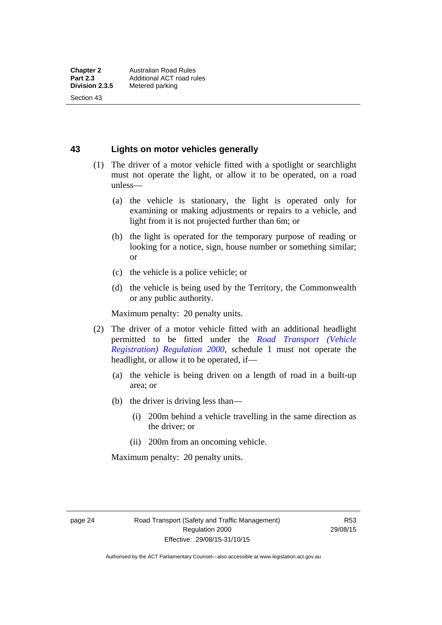Section 43

**43 Lights on motor vehicles generally**

- (1) The driver of a motor vehicle fitted with a spotlight or searchlight must not operate the light, or allow it to be operated, on a road unless—
	- (a) the vehicle is stationary, the light is operated only for examining or making adjustments or repairs to a vehicle, and light from it is not projected further than 6m; or
	- (b) the light is operated for the temporary purpose of reading or looking for a notice, sign, house number or something similar; or
	- (c) the vehicle is a police vehicle; or
	- (d) the vehicle is being used by the Territory, the Commonwealth or any public authority.

Maximum penalty: 20 penalty units.

- (2) The driver of a motor vehicle fitted with an additional headlight permitted to be fitted under the *[Road Transport \(Vehicle](http://www.legislation.act.gov.au/sl/2000-12)  [Registration\) Regulation 2000](http://www.legislation.act.gov.au/sl/2000-12)*, schedule 1 must not operate the headlight, or allow it to be operated, if—
	- (a) the vehicle is being driven on a length of road in a built-up area; or
	- (b) the driver is driving less than—
		- (i) 200m behind a vehicle travelling in the same direction as the driver; or
		- (ii) 200m from an oncoming vehicle.

Maximum penalty: 20 penalty units.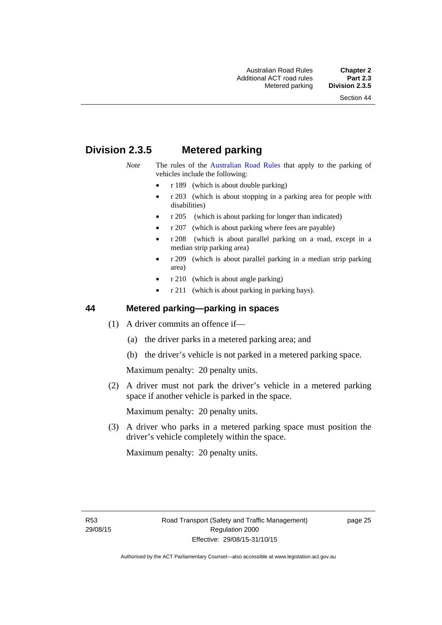# **Division 2.3.5 Metered parking**

- *Note* The rules of the [Australian Road Rules](http://www.legislation.act.gov.au//ni/db_37271/default.asp) that apply to the parking of vehicles include the following:
	- r 189 (which is about double parking)
	- r 203 (which is about stopping in a parking area for people with disabilities)
	- r 205 (which is about parking for longer than indicated)
	- r 207 (which is about parking where fees are payable)
	- r 208 (which is about parallel parking on a road, except in a median strip parking area)
	- r 209 (which is about parallel parking in a median strip parking area)
	- r 210 (which is about angle parking)
	- r 211 (which is about parking in parking bays).

#### **44 Metered parking—parking in spaces**

- (1) A driver commits an offence if—
	- (a) the driver parks in a metered parking area; and
	- (b) the driver's vehicle is not parked in a metered parking space.

Maximum penalty: 20 penalty units.

 (2) A driver must not park the driver's vehicle in a metered parking space if another vehicle is parked in the space.

Maximum penalty: 20 penalty units.

 (3) A driver who parks in a metered parking space must position the driver's vehicle completely within the space.

Maximum penalty: 20 penalty units.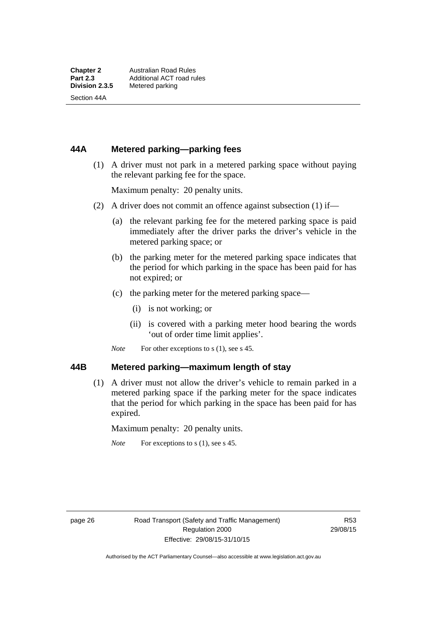Section 44A

#### **44A Metered parking—parking fees**

 (1) A driver must not park in a metered parking space without paying the relevant parking fee for the space.

Maximum penalty: 20 penalty units.

- (2) A driver does not commit an offence against subsection (1) if—
	- (a) the relevant parking fee for the metered parking space is paid immediately after the driver parks the driver's vehicle in the metered parking space; or
	- (b) the parking meter for the metered parking space indicates that the period for which parking in the space has been paid for has not expired; or
	- (c) the parking meter for the metered parking space—
		- (i) is not working; or
		- (ii) is covered with a parking meter hood bearing the words 'out of order time limit applies'.
	- *Note* For other exceptions to s (1), see s 45.

#### **44B Metered parking—maximum length of stay**

 (1) A driver must not allow the driver's vehicle to remain parked in a metered parking space if the parking meter for the space indicates that the period for which parking in the space has been paid for has expired.

Maximum penalty: 20 penalty units.

*Note* For exceptions to s (1), see s 45.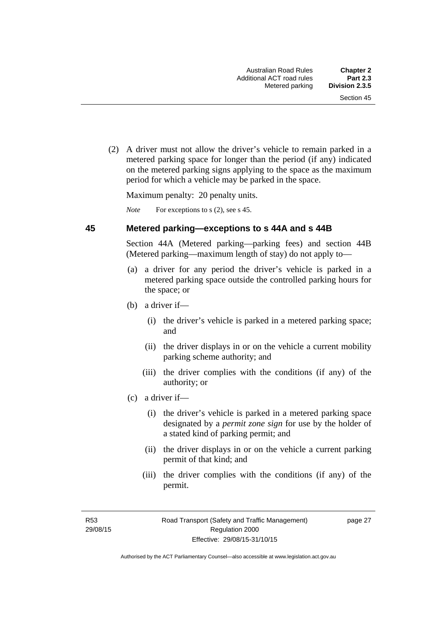(2) A driver must not allow the driver's vehicle to remain parked in a metered parking space for longer than the period (if any) indicated on the metered parking signs applying to the space as the maximum period for which a vehicle may be parked in the space.

Maximum penalty: 20 penalty units.

*Note* For exceptions to s (2), see s 45.

#### **45 Metered parking—exceptions to s 44A and s 44B**

Section 44A (Metered parking—parking fees) and section 44B (Metered parking—maximum length of stay) do not apply to—

- (a) a driver for any period the driver's vehicle is parked in a metered parking space outside the controlled parking hours for the space; or
- (b) a driver if—
	- (i) the driver's vehicle is parked in a metered parking space; and
	- (ii) the driver displays in or on the vehicle a current mobility parking scheme authority; and
	- (iii) the driver complies with the conditions (if any) of the authority; or
- (c) a driver if—
	- (i) the driver's vehicle is parked in a metered parking space designated by a *permit zone sign* for use by the holder of a stated kind of parking permit; and
	- (ii) the driver displays in or on the vehicle a current parking permit of that kind; and
	- (iii) the driver complies with the conditions (if any) of the permit.

R53 29/08/15 page 27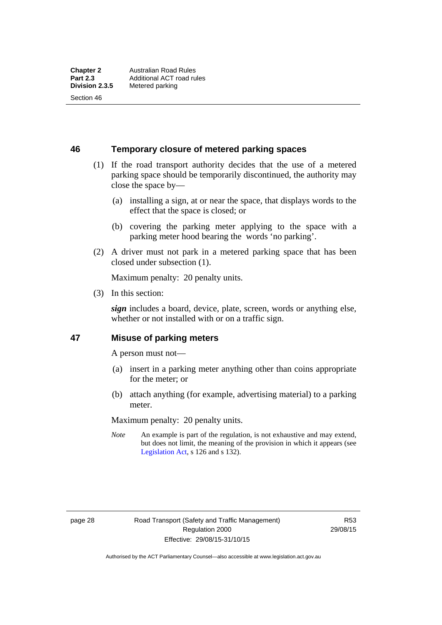Section 46

**46 Temporary closure of metered parking spaces**

- (1) If the road transport authority decides that the use of a metered parking space should be temporarily discontinued, the authority may close the space by—
	- (a) installing a sign, at or near the space, that displays words to the effect that the space is closed; or
	- (b) covering the parking meter applying to the space with a parking meter hood bearing the words 'no parking'.
- (2) A driver must not park in a metered parking space that has been closed under subsection (1).

Maximum penalty: 20 penalty units.

(3) In this section:

*sign* includes a board, device, plate, screen, words or anything else, whether or not installed with or on a traffic sign.

#### **47 Misuse of parking meters**

A person must not—

- (a) insert in a parking meter anything other than coins appropriate for the meter; or
- (b) attach anything (for example, advertising material) to a parking meter.

Maximum penalty: 20 penalty units.

*Note* An example is part of the regulation, is not exhaustive and may extend, but does not limit, the meaning of the provision in which it appears (see [Legislation Act,](http://www.legislation.act.gov.au/a/2001-14) s 126 and s 132).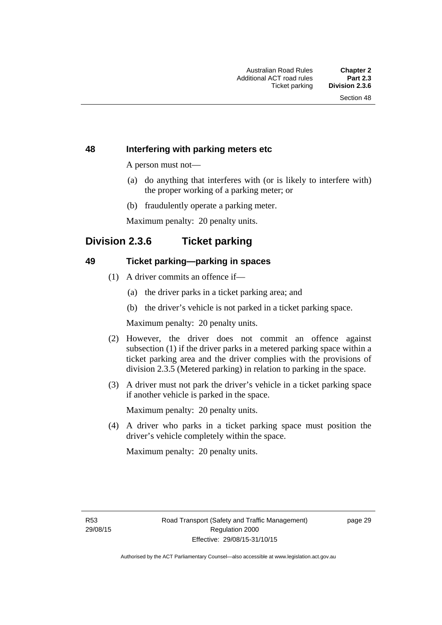#### **48 Interfering with parking meters etc**

A person must not—

- (a) do anything that interferes with (or is likely to interfere with) the proper working of a parking meter; or
- (b) fraudulently operate a parking meter.

Maximum penalty: 20 penalty units.

# **Division 2.3.6 Ticket parking**

#### **49 Ticket parking—parking in spaces**

- (1) A driver commits an offence if—
	- (a) the driver parks in a ticket parking area; and
	- (b) the driver's vehicle is not parked in a ticket parking space.

Maximum penalty: 20 penalty units.

- (2) However, the driver does not commit an offence against subsection (1) if the driver parks in a metered parking space within a ticket parking area and the driver complies with the provisions of division 2.3.5 (Metered parking) in relation to parking in the space.
- (3) A driver must not park the driver's vehicle in a ticket parking space if another vehicle is parked in the space.

Maximum penalty: 20 penalty units.

 (4) A driver who parks in a ticket parking space must position the driver's vehicle completely within the space.

Maximum penalty: 20 penalty units.

R53 29/08/15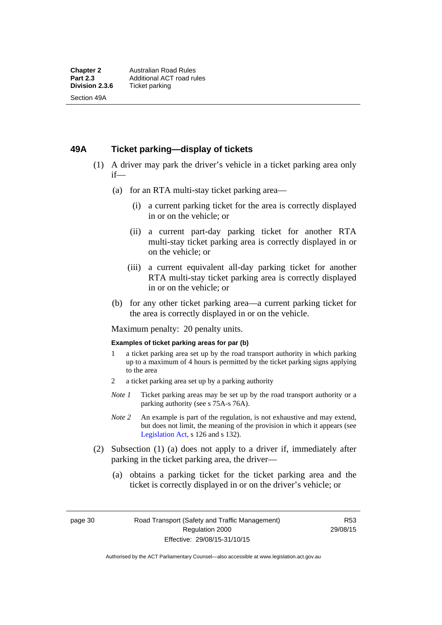#### **49A Ticket parking—display of tickets**

- (1) A driver may park the driver's vehicle in a ticket parking area only if—
	- (a) for an RTA multi-stay ticket parking area—
		- (i) a current parking ticket for the area is correctly displayed in or on the vehicle; or
		- (ii) a current part-day parking ticket for another RTA multi-stay ticket parking area is correctly displayed in or on the vehicle; or
		- (iii) a current equivalent all-day parking ticket for another RTA multi-stay ticket parking area is correctly displayed in or on the vehicle; or
	- (b) for any other ticket parking area—a current parking ticket for the area is correctly displayed in or on the vehicle.

Maximum penalty: 20 penalty units.

#### **Examples of ticket parking areas for par (b)**

- 1 a ticket parking area set up by the road transport authority in which parking up to a maximum of 4 hours is permitted by the ticket parking signs applying to the area
- 2 a ticket parking area set up by a parking authority
- *Note 1* Ticket parking areas may be set up by the road transport authority or a parking authority (see s 75A-s 76A).
- *Note 2* An example is part of the regulation, is not exhaustive and may extend, but does not limit, the meaning of the provision in which it appears (see [Legislation Act,](http://www.legislation.act.gov.au/a/2001-14) s 126 and s 132).
- (2) Subsection (1) (a) does not apply to a driver if, immediately after parking in the ticket parking area, the driver—
	- (a) obtains a parking ticket for the ticket parking area and the ticket is correctly displayed in or on the driver's vehicle; or

page 30 Road Transport (Safety and Traffic Management) Regulation 2000 Effective: 29/08/15-31/10/15

R53 29/08/15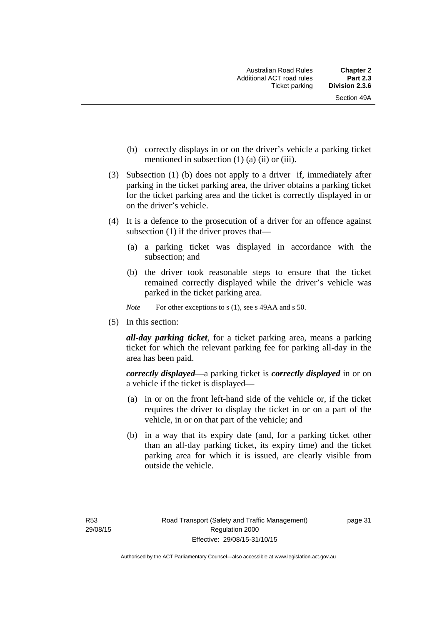- (b) correctly displays in or on the driver's vehicle a parking ticket mentioned in subsection  $(1)$   $(a)$   $(ii)$  or  $(iii)$ .
- (3) Subsection (1) (b) does not apply to a driver if, immediately after parking in the ticket parking area, the driver obtains a parking ticket for the ticket parking area and the ticket is correctly displayed in or on the driver's vehicle.
- (4) It is a defence to the prosecution of a driver for an offence against subsection (1) if the driver proves that—
	- (a) a parking ticket was displayed in accordance with the subsection; and
	- (b) the driver took reasonable steps to ensure that the ticket remained correctly displayed while the driver's vehicle was parked in the ticket parking area.
	- *Note* For other exceptions to s (1), see s 49AA and s 50.
- (5) In this section:

*all-day parking ticket*, for a ticket parking area, means a parking ticket for which the relevant parking fee for parking all-day in the area has been paid.

*correctly displayed*—a parking ticket is *correctly displayed* in or on a vehicle if the ticket is displayed—

- (a) in or on the front left-hand side of the vehicle or, if the ticket requires the driver to display the ticket in or on a part of the vehicle, in or on that part of the vehicle; and
- (b) in a way that its expiry date (and, for a parking ticket other than an all-day parking ticket, its expiry time) and the ticket parking area for which it is issued, are clearly visible from outside the vehicle.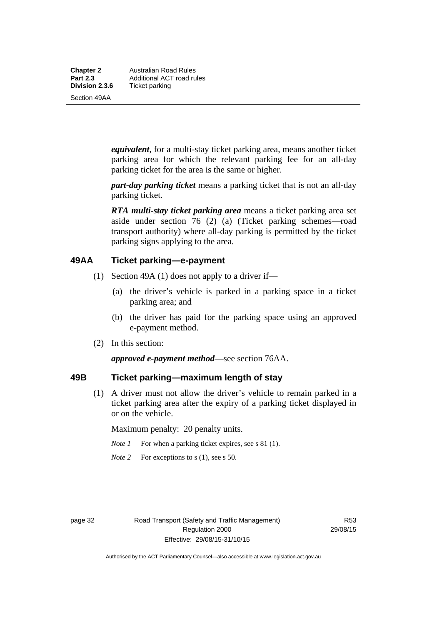**Chapter 2** Australian Road Rules<br>**Part 2.3** Additional ACT road ru **Part 2.3 Additional ACT road rules**<br>**Division 2.3.6** Ticket parking **Ticket parking** 

Section 49AA

*equivalent*, for a multi-stay ticket parking area, means another ticket parking area for which the relevant parking fee for an all-day parking ticket for the area is the same or higher.

*part-day parking ticket* means a parking ticket that is not an all-day parking ticket.

*RTA multi-stay ticket parking area* means a ticket parking area set aside under section 76 (2) (a) (Ticket parking schemes—road transport authority) where all-day parking is permitted by the ticket parking signs applying to the area.

#### **49AA Ticket parking—e-payment**

- (1) Section 49A (1) does not apply to a driver if—
	- (a) the driver's vehicle is parked in a parking space in a ticket parking area; and
	- (b) the driver has paid for the parking space using an approved e-payment method.
- (2) In this section:

*approved e-payment method*—see section 76AA.

## **49B Ticket parking—maximum length of stay**

(1) A driver must not allow the driver's vehicle to remain parked in a ticket parking area after the expiry of a parking ticket displayed in or on the vehicle.

Maximum penalty: 20 penalty units.

- *Note 1* For when a parking ticket expires, see s 81 (1).
- *Note* 2 For exceptions to s (1), see s 50.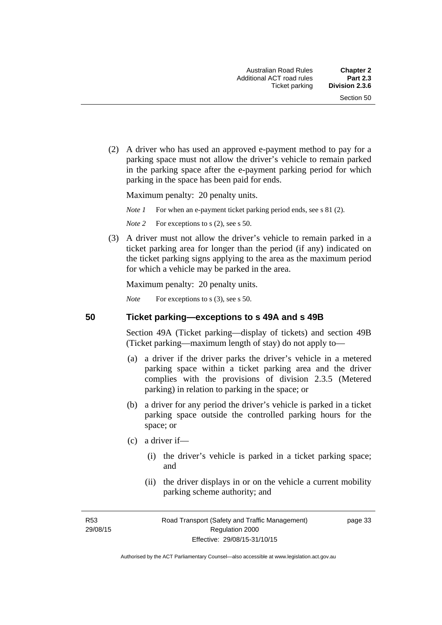(2) A driver who has used an approved e-payment method to pay for a parking space must not allow the driver's vehicle to remain parked in the parking space after the e-payment parking period for which parking in the space has been paid for ends.

Maximum penalty: 20 penalty units.

*Note 1* For when an e-payment ticket parking period ends, see s 81 (2).

*Note* 2 For exceptions to s (2), see s 50.

 (3) A driver must not allow the driver's vehicle to remain parked in a ticket parking area for longer than the period (if any) indicated on the ticket parking signs applying to the area as the maximum period for which a vehicle may be parked in the area.

Maximum penalty: 20 penalty units.

*Note* For exceptions to s (3), see s 50.

**50 Ticket parking—exceptions to s 49A and s 49B** 

Section 49A (Ticket parking—display of tickets) and section 49B (Ticket parking—maximum length of stay) do not apply to—

- (a) a driver if the driver parks the driver's vehicle in a metered parking space within a ticket parking area and the driver complies with the provisions of division 2.3.5 (Metered parking) in relation to parking in the space; or
- (b) a driver for any period the driver's vehicle is parked in a ticket parking space outside the controlled parking hours for the space; or
- (c) a driver if—
	- (i) the driver's vehicle is parked in a ticket parking space; and
	- (ii) the driver displays in or on the vehicle a current mobility parking scheme authority; and

R53 29/08/15 page 33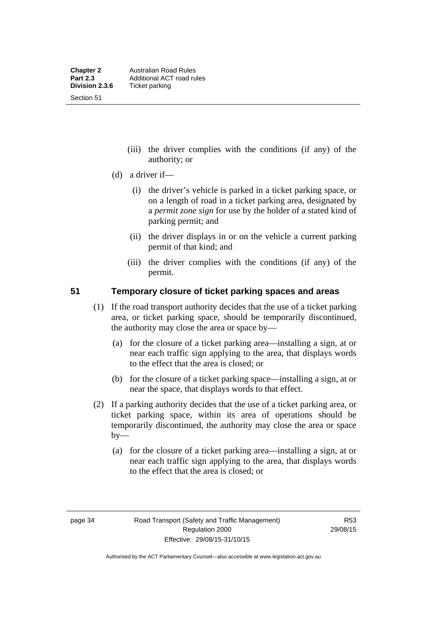Section 51

- (iii) the driver complies with the conditions (if any) of the authority; or
- (d) a driver if—
	- (i) the driver's vehicle is parked in a ticket parking space, or on a length of road in a ticket parking area, designated by a *permit zone sign* for use by the holder of a stated kind of parking permit; and
	- (ii) the driver displays in or on the vehicle a current parking permit of that kind; and
	- (iii) the driver complies with the conditions (if any) of the permit.

#### **51 Temporary closure of ticket parking spaces and areas**

- (1) If the road transport authority decides that the use of a ticket parking area, or ticket parking space, should be temporarily discontinued, the authority may close the area or space by—
	- (a) for the closure of a ticket parking area—installing a sign, at or near each traffic sign applying to the area, that displays words to the effect that the area is closed; or
	- (b) for the closure of a ticket parking space—installing a sign, at or near the space, that displays words to that effect.
- (2) If a parking authority decides that the use of a ticket parking area, or ticket parking space, within its area of operations should be temporarily discontinued, the authority may close the area or space  $by-$ 
	- (a) for the closure of a ticket parking area—installing a sign, at or near each traffic sign applying to the area, that displays words to the effect that the area is closed; or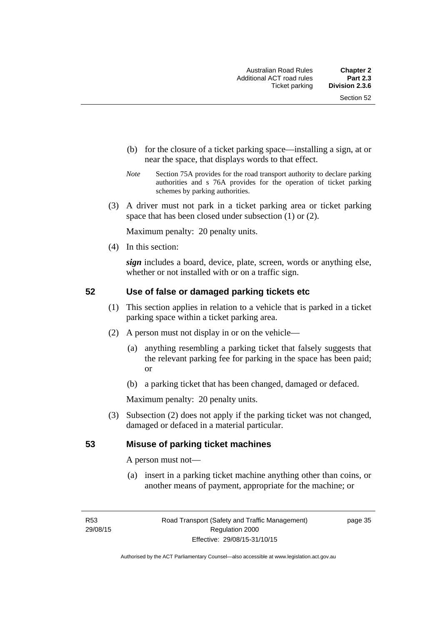- (b) for the closure of a ticket parking space—installing a sign, at or near the space, that displays words to that effect.
- *Note* Section 75A provides for the road transport authority to declare parking authorities and s 76A provides for the operation of ticket parking schemes by parking authorities.
- (3) A driver must not park in a ticket parking area or ticket parking space that has been closed under subsection (1) or (2).

Maximum penalty: 20 penalty units.

(4) In this section:

*sign* includes a board, device, plate, screen, words or anything else, whether or not installed with or on a traffic sign.

#### **52 Use of false or damaged parking tickets etc**

- (1) This section applies in relation to a vehicle that is parked in a ticket parking space within a ticket parking area.
- (2) A person must not display in or on the vehicle—
	- (a) anything resembling a parking ticket that falsely suggests that the relevant parking fee for parking in the space has been paid; or
	- (b) a parking ticket that has been changed, damaged or defaced.

Maximum penalty: 20 penalty units.

 (3) Subsection (2) does not apply if the parking ticket was not changed, damaged or defaced in a material particular.

#### **53 Misuse of parking ticket machines**

A person must not—

(a) insert in a parking ticket machine anything other than coins, or another means of payment, appropriate for the machine; or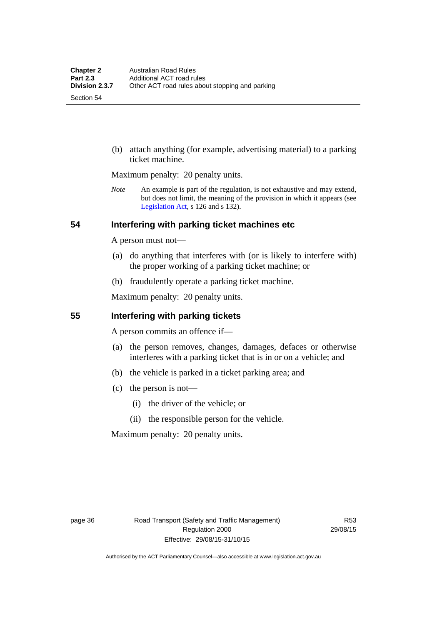Section 54

 (b) attach anything (for example, advertising material) to a parking ticket machine.

Maximum penalty: 20 penalty units.

*Note* An example is part of the regulation, is not exhaustive and may extend, but does not limit, the meaning of the provision in which it appears (see [Legislation Act,](http://www.legislation.act.gov.au/a/2001-14) s 126 and s 132).

#### **54 Interfering with parking ticket machines etc**

A person must not—

- (a) do anything that interferes with (or is likely to interfere with) the proper working of a parking ticket machine; or
- (b) fraudulently operate a parking ticket machine.

Maximum penalty: 20 penalty units.

#### **55 Interfering with parking tickets**

A person commits an offence if—

- (a) the person removes, changes, damages, defaces or otherwise interferes with a parking ticket that is in or on a vehicle; and
- (b) the vehicle is parked in a ticket parking area; and
- (c) the person is not—
	- (i) the driver of the vehicle; or
	- (ii) the responsible person for the vehicle.

Maximum penalty: 20 penalty units.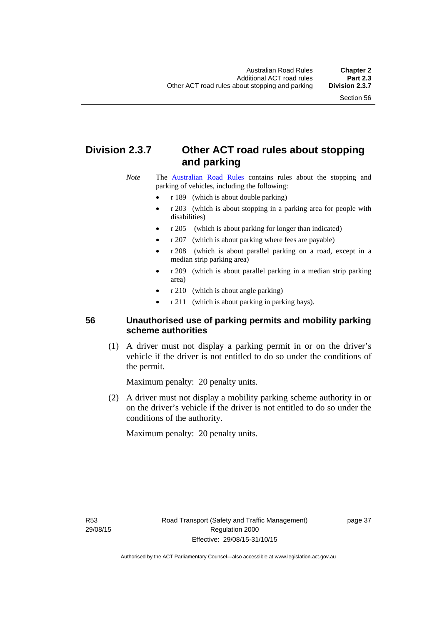# **Division 2.3.7 Other ACT road rules about stopping and parking**

*Note* The [Australian Road Rules](http://www.legislation.act.gov.au//ni/db_37271/default.asp) contains rules about the stopping and parking of vehicles, including the following:

- r 189 (which is about double parking)
- r 203 (which is about stopping in a parking area for people with disabilities)
- r 205 (which is about parking for longer than indicated)
- r 207 (which is about parking where fees are payable)
- r 208 (which is about parallel parking on a road, except in a median strip parking area)
- r 209 (which is about parallel parking in a median strip parking area)
- r 210 (which is about angle parking)
- r 211 (which is about parking in parking bays).

## **56 Unauthorised use of parking permits and mobility parking scheme authorities**

 (1) A driver must not display a parking permit in or on the driver's vehicle if the driver is not entitled to do so under the conditions of the permit.

Maximum penalty: 20 penalty units.

 (2) A driver must not display a mobility parking scheme authority in or on the driver's vehicle if the driver is not entitled to do so under the conditions of the authority.

Maximum penalty: 20 penalty units.

R53 29/08/15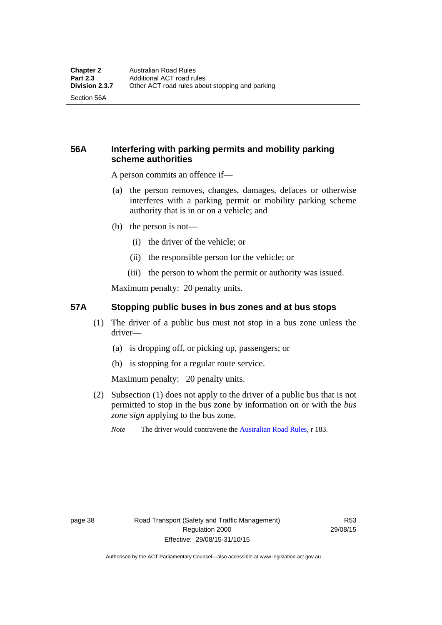Section 56A

## **56A Interfering with parking permits and mobility parking scheme authorities**

A person commits an offence if—

- (a) the person removes, changes, damages, defaces or otherwise interferes with a parking permit or mobility parking scheme authority that is in or on a vehicle; and
- (b) the person is not—
	- (i) the driver of the vehicle; or
	- (ii) the responsible person for the vehicle; or
	- (iii) the person to whom the permit or authority was issued.

Maximum penalty: 20 penalty units.

#### **57A Stopping public buses in bus zones and at bus stops**

- (1) The driver of a public bus must not stop in a bus zone unless the driver—
	- (a) is dropping off, or picking up, passengers; or
	- (b) is stopping for a regular route service.

Maximum penalty: 20 penalty units.

- (2) Subsection (1) does not apply to the driver of a public bus that is not permitted to stop in the bus zone by information on or with the *bus zone sign* applying to the bus zone.
	- *Note* The driver would contravene the [Australian Road Rules,](http://www.legislation.act.gov.au//ni/db_37271/default.asp) r 183.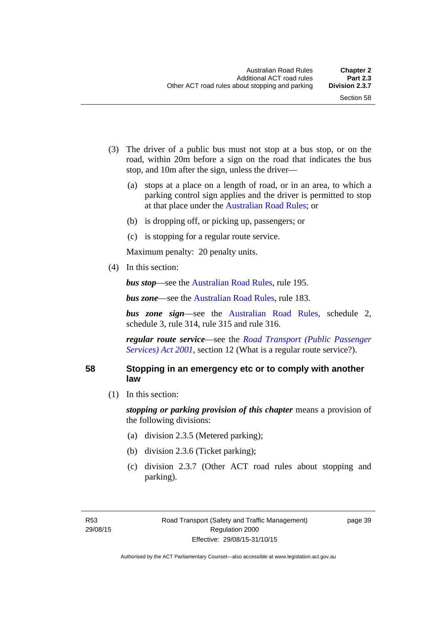- (3) The driver of a public bus must not stop at a bus stop, or on the road, within 20m before a sign on the road that indicates the bus stop, and 10m after the sign, unless the driver—
	- (a) stops at a place on a length of road, or in an area, to which a parking control sign applies and the driver is permitted to stop at that place under the [Australian Road Rules;](http://www.legislation.act.gov.au//ni/db_37271/default.asp) or
	- (b) is dropping off, or picking up, passengers; or
	- (c) is stopping for a regular route service.

Maximum penalty: 20 penalty units.

(4) In this section:

*bus stop***—see the [Australian Road Rules](http://www.legislation.act.gov.au//ni/db_37271/default.asp)**, rule 195.

*bus zone***—see the Australian Road Rules**, rule 183.

*bus zone sign*—see the [Australian Road Rules,](http://www.legislation.act.gov.au//ni/db_37271/default.asp) schedule 2, schedule 3, rule 314, rule 315 and rule 316.

*regular route service*—see the *[Road Transport \(Public Passenger](http://www.legislation.act.gov.au/a/2001-62)  Services*) *Act 2001*, section 12 (What is a regular route service?).

#### **58 Stopping in an emergency etc or to comply with another law**

(1) In this section:

*stopping or parking provision of this chapter* means a provision of the following divisions:

- (a) division 2.3.5 (Metered parking);
- (b) division 2.3.6 (Ticket parking);
- (c) division 2.3.7 (Other ACT road rules about stopping and parking).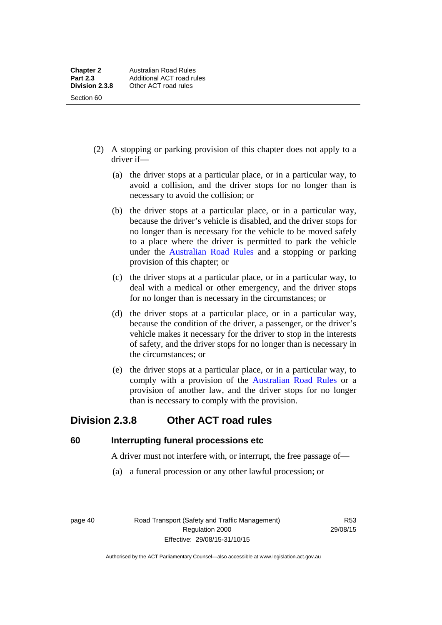- (2) A stopping or parking provision of this chapter does not apply to a driver if—
	- (a) the driver stops at a particular place, or in a particular way, to avoid a collision, and the driver stops for no longer than is necessary to avoid the collision; or
	- (b) the driver stops at a particular place, or in a particular way, because the driver's vehicle is disabled, and the driver stops for no longer than is necessary for the vehicle to be moved safely to a place where the driver is permitted to park the vehicle under the [Australian Road Rules](http://www.legislation.act.gov.au//ni/db_37271/default.asp) and a stopping or parking provision of this chapter; or
	- (c) the driver stops at a particular place, or in a particular way, to deal with a medical or other emergency, and the driver stops for no longer than is necessary in the circumstances; or
	- (d) the driver stops at a particular place, or in a particular way, because the condition of the driver, a passenger, or the driver's vehicle makes it necessary for the driver to stop in the interests of safety, and the driver stops for no longer than is necessary in the circumstances; or
	- (e) the driver stops at a particular place, or in a particular way, to comply with a provision of the [Australian Road Rules](http://www.legislation.act.gov.au//ni/db_37271/default.asp) or a provision of another law, and the driver stops for no longer than is necessary to comply with the provision.

# **Division 2.3.8 Other ACT road rules**

**60 Interrupting funeral processions etc**

A driver must not interfere with, or interrupt, the free passage of—

(a) a funeral procession or any other lawful procession; or

page 40 Road Transport (Safety and Traffic Management) Regulation 2000 Effective: 29/08/15-31/10/15

R53 29/08/15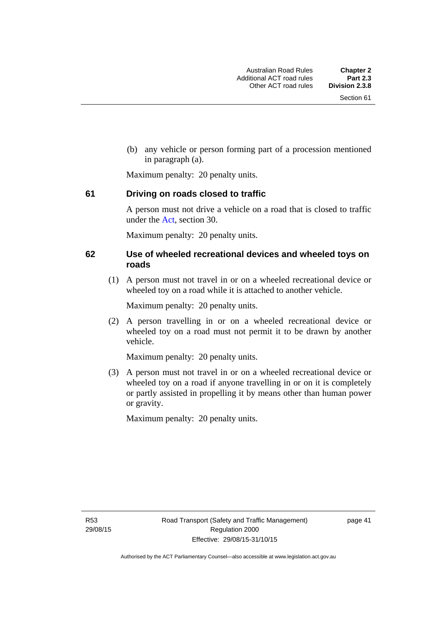(b) any vehicle or person forming part of a procession mentioned in paragraph (a).

Maximum penalty: 20 penalty units.

#### **61 Driving on roads closed to traffic**

A person must not drive a vehicle on a road that is closed to traffic under the [Act](http://www.legislation.act.gov.au/a/1999-80/default.asp), section 30.

Maximum penalty: 20 penalty units.

#### **62 Use of wheeled recreational devices and wheeled toys on roads**

 (1) A person must not travel in or on a wheeled recreational device or wheeled toy on a road while it is attached to another vehicle.

Maximum penalty: 20 penalty units.

 (2) A person travelling in or on a wheeled recreational device or wheeled toy on a road must not permit it to be drawn by another vehicle.

Maximum penalty: 20 penalty units.

 (3) A person must not travel in or on a wheeled recreational device or wheeled toy on a road if anyone travelling in or on it is completely or partly assisted in propelling it by means other than human power or gravity.

Maximum penalty: 20 penalty units.

R53 29/08/15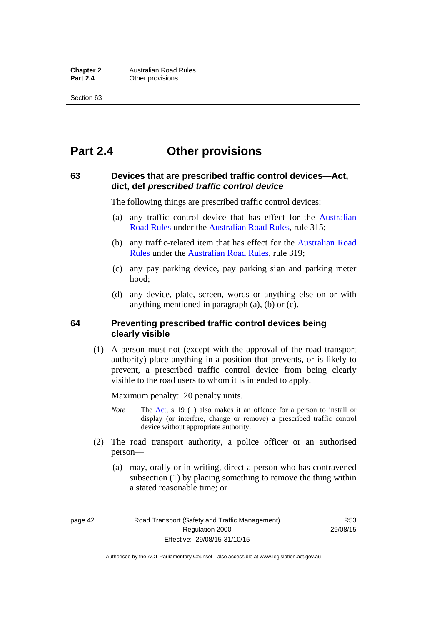# **Part 2.4 Other provisions**

#### **63 Devices that are prescribed traffic control devices—Act, dict, def** *prescribed traffic control device*

The following things are prescribed traffic control devices:

- (a) any traffic control device that has effect for the [Australian](http://www.legislation.act.gov.au//ni/db_37271/default.asp)  [Road Rules](http://www.legislation.act.gov.au//ni/db_37271/default.asp) under the [Australian Road Rules](http://www.legislation.act.gov.au//ni/db_37271/default.asp), rule 315;
- (b) any traffic-related item that has effect for the [Australian Road](http://www.legislation.act.gov.au//ni/db_37271/default.asp)  [Rules](http://www.legislation.act.gov.au//ni/db_37271/default.asp) under the [Australian Road Rules,](http://www.legislation.act.gov.au//ni/db_37271/default.asp) rule 319;
- (c) any pay parking device, pay parking sign and parking meter hood;
- (d) any device, plate, screen, words or anything else on or with anything mentioned in paragraph (a), (b) or (c).

#### **64 Preventing prescribed traffic control devices being clearly visible**

 (1) A person must not (except with the approval of the road transport authority) place anything in a position that prevents, or is likely to prevent, a prescribed traffic control device from being clearly visible to the road users to whom it is intended to apply.

Maximum penalty: 20 penalty units.

- *Note* The [Act](http://www.legislation.act.gov.au/a/1999-80/default.asp), s 19 (1) also makes it an offence for a person to install or display (or interfere, change or remove) a prescribed traffic control device without appropriate authority.
- (2) The road transport authority, a police officer or an authorised person—
	- (a) may, orally or in writing, direct a person who has contravened subsection (1) by placing something to remove the thing within a stated reasonable time; or

page 42 Road Transport (Safety and Traffic Management) Regulation 2000 Effective: 29/08/15-31/10/15

R53 29/08/15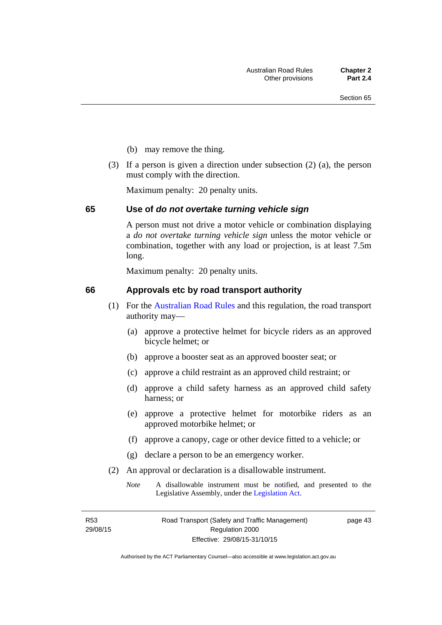- (b) may remove the thing.
- (3) If a person is given a direction under subsection (2) (a), the person must comply with the direction.

Maximum penalty: 20 penalty units.

#### **65 Use of** *do not overtake turning vehicle sign*

A person must not drive a motor vehicle or combination displaying a *do not overtake turning vehicle sign* unless the motor vehicle or combination, together with any load or projection, is at least 7.5m long.

Maximum penalty: 20 penalty units.

#### **66 Approvals etc by road transport authority**

- (1) For the [Australian Road Rules](http://www.legislation.act.gov.au//ni/db_37271/default.asp) and this regulation, the road transport authority may—
	- (a) approve a protective helmet for bicycle riders as an approved bicycle helmet; or
	- (b) approve a booster seat as an approved booster seat; or
	- (c) approve a child restraint as an approved child restraint; or
	- (d) approve a child safety harness as an approved child safety harness; or
	- (e) approve a protective helmet for motorbike riders as an approved motorbike helmet; or
	- (f) approve a canopy, cage or other device fitted to a vehicle; or
	- (g) declare a person to be an emergency worker.
- (2) An approval or declaration is a disallowable instrument.
	- *Note* A disallowable instrument must be notified, and presented to the Legislative Assembly, under the [Legislation Act.](http://www.legislation.act.gov.au/a/2001-14)

R53 29/08/15 page 43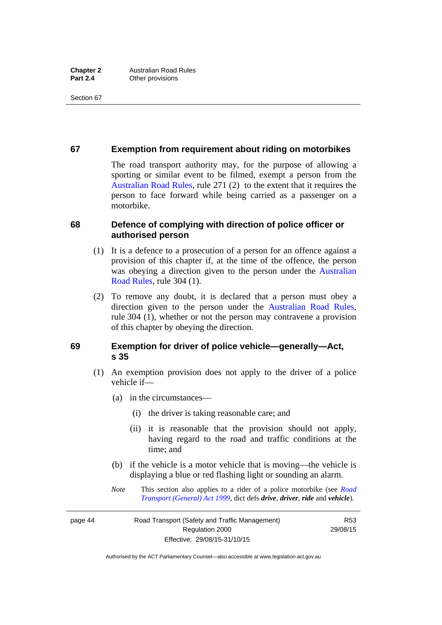#### **67 Exemption from requirement about riding on motorbikes**

The road transport authority may, for the purpose of allowing a sporting or similar event to be filmed, exempt a person from the [Australian Road Rules](http://www.legislation.act.gov.au//ni/db_37271/default.asp), rule 271 (2) to the extent that it requires the person to face forward while being carried as a passenger on a motorbike.

#### **68 Defence of complying with direction of police officer or authorised person**

- (1) It is a defence to a prosecution of a person for an offence against a provision of this chapter if, at the time of the offence, the person was obeying a direction given to the person under the [Australian](http://www.legislation.act.gov.au//ni/db_37271/default.asp)  [Road Rules,](http://www.legislation.act.gov.au//ni/db_37271/default.asp) rule 304 (1).
- (2) To remove any doubt, it is declared that a person must obey a direction given to the person under the [Australian Road Rules](http://www.legislation.act.gov.au//ni/db_37271/default.asp), rule 304 (1), whether or not the person may contravene a provision of this chapter by obeying the direction.

#### **69 Exemption for driver of police vehicle—generally—Act, s 35**

- (1) An exemption provision does not apply to the driver of a police vehicle if—
	- (a) in the circumstances—
		- (i) the driver is taking reasonable care; and
		- (ii) it is reasonable that the provision should not apply, having regard to the road and traffic conditions at the time; and
	- (b) if the vehicle is a motor vehicle that is moving—the vehicle is displaying a blue or red flashing light or sounding an alarm.
	- *Note* This section also applies to a rider of a police motorbike (see *[Road](http://www.legislation.act.gov.au/a/1999-77)  [Transport \(General\) Act 1999](http://www.legislation.act.gov.au/a/1999-77)*, dict defs *drive*, *driver*, *ride* and *vehicle*).

page 44 Road Transport (Safety and Traffic Management) Regulation 2000 Effective: 29/08/15-31/10/15

R53 29/08/15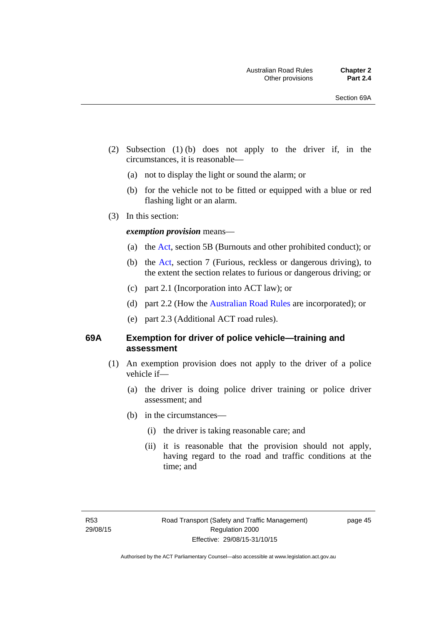- (2) Subsection (1) (b) does not apply to the driver if, in the circumstances, it is reasonable—
	- (a) not to display the light or sound the alarm; or
	- (b) for the vehicle not to be fitted or equipped with a blue or red flashing light or an alarm.
- (3) In this section:

#### *exemption provision* means—

- (a) the [Act](http://www.legislation.act.gov.au/a/1999-80/default.asp), section 5B (Burnouts and other prohibited conduct); or
- (b) the [Act](http://www.legislation.act.gov.au/a/1999-80/default.asp), section 7 (Furious, reckless or dangerous driving), to the extent the section relates to furious or dangerous driving; or
- (c) part 2.1 (Incorporation into ACT law); or
- (d) part 2.2 (How the [Australian Road Rules](http://www.legislation.act.gov.au//ni/db_37271/default.asp) are incorporated); or
- (e) part 2.3 (Additional ACT road rules).

#### **69A Exemption for driver of police vehicle—training and assessment**

- (1) An exemption provision does not apply to the driver of a police vehicle if—
	- (a) the driver is doing police driver training or police driver assessment; and
	- (b) in the circumstances—
		- (i) the driver is taking reasonable care; and
		- (ii) it is reasonable that the provision should not apply, having regard to the road and traffic conditions at the time; and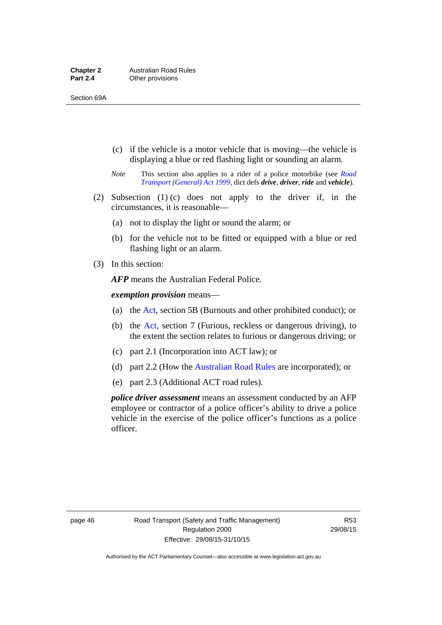- (c) if the vehicle is a motor vehicle that is moving—the vehicle is displaying a blue or red flashing light or sounding an alarm.
- *Note* This section also applies to a rider of a police motorbike (see *[Road](http://www.legislation.act.gov.au/a/1999-77)  [Transport \(General\) Act 1999](http://www.legislation.act.gov.au/a/1999-77)*, dict defs *drive*, *driver*, *ride* and *vehicle*).
- (2) Subsection (1) (c) does not apply to the driver if, in the circumstances, it is reasonable—
	- (a) not to display the light or sound the alarm; or
	- (b) for the vehicle not to be fitted or equipped with a blue or red flashing light or an alarm.
- (3) In this section:

*AFP* means the Australian Federal Police.

*exemption provision* means—

- (a) the [Act,](http://www.legislation.act.gov.au/a/1999-80/default.asp) section 5B (Burnouts and other prohibited conduct); or
- (b) the [Act](http://www.legislation.act.gov.au/a/1999-80/default.asp), section 7 (Furious, reckless or dangerous driving), to the extent the section relates to furious or dangerous driving; or
- (c) part 2.1 (Incorporation into ACT law); or
- (d) part 2.2 (How the [Australian Road Rules](http://www.legislation.act.gov.au//ni/db_37271/default.asp) are incorporated); or
- (e) part 2.3 (Additional ACT road rules).

*police driver assessment* means an assessment conducted by an AFP employee or contractor of a police officer's ability to drive a police vehicle in the exercise of the police officer's functions as a police officer.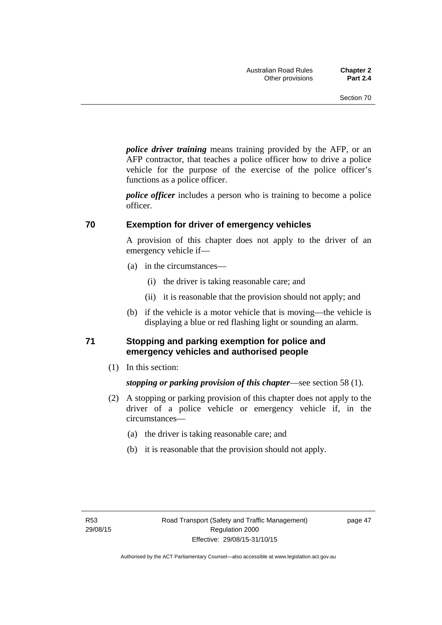*police driver training* means training provided by the AFP, or an AFP contractor, that teaches a police officer how to drive a police vehicle for the purpose of the exercise of the police officer's functions as a police officer.

*police officer* includes a person who is training to become a police officer.

#### **70 Exemption for driver of emergency vehicles**

A provision of this chapter does not apply to the driver of an emergency vehicle if—

- (a) in the circumstances—
	- (i) the driver is taking reasonable care; and
	- (ii) it is reasonable that the provision should not apply; and
- (b) if the vehicle is a motor vehicle that is moving—the vehicle is displaying a blue or red flashing light or sounding an alarm.

#### **71 Stopping and parking exemption for police and emergency vehicles and authorised people**

(1) In this section:

*stopping or parking provision of this chapter*—see section 58 (1).

- (2) A stopping or parking provision of this chapter does not apply to the driver of a police vehicle or emergency vehicle if, in the circumstances—
	- (a) the driver is taking reasonable care; and
	- (b) it is reasonable that the provision should not apply.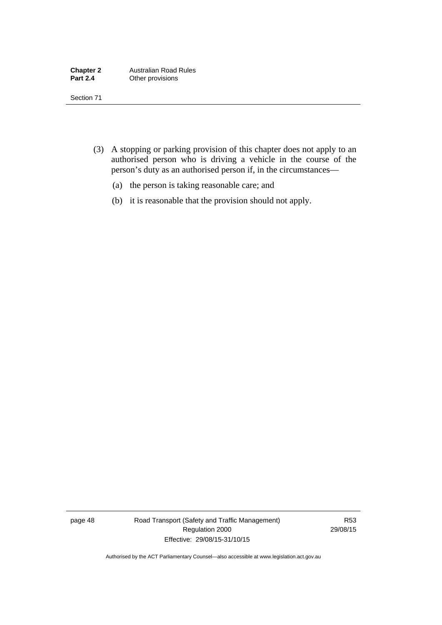- (3) A stopping or parking provision of this chapter does not apply to an authorised person who is driving a vehicle in the course of the person's duty as an authorised person if, in the circumstances—
	- (a) the person is taking reasonable care; and
	- (b) it is reasonable that the provision should not apply.

page 48 Road Transport (Safety and Traffic Management) Regulation 2000 Effective: 29/08/15-31/10/15

R53 29/08/15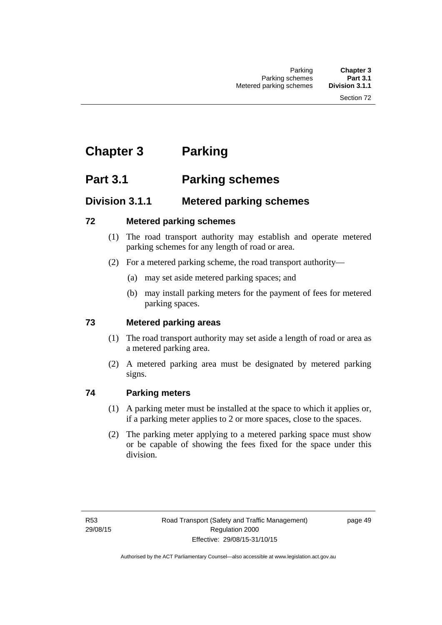# **Chapter 3 Parking**

# **Part 3.1 Parking schemes**

# **Division 3.1.1 Metered parking schemes**

## **72 Metered parking schemes**

- (1) The road transport authority may establish and operate metered parking schemes for any length of road or area.
- (2) For a metered parking scheme, the road transport authority—
	- (a) may set aside metered parking spaces; and
	- (b) may install parking meters for the payment of fees for metered parking spaces.

## **73 Metered parking areas**

- (1) The road transport authority may set aside a length of road or area as a metered parking area.
- (2) A metered parking area must be designated by metered parking signs.

## **74 Parking meters**

- (1) A parking meter must be installed at the space to which it applies or, if a parking meter applies to 2 or more spaces, close to the spaces.
- (2) The parking meter applying to a metered parking space must show or be capable of showing the fees fixed for the space under this division.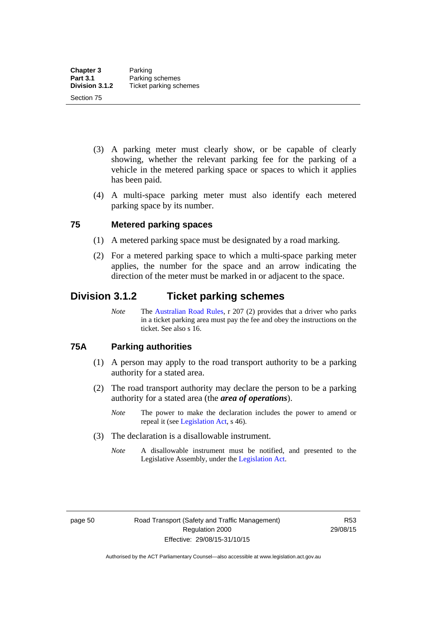- (3) A parking meter must clearly show, or be capable of clearly showing, whether the relevant parking fee for the parking of a vehicle in the metered parking space or spaces to which it applies has been paid.
- (4) A multi-space parking meter must also identify each metered parking space by its number.

#### **75 Metered parking spaces**

- (1) A metered parking space must be designated by a road marking.
- (2) For a metered parking space to which a multi-space parking meter applies, the number for the space and an arrow indicating the direction of the meter must be marked in or adjacent to the space.

## **Division 3.1.2 Ticket parking schemes**

*Note* The [Australian Road Rules](http://www.legislation.act.gov.au//ni/db_37271/default.asp), r 207 (2) provides that a driver who parks in a ticket parking area must pay the fee and obey the instructions on the ticket. See also s 16.

#### **75A Parking authorities**

- (1) A person may apply to the road transport authority to be a parking authority for a stated area.
- (2) The road transport authority may declare the person to be a parking authority for a stated area (the *area of operations*).
	- *Note* The power to make the declaration includes the power to amend or repeal it (see [Legislation Act,](http://www.legislation.act.gov.au/a/2001-14) s 46).
- (3) The declaration is a disallowable instrument.
	- *Note* A disallowable instrument must be notified, and presented to the Legislative Assembly, under the [Legislation Act.](http://www.legislation.act.gov.au/a/2001-14)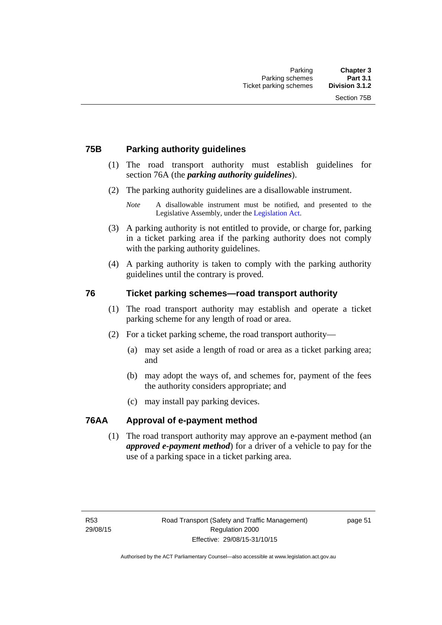#### **75B Parking authority guidelines**

- (1) The road transport authority must establish guidelines for section 76A (the *parking authority guidelines*).
- (2) The parking authority guidelines are a disallowable instrument.

- (3) A parking authority is not entitled to provide, or charge for, parking in a ticket parking area if the parking authority does not comply with the parking authority guidelines.
- (4) A parking authority is taken to comply with the parking authority guidelines until the contrary is proved.

#### **76 Ticket parking schemes—road transport authority**

- (1) The road transport authority may establish and operate a ticket parking scheme for any length of road or area.
- (2) For a ticket parking scheme, the road transport authority—
	- (a) may set aside a length of road or area as a ticket parking area; and
	- (b) may adopt the ways of, and schemes for, payment of the fees the authority considers appropriate; and
	- (c) may install pay parking devices.

#### **76AA Approval of e-payment method**

(1) The road transport authority may approve an e-payment method (an *approved e-payment method*) for a driver of a vehicle to pay for the use of a parking space in a ticket parking area.

*Note* A disallowable instrument must be notified, and presented to the Legislative Assembly, under the [Legislation Act.](http://www.legislation.act.gov.au/a/2001-14)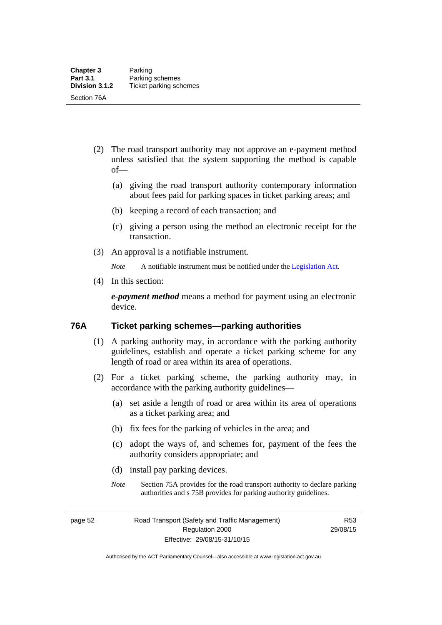- (2) The road transport authority may not approve an e-payment method unless satisfied that the system supporting the method is capable of—
	- (a) giving the road transport authority contemporary information about fees paid for parking spaces in ticket parking areas; and
	- (b) keeping a record of each transaction; and
	- (c) giving a person using the method an electronic receipt for the transaction.
- (3) An approval is a notifiable instrument.

*Note* A notifiable instrument must be notified under the [Legislation Act](http://www.legislation.act.gov.au/a/2001-14).

(4) In this section:

*e-payment method* means a method for payment using an electronic device.

#### **76A Ticket parking schemes—parking authorities**

- (1) A parking authority may, in accordance with the parking authority guidelines, establish and operate a ticket parking scheme for any length of road or area within its area of operations.
- (2) For a ticket parking scheme, the parking authority may, in accordance with the parking authority guidelines—
	- (a) set aside a length of road or area within its area of operations as a ticket parking area; and
	- (b) fix fees for the parking of vehicles in the area; and
	- (c) adopt the ways of, and schemes for, payment of the fees the authority considers appropriate; and
	- (d) install pay parking devices.
	- *Note* Section 75A provides for the road transport authority to declare parking authorities and s 75B provides for parking authority guidelines.

page 52 Road Transport (Safety and Traffic Management) Regulation 2000 Effective: 29/08/15-31/10/15

R53 29/08/15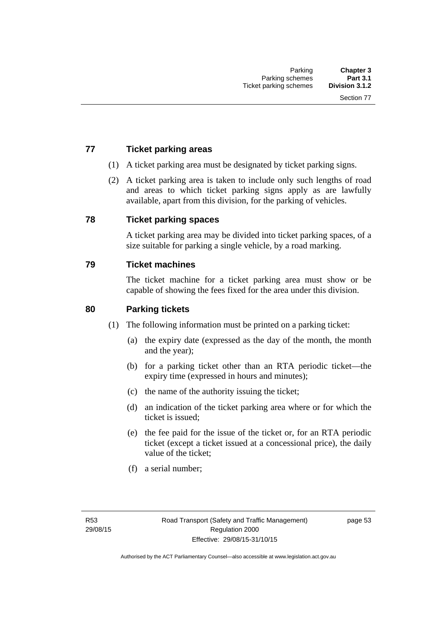## **77 Ticket parking areas**

- (1) A ticket parking area must be designated by ticket parking signs.
- (2) A ticket parking area is taken to include only such lengths of road and areas to which ticket parking signs apply as are lawfully available, apart from this division, for the parking of vehicles.

#### **78 Ticket parking spaces**

A ticket parking area may be divided into ticket parking spaces, of a size suitable for parking a single vehicle, by a road marking.

#### **79 Ticket machines**

The ticket machine for a ticket parking area must show or be capable of showing the fees fixed for the area under this division.

#### **80 Parking tickets**

- (1) The following information must be printed on a parking ticket:
	- (a) the expiry date (expressed as the day of the month, the month and the year);
	- (b) for a parking ticket other than an RTA periodic ticket—the expiry time (expressed in hours and minutes);
	- (c) the name of the authority issuing the ticket;
	- (d) an indication of the ticket parking area where or for which the ticket is issued;
	- (e) the fee paid for the issue of the ticket or, for an RTA periodic ticket (except a ticket issued at a concessional price), the daily value of the ticket;
	- (f) a serial number;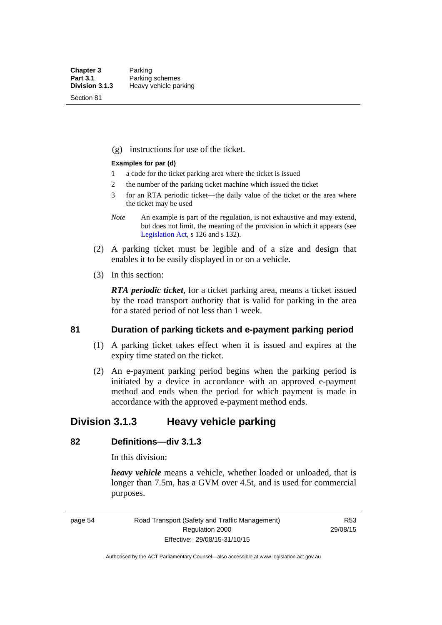Section 81

(g) instructions for use of the ticket.

#### **Examples for par (d)**

- 1 a code for the ticket parking area where the ticket is issued
- 2 the number of the parking ticket machine which issued the ticket
- 3 for an RTA periodic ticket—the daily value of the ticket or the area where the ticket may be used
- *Note* An example is part of the regulation, is not exhaustive and may extend, but does not limit, the meaning of the provision in which it appears (see [Legislation Act,](http://www.legislation.act.gov.au/a/2001-14) s 126 and s 132).
- (2) A parking ticket must be legible and of a size and design that enables it to be easily displayed in or on a vehicle.
- (3) In this section:

*RTA periodic ticket*, for a ticket parking area, means a ticket issued by the road transport authority that is valid for parking in the area for a stated period of not less than 1 week.

#### **81 Duration of parking tickets and e-payment parking period**

- (1) A parking ticket takes effect when it is issued and expires at the expiry time stated on the ticket.
- (2) An e-payment parking period begins when the parking period is initiated by a device in accordance with an approved e-payment method and ends when the period for which payment is made in accordance with the approved e-payment method ends.

## **Division 3.1.3 Heavy vehicle parking**

## **82 Definitions—div 3.1.3**

In this division:

*heavy vehicle* means a vehicle, whether loaded or unloaded, that is longer than 7.5m, has a GVM over 4.5t, and is used for commercial purposes.

page 54 Road Transport (Safety and Traffic Management) Regulation 2000 Effective: 29/08/15-31/10/15

R53 29/08/15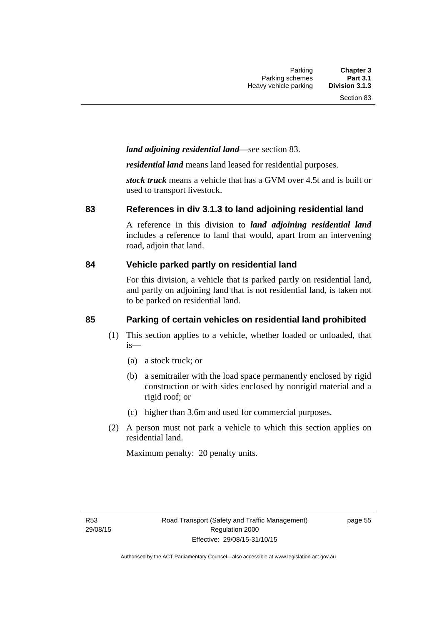#### *land adjoining residential land*—see section 83.

*residential land* means land leased for residential purposes.

*stock truck* means a vehicle that has a GVM over 4.5t and is built or used to transport livestock.

#### **83 References in div 3.1.3 to land adjoining residential land**

A reference in this division to *land adjoining residential land* includes a reference to land that would, apart from an intervening road, adjoin that land.

#### **84 Vehicle parked partly on residential land**

For this division, a vehicle that is parked partly on residential land, and partly on adjoining land that is not residential land, is taken not to be parked on residential land.

## **85 Parking of certain vehicles on residential land prohibited**

- (1) This section applies to a vehicle, whether loaded or unloaded, that is—
	- (a) a stock truck; or
	- (b) a semitrailer with the load space permanently enclosed by rigid construction or with sides enclosed by nonrigid material and a rigid roof; or
	- (c) higher than 3.6m and used for commercial purposes.
- (2) A person must not park a vehicle to which this section applies on residential land.

Maximum penalty: 20 penalty units.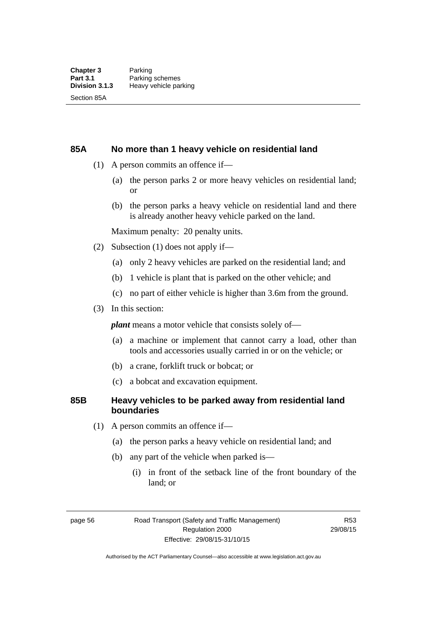### **85A No more than 1 heavy vehicle on residential land**

- (1) A person commits an offence if—
	- (a) the person parks 2 or more heavy vehicles on residential land; or
	- (b) the person parks a heavy vehicle on residential land and there is already another heavy vehicle parked on the land.

Maximum penalty: 20 penalty units.

- (2) Subsection (1) does not apply if—
	- (a) only 2 heavy vehicles are parked on the residential land; and
	- (b) 1 vehicle is plant that is parked on the other vehicle; and
	- (c) no part of either vehicle is higher than 3.6m from the ground.
- (3) In this section:

*plant* means a motor vehicle that consists solely of—

- (a) a machine or implement that cannot carry a load, other than tools and accessories usually carried in or on the vehicle; or
- (b) a crane, forklift truck or bobcat; or
- (c) a bobcat and excavation equipment.

### **85B Heavy vehicles to be parked away from residential land boundaries**

- (1) A person commits an offence if—
	- (a) the person parks a heavy vehicle on residential land; and
	- (b) any part of the vehicle when parked is—
		- (i) in front of the setback line of the front boundary of the land; or

page 56 Road Transport (Safety and Traffic Management) Regulation 2000 Effective: 29/08/15-31/10/15

R53 29/08/15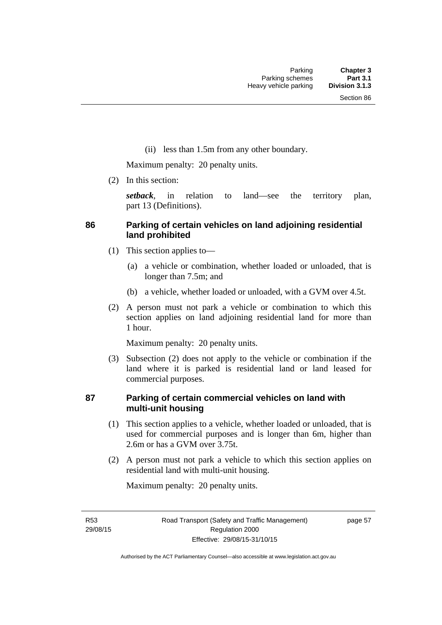(ii) less than 1.5m from any other boundary.

Maximum penalty: 20 penalty units.

(2) In this section:

*setback*, in relation to land—see the territory plan, part 13 (Definitions).

### **86 Parking of certain vehicles on land adjoining residential land prohibited**

- (1) This section applies to—
	- (a) a vehicle or combination, whether loaded or unloaded, that is longer than 7.5m; and
	- (b) a vehicle, whether loaded or unloaded, with a GVM over 4.5t.
- (2) A person must not park a vehicle or combination to which this section applies on land adjoining residential land for more than 1 hour.

Maximum penalty: 20 penalty units.

 (3) Subsection (2) does not apply to the vehicle or combination if the land where it is parked is residential land or land leased for commercial purposes.

### **87 Parking of certain commercial vehicles on land with multi-unit housing**

- (1) This section applies to a vehicle, whether loaded or unloaded, that is used for commercial purposes and is longer than 6m, higher than 2.6m or has a GVM over 3.75t.
- (2) A person must not park a vehicle to which this section applies on residential land with multi-unit housing.

Maximum penalty: 20 penalty units.

R53 29/08/15 page 57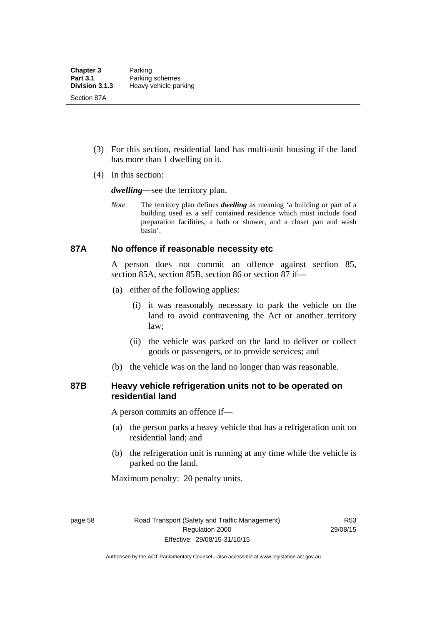- (3) For this section, residential land has multi-unit housing if the land has more than 1 dwelling on it.
- (4) In this section:

*dwelling—*see the territory plan.

*Note* The territory plan defines *dwelling* as meaning 'a building or part of a building used as a self contained residence which must include food preparation facilities, a bath or shower, and a closet pan and wash basin'.

### **87A No offence if reasonable necessity etc**

A person does not commit an offence against section 85, section 85A, section 85B, section 86 or section 87 if—

- (a) either of the following applies:
	- (i) it was reasonably necessary to park the vehicle on the land to avoid contravening the Act or another territory law;
	- (ii) the vehicle was parked on the land to deliver or collect goods or passengers, or to provide services; and
- (b) the vehicle was on the land no longer than was reasonable.

### **87B Heavy vehicle refrigeration units not to be operated on residential land**

A person commits an offence if—

- (a) the person parks a heavy vehicle that has a refrigeration unit on residential land; and
- (b) the refrigeration unit is running at any time while the vehicle is parked on the land.

Maximum penalty: 20 penalty units.

page 58 Road Transport (Safety and Traffic Management) Regulation 2000 Effective: 29/08/15-31/10/15

R53 29/08/15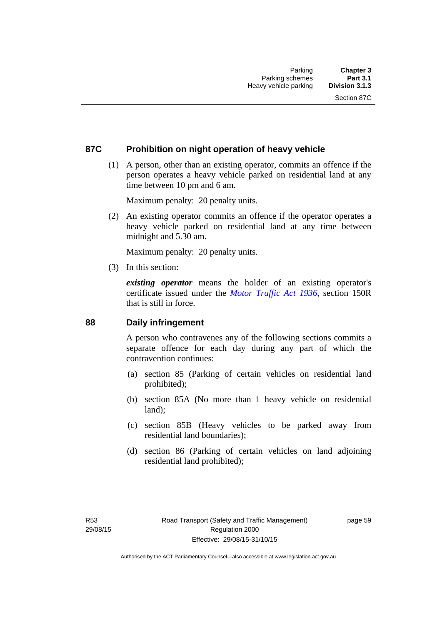### **87C Prohibition on night operation of heavy vehicle**

 (1) A person, other than an existing operator, commits an offence if the person operates a heavy vehicle parked on residential land at any time between 10 pm and 6 am.

Maximum penalty: 20 penalty units.

 (2) An existing operator commits an offence if the operator operates a heavy vehicle parked on residential land at any time between midnight and 5.30 am.

Maximum penalty: 20 penalty units.

(3) In this section:

*existing operator* means the holder of an existing operator's certificate issued under the *[Motor Traffic Act 1936](http://www.legislation.act.gov.au/a/1936-45)*, section 150R that is still in force.

### **88 Daily infringement**

A person who contravenes any of the following sections commits a separate offence for each day during any part of which the contravention continues:

- (a) section 85 (Parking of certain vehicles on residential land prohibited);
- (b) section 85A (No more than 1 heavy vehicle on residential land);
- (c) section 85B (Heavy vehicles to be parked away from residential land boundaries);
- (d) section 86 (Parking of certain vehicles on land adjoining residential land prohibited);

page 59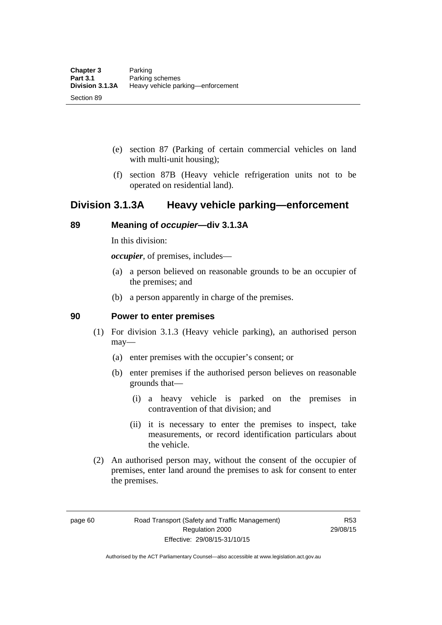- (e) section 87 (Parking of certain commercial vehicles on land with multi-unit housing);
- (f) section 87B (Heavy vehicle refrigeration units not to be operated on residential land).

## **Division 3.1.3A Heavy vehicle parking—enforcement**

### **89 Meaning of** *occupier***—div 3.1.3A**

In this division:

*occupier*, of premises, includes—

- (a) a person believed on reasonable grounds to be an occupier of the premises; and
- (b) a person apparently in charge of the premises.

### **90 Power to enter premises**

- (1) For division 3.1.3 (Heavy vehicle parking), an authorised person may—
	- (a) enter premises with the occupier's consent; or
	- (b) enter premises if the authorised person believes on reasonable grounds that—
		- (i) a heavy vehicle is parked on the premises in contravention of that division; and
		- (ii) it is necessary to enter the premises to inspect, take measurements, or record identification particulars about the vehicle.
- (2) An authorised person may, without the consent of the occupier of premises, enter land around the premises to ask for consent to enter the premises.

page 60 Road Transport (Safety and Traffic Management) Regulation 2000 Effective: 29/08/15-31/10/15

R53 29/08/15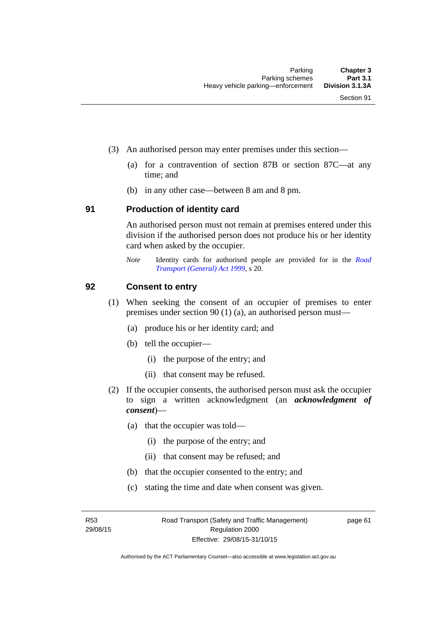- (3) An authorised person may enter premises under this section––
	- (a) for a contravention of section 87B or section 87C––at any time; and
	- (b) in any other case––between 8 am and 8 pm.

### **91 Production of identity card**

An authorised person must not remain at premises entered under this division if the authorised person does not produce his or her identity card when asked by the occupier.

*Note* Identity cards for authorised people are provided for in the *[Road](http://www.legislation.act.gov.au/a/1999-77)  [Transport \(General\) Act 1999](http://www.legislation.act.gov.au/a/1999-77)*, s 20.

### **92 Consent to entry**

- (1) When seeking the consent of an occupier of premises to enter premises under section 90 (1) (a), an authorised person must—
	- (a) produce his or her identity card; and
	- (b) tell the occupier—
		- (i) the purpose of the entry; and
		- (ii) that consent may be refused.
- (2) If the occupier consents, the authorised person must ask the occupier to sign a written acknowledgment (an *acknowledgment of consent*)—
	- (a) that the occupier was told—
		- (i) the purpose of the entry; and
		- (ii) that consent may be refused; and
	- (b) that the occupier consented to the entry; and
	- (c) stating the time and date when consent was given.

R53 29/08/15 page 61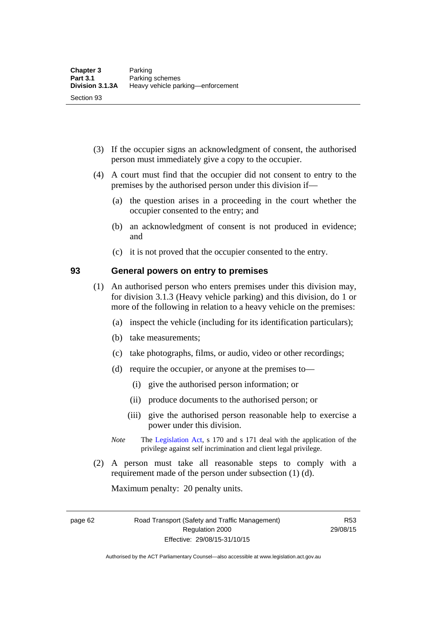- (3) If the occupier signs an acknowledgment of consent, the authorised person must immediately give a copy to the occupier.
- (4) A court must find that the occupier did not consent to entry to the premises by the authorised person under this division if—
	- (a) the question arises in a proceeding in the court whether the occupier consented to the entry; and
	- (b) an acknowledgment of consent is not produced in evidence; and
	- (c) it is not proved that the occupier consented to the entry.

### **93 General powers on entry to premises**

- (1) An authorised person who enters premises under this division may, for division 3.1.3 (Heavy vehicle parking) and this division, do 1 or more of the following in relation to a heavy vehicle on the premises:
	- (a) inspect the vehicle (including for its identification particulars);
	- (b) take measurements;
	- (c) take photographs, films, or audio, video or other recordings;
	- (d) require the occupier, or anyone at the premises to—
		- (i) give the authorised person information; or
		- (ii) produce documents to the authorised person; or
		- (iii) give the authorised person reasonable help to exercise a power under this division.
	- *Note* The [Legislation Act](http://www.legislation.act.gov.au/a/2001-14), s 170 and s 171 deal with the application of the privilege against self incrimination and client legal privilege.
- (2) A person must take all reasonable steps to comply with a requirement made of the person under subsection (1) (d).

Maximum penalty: 20 penalty units.

page 62 Road Transport (Safety and Traffic Management) Regulation 2000 Effective: 29/08/15-31/10/15

R53 29/08/15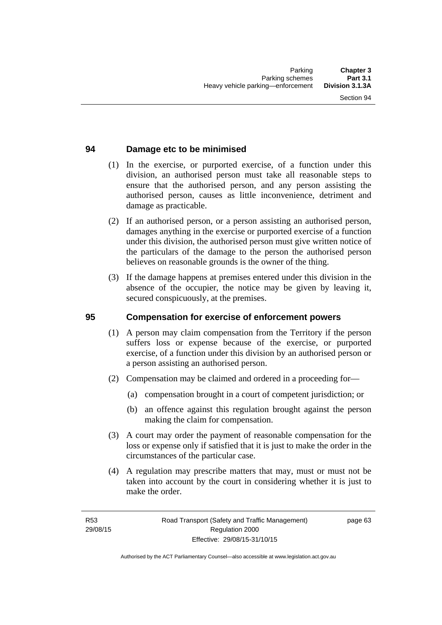### **94 Damage etc to be minimised**

- (1) In the exercise, or purported exercise, of a function under this division, an authorised person must take all reasonable steps to ensure that the authorised person, and any person assisting the authorised person, causes as little inconvenience, detriment and damage as practicable.
- (2) If an authorised person, or a person assisting an authorised person, damages anything in the exercise or purported exercise of a function under this division, the authorised person must give written notice of the particulars of the damage to the person the authorised person believes on reasonable grounds is the owner of the thing.
- (3) If the damage happens at premises entered under this division in the absence of the occupier, the notice may be given by leaving it, secured conspicuously, at the premises.

### **95 Compensation for exercise of enforcement powers**

- (1) A person may claim compensation from the Territory if the person suffers loss or expense because of the exercise, or purported exercise, of a function under this division by an authorised person or a person assisting an authorised person.
- (2) Compensation may be claimed and ordered in a proceeding for—
	- (a) compensation brought in a court of competent jurisdiction; or
	- (b) an offence against this regulation brought against the person making the claim for compensation.
- (3) A court may order the payment of reasonable compensation for the loss or expense only if satisfied that it is just to make the order in the circumstances of the particular case.
- (4) A regulation may prescribe matters that may, must or must not be taken into account by the court in considering whether it is just to make the order.

page 63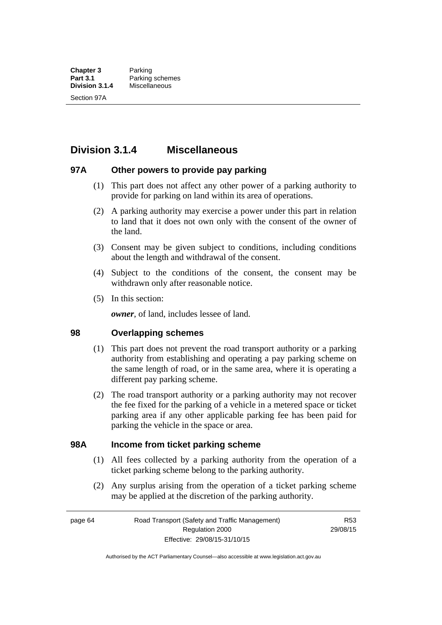# **Division 3.1.4 Miscellaneous**

### **97A Other powers to provide pay parking**

- (1) This part does not affect any other power of a parking authority to provide for parking on land within its area of operations.
- (2) A parking authority may exercise a power under this part in relation to land that it does not own only with the consent of the owner of the land.
- (3) Consent may be given subject to conditions, including conditions about the length and withdrawal of the consent.
- (4) Subject to the conditions of the consent, the consent may be withdrawn only after reasonable notice.
- (5) In this section:

*owner*, of land, includes lessee of land.

### **98 Overlapping schemes**

- (1) This part does not prevent the road transport authority or a parking authority from establishing and operating a pay parking scheme on the same length of road, or in the same area, where it is operating a different pay parking scheme.
- (2) The road transport authority or a parking authority may not recover the fee fixed for the parking of a vehicle in a metered space or ticket parking area if any other applicable parking fee has been paid for parking the vehicle in the space or area.

### **98A Income from ticket parking scheme**

- (1) All fees collected by a parking authority from the operation of a ticket parking scheme belong to the parking authority.
- (2) Any surplus arising from the operation of a ticket parking scheme may be applied at the discretion of the parking authority.

page 64 Road Transport (Safety and Traffic Management) Regulation 2000 Effective: 29/08/15-31/10/15

R53 29/08/15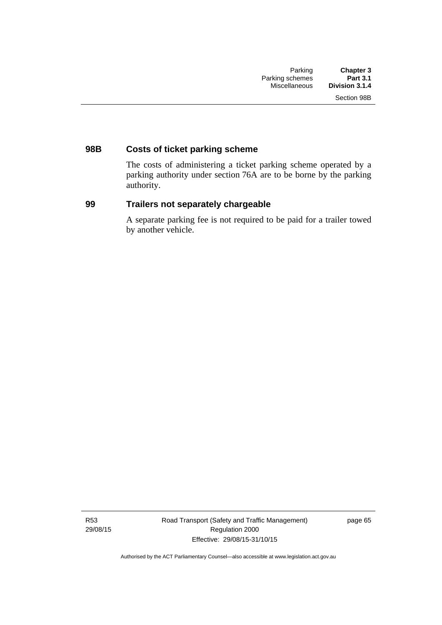## **98B Costs of ticket parking scheme**

The costs of administering a ticket parking scheme operated by a parking authority under section 76A are to be borne by the parking authority.

### **99 Trailers not separately chargeable**

A separate parking fee is not required to be paid for a trailer towed by another vehicle.

R53 29/08/15 Road Transport (Safety and Traffic Management) Regulation 2000 Effective: 29/08/15-31/10/15

page 65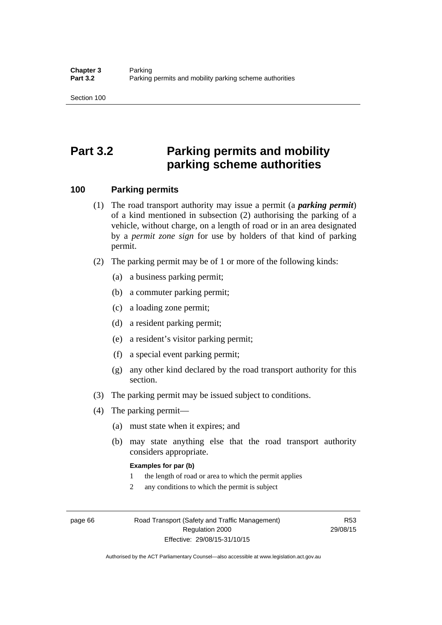# **Part 3.2 Parking permits and mobility parking scheme authorities**

### **100 Parking permits**

- (1) The road transport authority may issue a permit (a *parking permit*) of a kind mentioned in subsection (2) authorising the parking of a vehicle, without charge, on a length of road or in an area designated by a *permit zone sign* for use by holders of that kind of parking permit.
- (2) The parking permit may be of 1 or more of the following kinds:
	- (a) a business parking permit;
	- (b) a commuter parking permit;
	- (c) a loading zone permit;
	- (d) a resident parking permit;
	- (e) a resident's visitor parking permit;
	- (f) a special event parking permit;
	- (g) any other kind declared by the road transport authority for this section.
- (3) The parking permit may be issued subject to conditions.
- (4) The parking permit—
	- (a) must state when it expires; and
	- (b) may state anything else that the road transport authority considers appropriate.

#### **Examples for par (b)**

- 1 the length of road or area to which the permit applies
- 2 any conditions to which the permit is subject

page 66 Road Transport (Safety and Traffic Management) Regulation 2000 Effective: 29/08/15-31/10/15

R53 29/08/15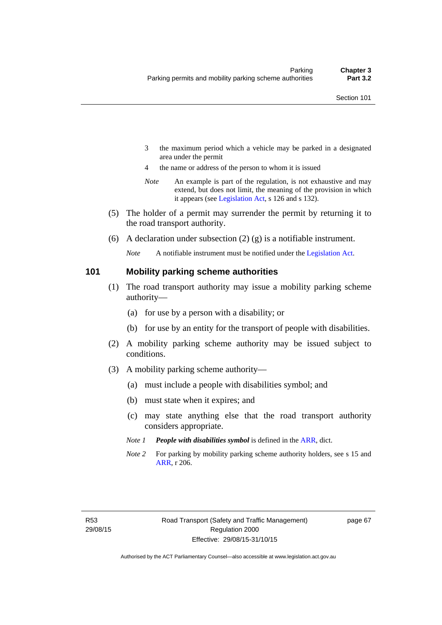- 3 the maximum period which a vehicle may be parked in a designated area under the permit
- 4 the name or address of the person to whom it is issued
- *Note* An example is part of the regulation, is not exhaustive and may extend, but does not limit, the meaning of the provision in which it appears (see [Legislation Act,](http://www.legislation.act.gov.au/a/2001-14) s 126 and s 132).
- (5) The holder of a permit may surrender the permit by returning it to the road transport authority.
- (6) A declaration under subsection  $(2)$  (g) is a notifiable instrument.

*Note* A notifiable instrument must be notified under the [Legislation Act](http://www.legislation.act.gov.au/a/2001-14).

### **101 Mobility parking scheme authorities**

- (1) The road transport authority may issue a mobility parking scheme authority—
	- (a) for use by a person with a disability; or
	- (b) for use by an entity for the transport of people with disabilities.
- (2) A mobility parking scheme authority may be issued subject to conditions.
- (3) A mobility parking scheme authority—
	- (a) must include a people with disabilities symbol; and
	- (b) must state when it expires; and
	- (c) may state anything else that the road transport authority considers appropriate.
	- *Note 1 People with disabilities symbol* is defined in the [ARR,](http://www.legislation.act.gov.au//ni/db_37271/default.asp) dict.
	- *Note 2* For parking by mobility parking scheme authority holders, see s 15 and [ARR,](http://www.legislation.act.gov.au//ni/db_37271/default.asp) r 206.

page 67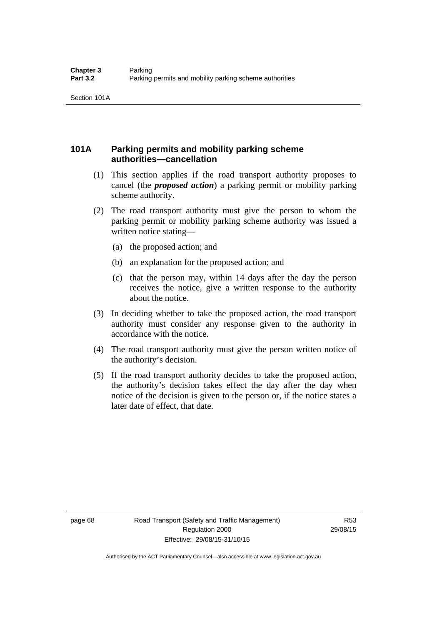### **101A Parking permits and mobility parking scheme authorities—cancellation**

- (1) This section applies if the road transport authority proposes to cancel (the *proposed action*) a parking permit or mobility parking scheme authority.
- (2) The road transport authority must give the person to whom the parking permit or mobility parking scheme authority was issued a written notice stating—
	- (a) the proposed action; and
	- (b) an explanation for the proposed action; and
	- (c) that the person may, within 14 days after the day the person receives the notice, give a written response to the authority about the notice.
- (3) In deciding whether to take the proposed action, the road transport authority must consider any response given to the authority in accordance with the notice.
- (4) The road transport authority must give the person written notice of the authority's decision.
- (5) If the road transport authority decides to take the proposed action, the authority's decision takes effect the day after the day when notice of the decision is given to the person or, if the notice states a later date of effect, that date.

page 68 Road Transport (Safety and Traffic Management) Regulation 2000 Effective: 29/08/15-31/10/15

R53 29/08/15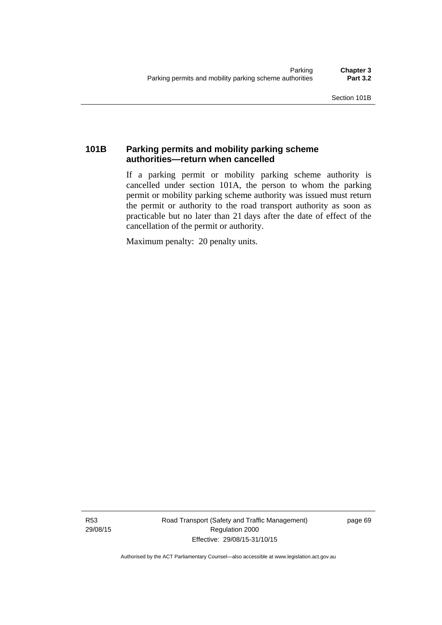### **101B Parking permits and mobility parking scheme authorities—return when cancelled**

If a parking permit or mobility parking scheme authority is cancelled under section 101A, the person to whom the parking permit or mobility parking scheme authority was issued must return the permit or authority to the road transport authority as soon as practicable but no later than 21 days after the date of effect of the cancellation of the permit or authority.

Maximum penalty: 20 penalty units.

R53 29/08/15 Road Transport (Safety and Traffic Management) Regulation 2000 Effective: 29/08/15-31/10/15

page 69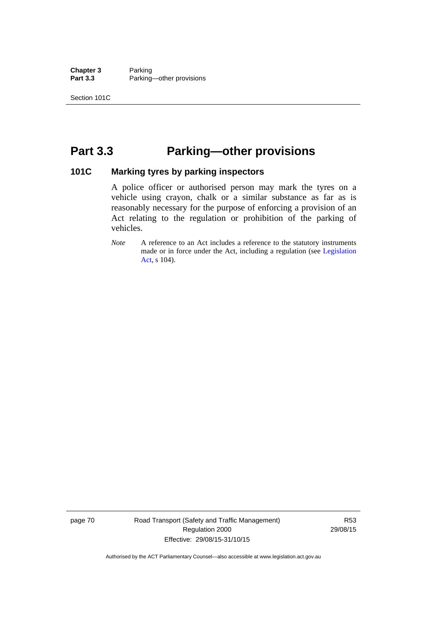**Chapter 3** Parking<br>**Part 3.3** Parking Parking—other provisions

# **Part 3.3 Parking—other provisions**

### **101C Marking tyres by parking inspectors**

A police officer or authorised person may mark the tyres on a vehicle using crayon, chalk or a similar substance as far as is reasonably necessary for the purpose of enforcing a provision of an Act relating to the regulation or prohibition of the parking of vehicles.

*Note* A reference to an Act includes a reference to the statutory instruments made or in force under the Act, including a regulation (see [Legislation](http://www.legislation.act.gov.au/a/2001-14)  [Act](http://www.legislation.act.gov.au/a/2001-14), s 104).

page 70 Road Transport (Safety and Traffic Management) Regulation 2000 Effective: 29/08/15-31/10/15

R53 29/08/15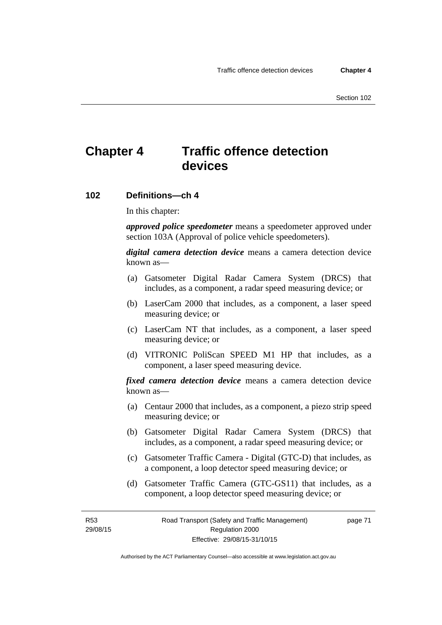# **Chapter 4 Traffic offence detection devices**

### **102 Definitions—ch 4**

In this chapter:

*approved police speedometer* means a speedometer approved under section 103A (Approval of police vehicle speedometers).

*digital camera detection device* means a camera detection device known as—

- (a) Gatsometer Digital Radar Camera System (DRCS) that includes, as a component, a radar speed measuring device; or
- (b) LaserCam 2000 that includes, as a component, a laser speed measuring device; or
- (c) LaserCam NT that includes, as a component, a laser speed measuring device; or
- (d) VITRONIC PoliScan SPEED M1 HP that includes, as a component, a laser speed measuring device.

*fixed camera detection device* means a camera detection device known as—

- (a) Centaur 2000 that includes, as a component, a piezo strip speed measuring device; or
- (b) Gatsometer Digital Radar Camera System (DRCS) that includes, as a component, a radar speed measuring device; or
- (c) Gatsometer Traffic Camera Digital (GTC-D) that includes, as a component, a loop detector speed measuring device; or
- (d) Gatsometer Traffic Camera (GTC-GS11) that includes, as a component, a loop detector speed measuring device; or

R53 29/08/15 page 71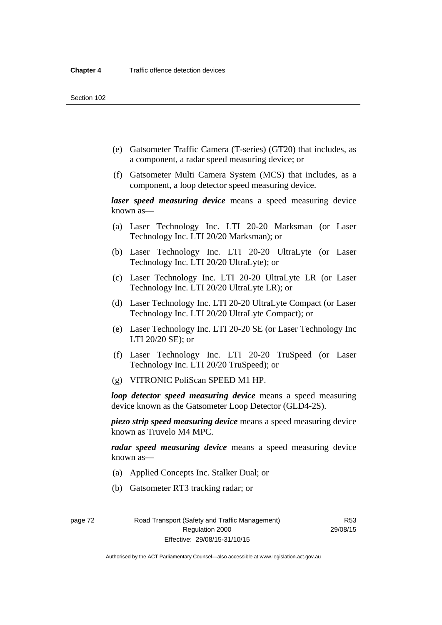- (e) Gatsometer Traffic Camera (T-series) (GT20) that includes, as a component, a radar speed measuring device; or
- (f) Gatsometer Multi Camera System (MCS) that includes, as a component, a loop detector speed measuring device.

*laser speed measuring device* means a speed measuring device known as—

- (a) Laser Technology Inc. LTI 20-20 Marksman (or Laser Technology Inc. LTI 20/20 Marksman); or
- (b) Laser Technology Inc. LTI 20-20 UltraLyte (or Laser Technology Inc. LTI 20/20 UltraLyte); or
- (c) Laser Technology Inc. LTI 20-20 UltraLyte LR (or Laser Technology Inc. LTI 20/20 UltraLyte LR); or
- (d) Laser Technology Inc. LTI 20-20 UltraLyte Compact (or Laser Technology Inc. LTI 20/20 UltraLyte Compact); or
- (e) Laser Technology Inc. LTI 20-20 SE (or Laser Technology Inc LTI 20/20 SE); or
- (f) Laser Technology Inc. LTI 20-20 TruSpeed (or Laser Technology Inc. LTI 20/20 TruSpeed); or
- (g) VITRONIC PoliScan SPEED M1 HP.

*loop detector speed measuring device* means a speed measuring device known as the Gatsometer Loop Detector (GLD4-2S).

*piezo strip speed measuring device* means a speed measuring device known as Truvelo M4 MPC.

*radar speed measuring device* means a speed measuring device known as—

- (a) Applied Concepts Inc. Stalker Dual; or
- (b) Gatsometer RT3 tracking radar; or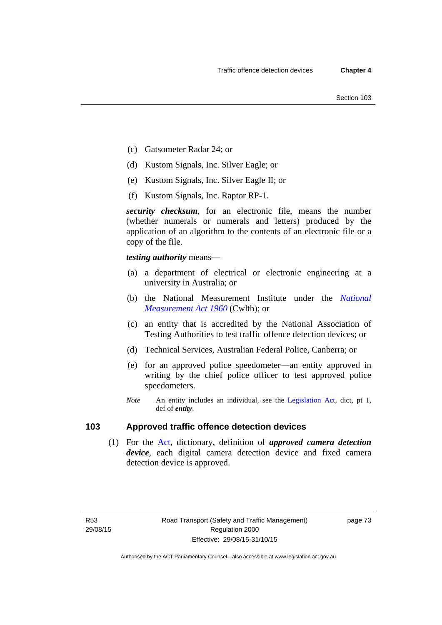- (c) Gatsometer Radar 24; or
- (d) Kustom Signals, Inc. Silver Eagle; or
- (e) Kustom Signals, Inc. Silver Eagle II; or
- (f) Kustom Signals, Inc. Raptor RP-1.

*security checksum*, for an electronic file, means the number (whether numerals or numerals and letters) produced by the application of an algorithm to the contents of an electronic file or a copy of the file.

*testing authority* means—

- (a) a department of electrical or electronic engineering at a university in Australia; or
- (b) the National Measurement Institute under the *[National](http://www.comlaw.gov.au/Series/C2004A07405)  [Measurement Act 1960](http://www.comlaw.gov.au/Series/C2004A07405)* (Cwlth); or
- (c) an entity that is accredited by the National Association of Testing Authorities to test traffic offence detection devices; or
- (d) Technical Services, Australian Federal Police, Canberra; or
- (e) for an approved police speedometer—an entity approved in writing by the chief police officer to test approved police speedometers.
- *Note* An entity includes an individual, see the [Legislation Act,](http://www.legislation.act.gov.au/a/2001-14) dict, pt 1, def of *entity*.

### **103 Approved traffic offence detection devices**

 (1) For the [Act,](http://www.legislation.act.gov.au/a/1999-80/default.asp) dictionary, definition of *approved camera detection device*, each digital camera detection device and fixed camera detection device is approved.

page 73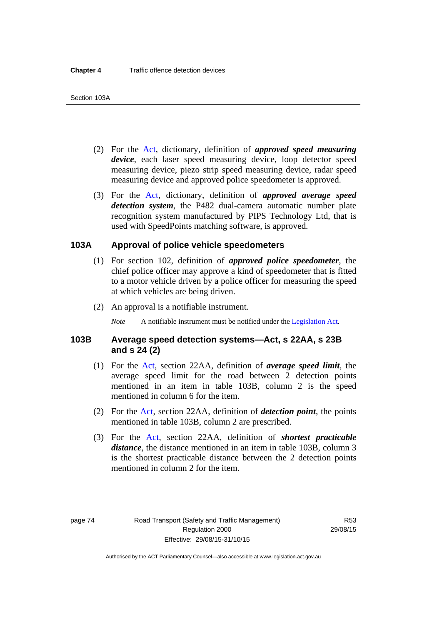- (2) For the [Act,](http://www.legislation.act.gov.au/a/1999-80/default.asp) dictionary, definition of *approved speed measuring device*, each laser speed measuring device, loop detector speed measuring device, piezo strip speed measuring device, radar speed measuring device and approved police speedometer is approved.
- (3) For the [Act](http://www.legislation.act.gov.au/a/1999-80/default.asp), dictionary, definition of *approved average speed detection system*, the P482 dual-camera automatic number plate recognition system manufactured by PIPS Technology Ltd, that is used with SpeedPoints matching software, is approved.

### **103A Approval of police vehicle speedometers**

- (1) For section 102, definition of *approved police speedometer*, the chief police officer may approve a kind of speedometer that is fitted to a motor vehicle driven by a police officer for measuring the speed at which vehicles are being driven.
- (2) An approval is a notifiable instrument.

*Note* A notifiable instrument must be notified under the [Legislation Act](http://www.legislation.act.gov.au/a/2001-14).

### **103B Average speed detection systems—Act, s 22AA, s 23B and s 24 (2)**

- (1) For the [Act](http://www.legislation.act.gov.au/a/1999-80/default.asp), section 22AA, definition of *average speed limit*, the average speed limit for the road between 2 detection points mentioned in an item in table 103B, column 2 is the speed mentioned in column 6 for the item.
- (2) For the [Act](http://www.legislation.act.gov.au/a/1999-80/default.asp), section 22AA, definition of *detection point*, the points mentioned in table 103B, column 2 are prescribed.
- (3) For the [Act](http://www.legislation.act.gov.au/a/1999-80/default.asp), section 22AA, definition of *shortest practicable distance*, the distance mentioned in an item in table 103B, column 3 is the shortest practicable distance between the 2 detection points mentioned in column 2 for the item.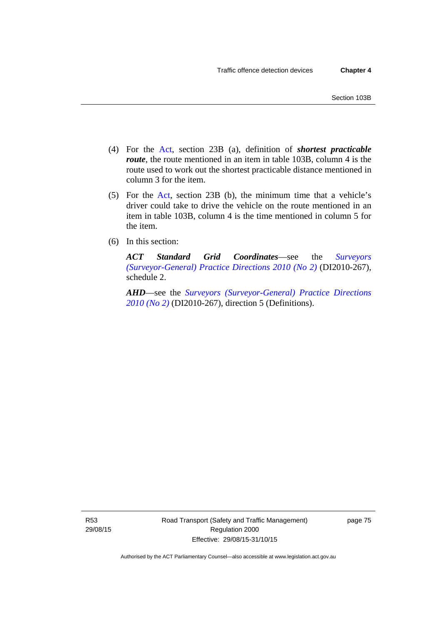- (4) For the [Act,](http://www.legislation.act.gov.au/a/1999-80/default.asp) section 23B (a), definition of *shortest practicable route*, the route mentioned in an item in table 103B, column 4 is the route used to work out the shortest practicable distance mentioned in column 3 for the item.
- (5) For the [Act](http://www.legislation.act.gov.au/a/1999-80/default.asp), section 23B (b), the minimum time that a vehicle's driver could take to drive the vehicle on the route mentioned in an item in table 103B, column 4 is the time mentioned in column 5 for the item.
- (6) In this section:

*ACT Standard Grid Coordinates*—see the *[Surveyors](http://www.legislation.act.gov.au/di/2010-267/default.asp)  [\(Surveyor-General\) Practice Directions 2010 \(No 2\)](http://www.legislation.act.gov.au/di/2010-267/default.asp)* (DI2010-267), schedule 2.

*AHD*—see the *[Surveyors \(Surveyor-General\) Practice Directions](http://www.legislation.act.gov.au/di/2010-267/default.asp)  [2010 \(No 2\)](http://www.legislation.act.gov.au/di/2010-267/default.asp)* (DI2010-267), direction 5 (Definitions).

R53 29/08/15 Road Transport (Safety and Traffic Management) Regulation 2000 Effective: 29/08/15-31/10/15

page 75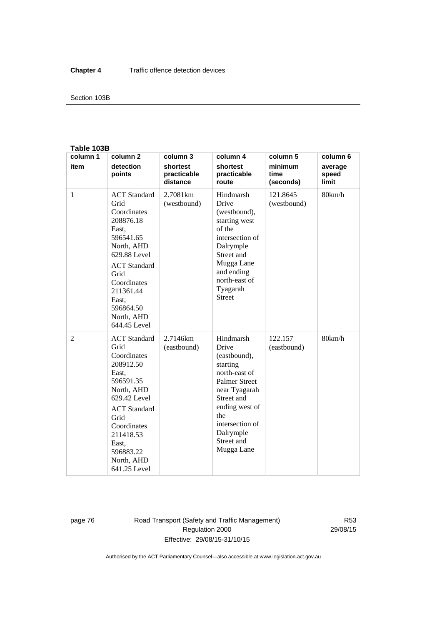#### Section 103B

#### **Table 103B**

| column 1       | column <sub>2</sub>                                                                                                                                                                                                        | column 3                            | column 4                                                                                                                                                                                                    | column 5                     | column 6                  |
|----------------|----------------------------------------------------------------------------------------------------------------------------------------------------------------------------------------------------------------------------|-------------------------------------|-------------------------------------------------------------------------------------------------------------------------------------------------------------------------------------------------------------|------------------------------|---------------------------|
| item           | detection<br>points                                                                                                                                                                                                        | shortest<br>practicable<br>distance | shortest<br>practicable<br>route                                                                                                                                                                            | minimum<br>time<br>(seconds) | average<br>speed<br>limit |
| $\mathbf{1}$   | <b>ACT</b> Standard<br>Grid<br>Coordinates<br>208876.18<br>East,<br>596541.65<br>North, AHD<br>629.88 Level<br><b>ACT</b> Standard<br>Grid<br>Coordinates<br>211361.44<br>East.<br>596864.50<br>North, AHD<br>644.45 Level | 2.7081km<br>(westbound)             | Hindmarsh<br>Drive<br>(westbound),<br>starting west<br>of the<br>intersection of<br>Dalrymple<br>Street and<br>Mugga Lane<br>and ending<br>north-east of<br>Tyagarah<br><b>Street</b>                       | 121.8645<br>(westbound)      | 80km/h                    |
| $\overline{2}$ | <b>ACT</b> Standard<br>Grid<br>Coordinates<br>208912.50<br>East,<br>596591.35<br>North, AHD<br>629.42 Level<br><b>ACT</b> Standard<br>Grid<br>Coordinates<br>211418.53<br>East,<br>596883.22<br>North, AHD<br>641.25 Level | 2.7146km<br>(eastbound)             | Hindmarsh<br>Drive<br>(eastbound),<br>starting<br>north-east of<br><b>Palmer Street</b><br>near Tyagarah<br>Street and<br>ending west of<br>the<br>intersection of<br>Dalrymple<br>Street and<br>Mugga Lane | 122.157<br>(eastbound)       | 80km/h                    |

page 76 Road Transport (Safety and Traffic Management) Regulation 2000 Effective: 29/08/15-31/10/15

R53 29/08/15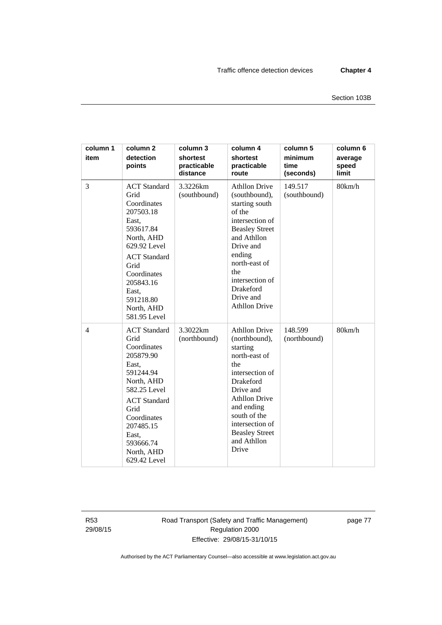| column 1<br>item | column <sub>2</sub><br>detection<br>points                                                                                                                                                                                 | column 3<br>shortest<br>practicable<br>distance | column 4<br>shortest<br>practicable<br>route                                                                                                                                                                                                            | column 5<br>minimum<br>time<br>(seconds) | column 6<br>average<br>speed<br>limit |
|------------------|----------------------------------------------------------------------------------------------------------------------------------------------------------------------------------------------------------------------------|-------------------------------------------------|---------------------------------------------------------------------------------------------------------------------------------------------------------------------------------------------------------------------------------------------------------|------------------------------------------|---------------------------------------|
| 3                | <b>ACT</b> Standard<br>Grid<br>Coordinates<br>207503.18<br>East,<br>593617.84<br>North, AHD<br>629.92 Level<br><b>ACT</b> Standard<br>Grid<br>Coordinates<br>205843.16<br>East,<br>591218.80<br>North, AHD<br>581.95 Level | 3.3226km<br>(southbound)                        | <b>Athllon Drive</b><br>(southbound),<br>starting south<br>of the<br>intersection of<br><b>Beasley Street</b><br>and Athllon<br>Drive and<br>ending<br>north-east of<br>the<br>intersection of<br>Drakeford<br>Drive and<br><b>Athllon Drive</b>        | 149.517<br>(southbound)                  | 80km/h                                |
| $\overline{4}$   | <b>ACT</b> Standard<br>Grid<br>Coordinates<br>205879.90<br>East,<br>591244.94<br>North, AHD<br>582.25 Level<br><b>ACT</b> Standard<br>Grid<br>Coordinates<br>207485.15<br>East,<br>593666.74<br>North, AHD<br>629.42 Level | 3.3022km<br>(northbound)                        | <b>Athllon Drive</b><br>(northbound),<br>starting<br>north-east of<br>the<br>intersection of<br><b>Drakeford</b><br>Drive and<br><b>Athllon Drive</b><br>and ending<br>south of the<br>intersection of<br><b>Beasley Street</b><br>and Athllon<br>Drive | 148.599<br>(northbound)                  | 80km/h                                |

R53 29/08/15 Road Transport (Safety and Traffic Management) Regulation 2000 Effective: 29/08/15-31/10/15

page 77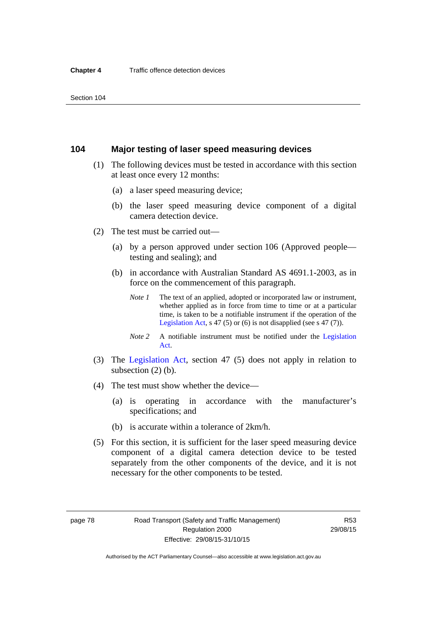### **104 Major testing of laser speed measuring devices**

- (1) The following devices must be tested in accordance with this section at least once every 12 months:
	- (a) a laser speed measuring device;
	- (b) the laser speed measuring device component of a digital camera detection device.
- (2) The test must be carried out—
	- (a) by a person approved under section 106 (Approved people testing and sealing); and
	- (b) in accordance with Australian Standard AS 4691.1-2003, as in force on the commencement of this paragraph.
		- *Note 1* The text of an applied, adopted or incorporated law or instrument, whether applied as in force from time to time or at a particular time, is taken to be a notifiable instrument if the operation of the [Legislation Act,](http://www.legislation.act.gov.au/a/2001-14) s 47 (5) or (6) is not disapplied (see s 47 (7)).
		- *Note 2* A notifiable instrument must be notified under the [Legislation](http://www.legislation.act.gov.au/a/2001-14)  [Act](http://www.legislation.act.gov.au/a/2001-14).
- (3) The [Legislation Act,](http://www.legislation.act.gov.au/a/2001-14) section 47 (5) does not apply in relation to subsection (2) (b).
- (4) The test must show whether the device—
	- (a) is operating in accordance with the manufacturer's specifications; and
	- (b) is accurate within a tolerance of 2km/h.
- (5) For this section, it is sufficient for the laser speed measuring device component of a digital camera detection device to be tested separately from the other components of the device, and it is not necessary for the other components to be tested.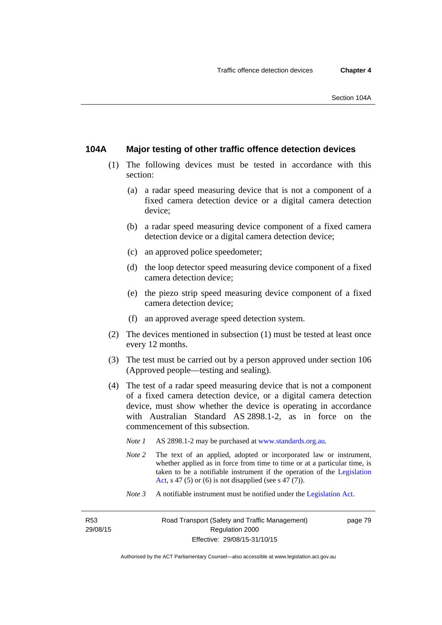### **104A Major testing of other traffic offence detection devices**

- (1) The following devices must be tested in accordance with this section:
	- (a) a radar speed measuring device that is not a component of a fixed camera detection device or a digital camera detection device;
	- (b) a radar speed measuring device component of a fixed camera detection device or a digital camera detection device;
	- (c) an approved police speedometer;
	- (d) the loop detector speed measuring device component of a fixed camera detection device;
	- (e) the piezo strip speed measuring device component of a fixed camera detection device;
	- (f) an approved average speed detection system.
- (2) The devices mentioned in subsection (1) must be tested at least once every 12 months.
- (3) The test must be carried out by a person approved under section 106 (Approved people—testing and sealing).
- (4) The test of a radar speed measuring device that is not a component of a fixed camera detection device, or a digital camera detection device, must show whether the device is operating in accordance with Australian Standard AS 2898.1-2, as in force on the commencement of this subsection.
	- *Note 1* AS 2898.1-2 may be purchased at [www.standards.org.au](http://www.standards.org.au/Pages/default.aspx)*.*
	- *Note* 2 The text of an applied, adopted or incorporated law or instrument, whether applied as in force from time to time or at a particular time, is taken to be a notifiable instrument if the operation of the [Legislation](http://www.legislation.act.gov.au/a/2001-14)  [Act,](http://www.legislation.act.gov.au/a/2001-14) s 47 (5) or (6) is not disapplied (see s 47 (7)).
	- *Note 3* A notifiable instrument must be notified under the [Legislation Act](http://www.legislation.act.gov.au/a/2001-14).

R53 29/08/15 page 79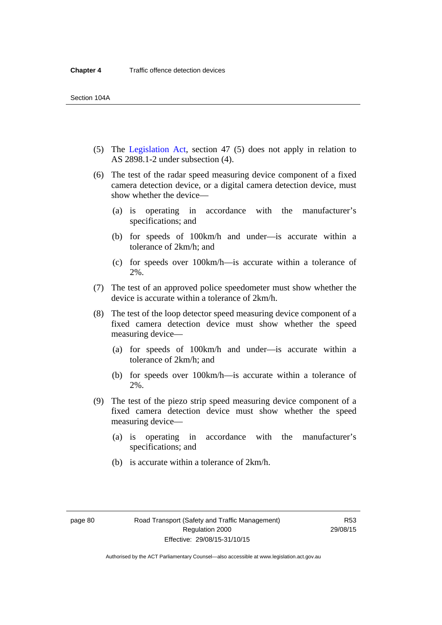- (5) The [Legislation Act,](http://www.legislation.act.gov.au/a/2001-14) section 47 (5) does not apply in relation to AS 2898.1-2 under subsection (4).
- (6) The test of the radar speed measuring device component of a fixed camera detection device, or a digital camera detection device, must show whether the device—
	- (a) is operating in accordance with the manufacturer's specifications; and
	- (b) for speeds of 100km/h and under—is accurate within a tolerance of 2km/h; and
	- (c) for speeds over 100km/h—is accurate within a tolerance of 2%.
- (7) The test of an approved police speedometer must show whether the device is accurate within a tolerance of 2km/h.
- (8) The test of the loop detector speed measuring device component of a fixed camera detection device must show whether the speed measuring device—
	- (a) for speeds of 100km/h and under—is accurate within a tolerance of 2km/h; and
	- (b) for speeds over 100km/h—is accurate within a tolerance of 2%.
- (9) The test of the piezo strip speed measuring device component of a fixed camera detection device must show whether the speed measuring device—
	- (a) is operating in accordance with the manufacturer's specifications; and
	- (b) is accurate within a tolerance of 2km/h.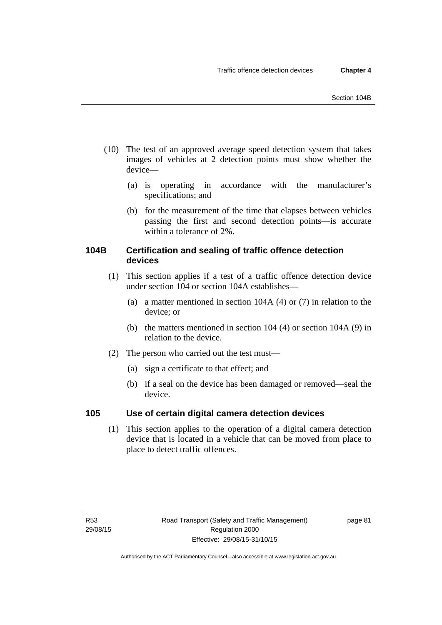- (10) The test of an approved average speed detection system that takes images of vehicles at 2 detection points must show whether the device—
	- (a) is operating in accordance with the manufacturer's specifications; and
	- (b) for the measurement of the time that elapses between vehicles passing the first and second detection points—is accurate within a tolerance of 2%.

## **104B Certification and sealing of traffic offence detection devices**

- (1) This section applies if a test of a traffic offence detection device under section 104 or section 104A establishes—
	- (a) a matter mentioned in section 104A (4) or (7) in relation to the device; or
	- (b) the matters mentioned in section 104 (4) or section 104A (9) in relation to the device.
- (2) The person who carried out the test must—
	- (a) sign a certificate to that effect; and
	- (b) if a seal on the device has been damaged or removed—seal the device.

### **105 Use of certain digital camera detection devices**

(1) This section applies to the operation of a digital camera detection device that is located in a vehicle that can be moved from place to place to detect traffic offences.

page 81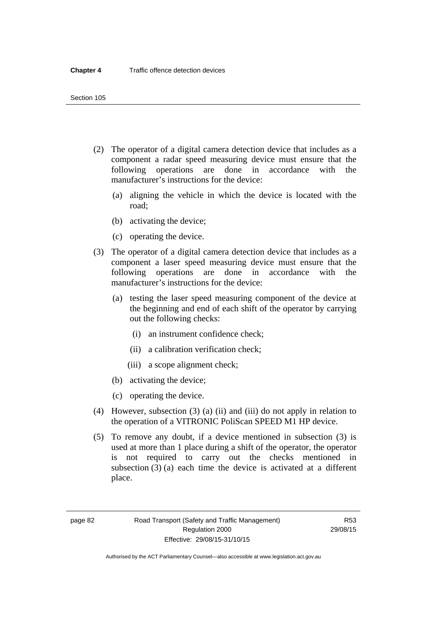- (2) The operator of a digital camera detection device that includes as a component a radar speed measuring device must ensure that the following operations are done in accordance with the manufacturer's instructions for the device:
	- (a) aligning the vehicle in which the device is located with the road;
	- (b) activating the device;
	- (c) operating the device.
- (3) The operator of a digital camera detection device that includes as a component a laser speed measuring device must ensure that the following operations are done in accordance with the manufacturer's instructions for the device:
	- (a) testing the laser speed measuring component of the device at the beginning and end of each shift of the operator by carrying out the following checks:
		- (i) an instrument confidence check;
		- (ii) a calibration verification check;
		- (iii) a scope alignment check;
	- (b) activating the device;
	- (c) operating the device.
- (4) However, subsection (3) (a) (ii) and (iii) do not apply in relation to the operation of a VITRONIC PoliScan SPEED M1 HP device.
- (5) To remove any doubt, if a device mentioned in subsection (3) is used at more than 1 place during a shift of the operator, the operator is not required to carry out the checks mentioned in subsection (3) (a) each time the device is activated at a different place.

page 82 Road Transport (Safety and Traffic Management) Regulation 2000 Effective: 29/08/15-31/10/15

R53 29/08/15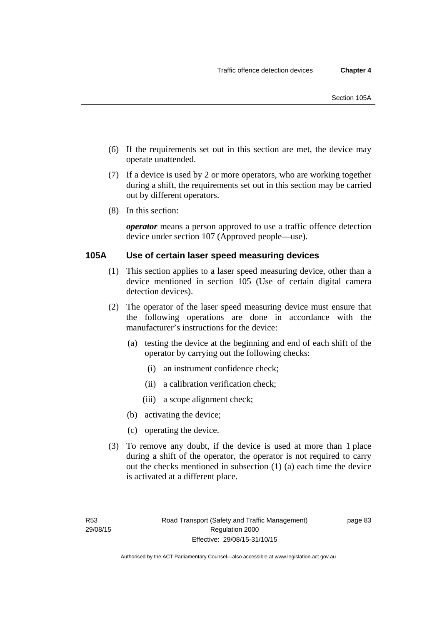- (6) If the requirements set out in this section are met, the device may operate unattended.
- (7) If a device is used by 2 or more operators, who are working together during a shift, the requirements set out in this section may be carried out by different operators.
- (8) In this section:

*operator* means a person approved to use a traffic offence detection device under section 107 (Approved people—use).

### **105A Use of certain laser speed measuring devices**

- (1) This section applies to a laser speed measuring device, other than a device mentioned in section 105 (Use of certain digital camera detection devices).
- (2) The operator of the laser speed measuring device must ensure that the following operations are done in accordance with the manufacturer's instructions for the device:
	- (a) testing the device at the beginning and end of each shift of the operator by carrying out the following checks:
		- (i) an instrument confidence check;
		- (ii) a calibration verification check;
		- (iii) a scope alignment check;
	- (b) activating the device;
	- (c) operating the device.
- (3) To remove any doubt, if the device is used at more than 1 place during a shift of the operator, the operator is not required to carry out the checks mentioned in subsection (1) (a) each time the device is activated at a different place.

page 83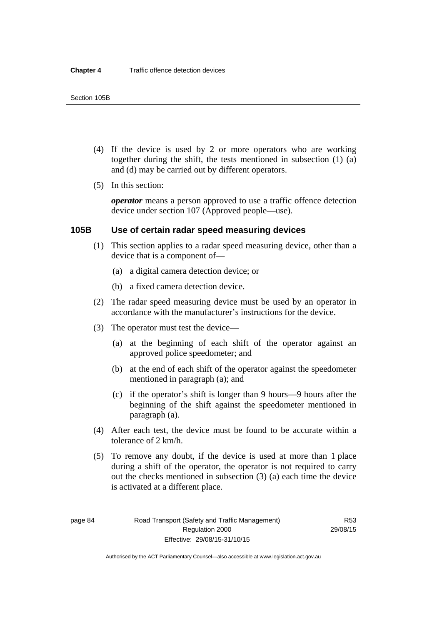- (4) If the device is used by 2 or more operators who are working together during the shift, the tests mentioned in subsection (1) (a) and (d) may be carried out by different operators.
- (5) In this section:

*operator* means a person approved to use a traffic offence detection device under section 107 (Approved people—use).

### **105B Use of certain radar speed measuring devices**

- (1) This section applies to a radar speed measuring device, other than a device that is a component of—
	- (a) a digital camera detection device; or
	- (b) a fixed camera detection device.
- (2) The radar speed measuring device must be used by an operator in accordance with the manufacturer's instructions for the device.
- (3) The operator must test the device—
	- (a) at the beginning of each shift of the operator against an approved police speedometer; and
	- (b) at the end of each shift of the operator against the speedometer mentioned in paragraph (a); and
	- (c) if the operator's shift is longer than 9 hours—9 hours after the beginning of the shift against the speedometer mentioned in paragraph (a).
- (4) After each test, the device must be found to be accurate within a tolerance of 2 km/h.
- (5) To remove any doubt, if the device is used at more than 1 place during a shift of the operator, the operator is not required to carry out the checks mentioned in subsection (3) (a) each time the device is activated at a different place.

page 84 Road Transport (Safety and Traffic Management) Regulation 2000 Effective: 29/08/15-31/10/15

R53 29/08/15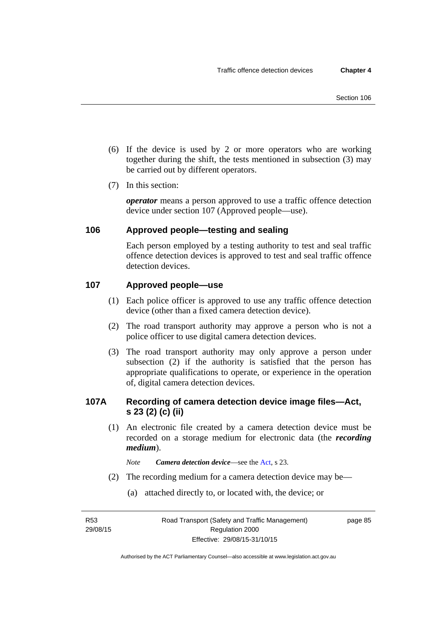- (6) If the device is used by 2 or more operators who are working together during the shift, the tests mentioned in subsection (3) may be carried out by different operators.
- (7) In this section:

*operator* means a person approved to use a traffic offence detection device under section 107 (Approved people—use).

### **106 Approved people—testing and sealing**

Each person employed by a testing authority to test and seal traffic offence detection devices is approved to test and seal traffic offence detection devices.

### **107 Approved people—use**

- (1) Each police officer is approved to use any traffic offence detection device (other than a fixed camera detection device).
- (2) The road transport authority may approve a person who is not a police officer to use digital camera detection devices.
- (3) The road transport authority may only approve a person under subsection (2) if the authority is satisfied that the person has appropriate qualifications to operate, or experience in the operation of, digital camera detection devices.

### **107A Recording of camera detection device image files—Act, s 23 (2) (c) (ii)**

(1) An electronic file created by a camera detection device must be recorded on a storage medium for electronic data (the *recording medium*).

*Note Camera detection device*—see the [Act](http://www.legislation.act.gov.au/a/1999-80/default.asp), s 23.

- (2) The recording medium for a camera detection device may be—
	- (a) attached directly to, or located with, the device; or

R53 29/08/15 page 85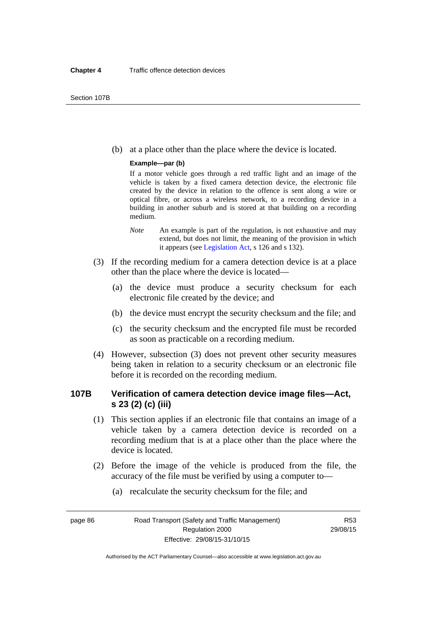(b) at a place other than the place where the device is located.

#### **Example—par (b)**

If a motor vehicle goes through a red traffic light and an image of the vehicle is taken by a fixed camera detection device, the electronic file created by the device in relation to the offence is sent along a wire or optical fibre, or across a wireless network, to a recording device in a building in another suburb and is stored at that building on a recording medium.

- *Note* An example is part of the regulation, is not exhaustive and may extend, but does not limit, the meaning of the provision in which it appears (see [Legislation Act,](http://www.legislation.act.gov.au/a/2001-14) s 126 and s 132).
- (3) If the recording medium for a camera detection device is at a place other than the place where the device is located—
	- (a) the device must produce a security checksum for each electronic file created by the device; and
	- (b) the device must encrypt the security checksum and the file; and
	- (c) the security checksum and the encrypted file must be recorded as soon as practicable on a recording medium.
- (4) However, subsection (3) does not prevent other security measures being taken in relation to a security checksum or an electronic file before it is recorded on the recording medium.

### **107B Verification of camera detection device image files—Act, s 23 (2) (c) (iii)**

- (1) This section applies if an electronic file that contains an image of a vehicle taken by a camera detection device is recorded on a recording medium that is at a place other than the place where the device is located.
- (2) Before the image of the vehicle is produced from the file, the accuracy of the file must be verified by using a computer to—
	- (a) recalculate the security checksum for the file; and

page 86 Road Transport (Safety and Traffic Management) Regulation 2000 Effective: 29/08/15-31/10/15

R53 29/08/15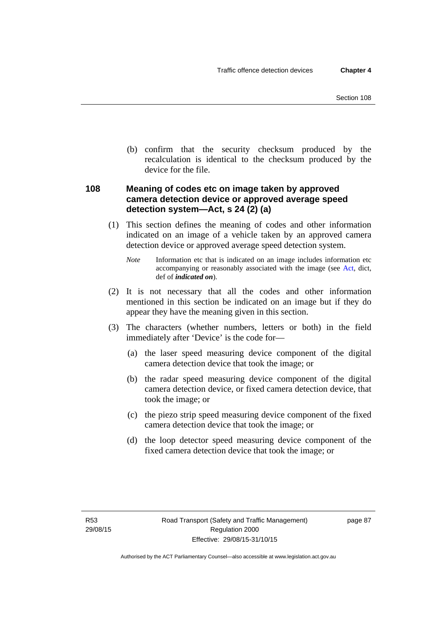(b) confirm that the security checksum produced by the recalculation is identical to the checksum produced by the device for the file.

### **108 Meaning of codes etc on image taken by approved camera detection device or approved average speed detection system—Act, s 24 (2) (a)**

(1) This section defines the meaning of codes and other information indicated on an image of a vehicle taken by an approved camera detection device or approved average speed detection system.

*Note* Information etc that is indicated on an image includes information etc accompanying or reasonably associated with the image (see [Act,](http://www.legislation.act.gov.au/a/1999-80/default.asp) dict, def of *indicated on*).

- (2) It is not necessary that all the codes and other information mentioned in this section be indicated on an image but if they do appear they have the meaning given in this section.
- (3) The characters (whether numbers, letters or both) in the field immediately after 'Device' is the code for—
	- (a) the laser speed measuring device component of the digital camera detection device that took the image; or
	- (b) the radar speed measuring device component of the digital camera detection device, or fixed camera detection device, that took the image; or
	- (c) the piezo strip speed measuring device component of the fixed camera detection device that took the image; or
	- (d) the loop detector speed measuring device component of the fixed camera detection device that took the image; or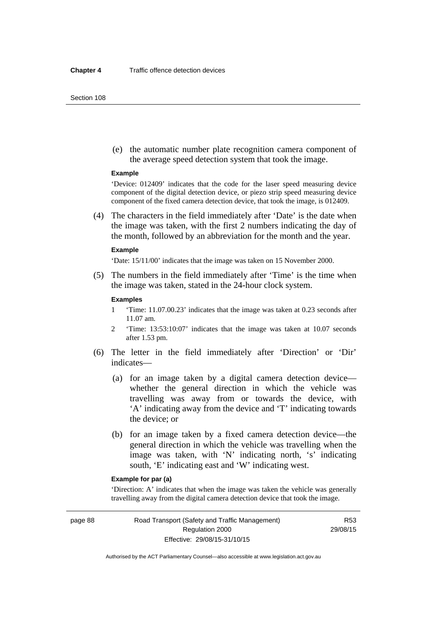#### Section 108

 (e) the automatic number plate recognition camera component of the average speed detection system that took the image.

#### **Example**

'Device: 012409' indicates that the code for the laser speed measuring device component of the digital detection device, or piezo strip speed measuring device component of the fixed camera detection device, that took the image, is 012409.

 (4) The characters in the field immediately after 'Date' is the date when the image was taken, with the first 2 numbers indicating the day of the month, followed by an abbreviation for the month and the year.

#### **Example**

'Date: 15/11/00' indicates that the image was taken on 15 November 2000.

 (5) The numbers in the field immediately after 'Time' is the time when the image was taken, stated in the 24-hour clock system.

#### **Examples**

- 1 'Time: 11.07.00.23' indicates that the image was taken at 0.23 seconds after 11.07 am.
- 2 'Time: 13:53:10:07' indicates that the image was taken at 10.07 seconds after 1.53 pm.
- (6) The letter in the field immediately after 'Direction' or 'Dir' indicates—
	- (a) for an image taken by a digital camera detection device whether the general direction in which the vehicle was travelling was away from or towards the device, with 'A' indicating away from the device and 'T' indicating towards the device; or
	- (b) for an image taken by a fixed camera detection device—the general direction in which the vehicle was travelling when the image was taken, with 'N' indicating north, 's' indicating south, 'E' indicating east and 'W' indicating west.

### **Example for par (a)**

'Direction: A' indicates that when the image was taken the vehicle was generally travelling away from the digital camera detection device that took the image.

page 88 Road Transport (Safety and Traffic Management) Regulation 2000 Effective: 29/08/15-31/10/15

R53 29/08/15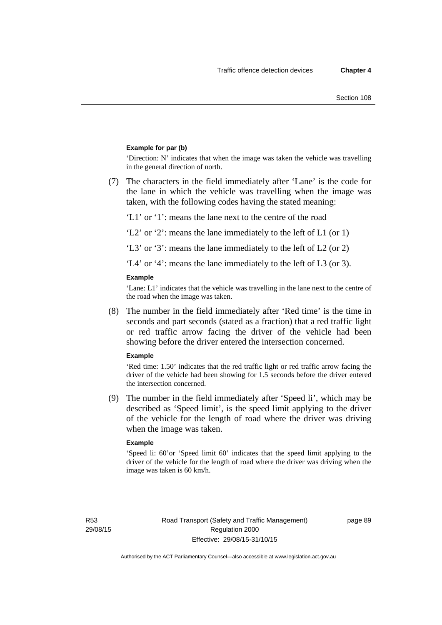### **Example for par (b)**

'Direction: N' indicates that when the image was taken the vehicle was travelling in the general direction of north.

 (7) The characters in the field immediately after 'Lane' is the code for the lane in which the vehicle was travelling when the image was taken, with the following codes having the stated meaning:

'L1' or '1': means the lane next to the centre of the road

'L2' or '2': means the lane immediately to the left of L1 (or 1)

'L3' or '3': means the lane immediately to the left of L2 (or 2)

'L4' or '4': means the lane immediately to the left of L3 (or 3).

#### **Example**

'Lane: L1' indicates that the vehicle was travelling in the lane next to the centre of the road when the image was taken.

 (8) The number in the field immediately after 'Red time' is the time in seconds and part seconds (stated as a fraction) that a red traffic light or red traffic arrow facing the driver of the vehicle had been showing before the driver entered the intersection concerned.

#### **Example**

'Red time: 1.50' indicates that the red traffic light or red traffic arrow facing the driver of the vehicle had been showing for 1.5 seconds before the driver entered the intersection concerned.

 (9) The number in the field immediately after 'Speed li', which may be described as 'Speed limit', is the speed limit applying to the driver of the vehicle for the length of road where the driver was driving when the image was taken.

#### **Example**

'Speed li: 60'or 'Speed limit 60' indicates that the speed limit applying to the driver of the vehicle for the length of road where the driver was driving when the image was taken is 60 km/h.

R53 29/08/15 page 89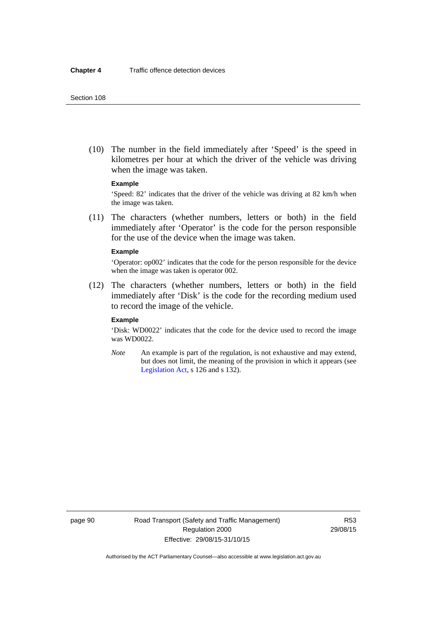(10) The number in the field immediately after 'Speed' is the speed in kilometres per hour at which the driver of the vehicle was driving when the image was taken.

### **Example**

'Speed: 82' indicates that the driver of the vehicle was driving at 82 km/h when the image was taken.

 (11) The characters (whether numbers, letters or both) in the field immediately after 'Operator' is the code for the person responsible for the use of the device when the image was taken.

#### **Example**

'Operator: op002' indicates that the code for the person responsible for the device when the image was taken is operator 002.

 (12) The characters (whether numbers, letters or both) in the field immediately after 'Disk' is the code for the recording medium used to record the image of the vehicle.

#### **Example**

'Disk: WD0022' indicates that the code for the device used to record the image was WD0022.

*Note* An example is part of the regulation, is not exhaustive and may extend, but does not limit, the meaning of the provision in which it appears (see [Legislation Act,](http://www.legislation.act.gov.au/a/2001-14) s 126 and s 132).

page 90 Road Transport (Safety and Traffic Management) Regulation 2000 Effective: 29/08/15-31/10/15

R53 29/08/15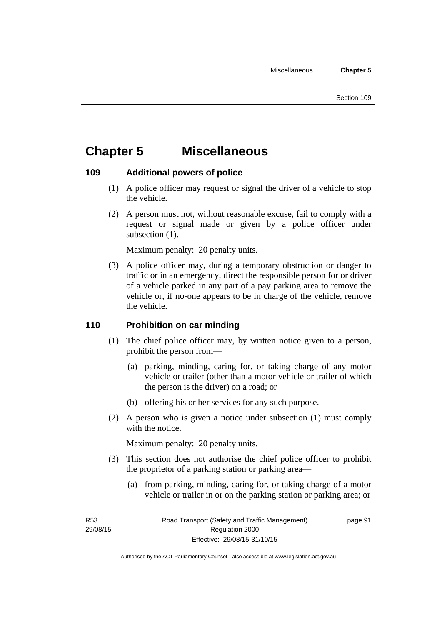# **Chapter 5 Miscellaneous**

### **109 Additional powers of police**

- (1) A police officer may request or signal the driver of a vehicle to stop the vehicle.
- (2) A person must not, without reasonable excuse, fail to comply with a request or signal made or given by a police officer under subsection  $(1)$ .

Maximum penalty: 20 penalty units.

 (3) A police officer may, during a temporary obstruction or danger to traffic or in an emergency, direct the responsible person for or driver of a vehicle parked in any part of a pay parking area to remove the vehicle or, if no-one appears to be in charge of the vehicle, remove the vehicle.

### **110 Prohibition on car minding**

- (1) The chief police officer may, by written notice given to a person, prohibit the person from—
	- (a) parking, minding, caring for, or taking charge of any motor vehicle or trailer (other than a motor vehicle or trailer of which the person is the driver) on a road; or
	- (b) offering his or her services for any such purpose.
- (2) A person who is given a notice under subsection (1) must comply with the notice.

Maximum penalty: 20 penalty units.

- (3) This section does not authorise the chief police officer to prohibit the proprietor of a parking station or parking area—
	- (a) from parking, minding, caring for, or taking charge of a motor vehicle or trailer in or on the parking station or parking area; or

R53 29/08/15 page 91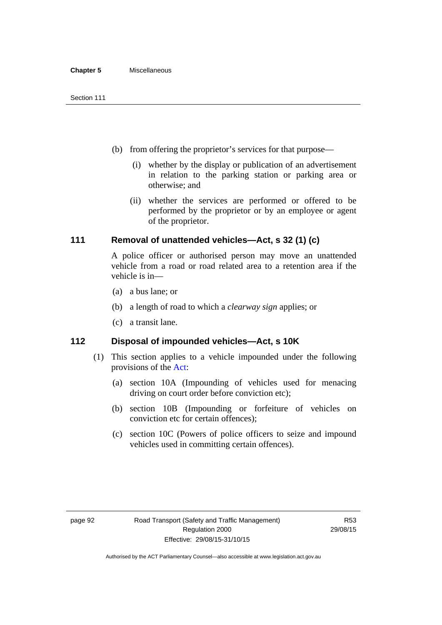- (b) from offering the proprietor's services for that purpose—
	- (i) whether by the display or publication of an advertisement in relation to the parking station or parking area or otherwise; and
	- (ii) whether the services are performed or offered to be performed by the proprietor or by an employee or agent of the proprietor.

## **111 Removal of unattended vehicles—Act, s 32 (1) (c)**

A police officer or authorised person may move an unattended vehicle from a road or road related area to a retention area if the vehicle is in—

- (a) a bus lane; or
- (b) a length of road to which a *clearway sign* applies; or
- (c) a transit lane.

## **112 Disposal of impounded vehicles—Act, s 10K**

- (1) This section applies to a vehicle impounded under the following provisions of the [Act:](http://www.legislation.act.gov.au/a/1999-80/default.asp)
	- (a) section 10A (Impounding of vehicles used for menacing driving on court order before conviction etc);
	- (b) section 10B (Impounding or forfeiture of vehicles on conviction etc for certain offences);
	- (c) section 10C (Powers of police officers to seize and impound vehicles used in committing certain offences).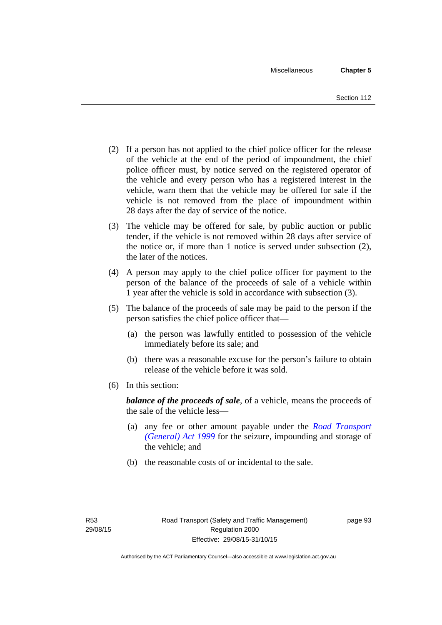- (2) If a person has not applied to the chief police officer for the release of the vehicle at the end of the period of impoundment, the chief police officer must, by notice served on the registered operator of the vehicle and every person who has a registered interest in the vehicle, warn them that the vehicle may be offered for sale if the vehicle is not removed from the place of impoundment within 28 days after the day of service of the notice.
- (3) The vehicle may be offered for sale, by public auction or public tender, if the vehicle is not removed within 28 days after service of the notice or, if more than 1 notice is served under subsection (2), the later of the notices.
- (4) A person may apply to the chief police officer for payment to the person of the balance of the proceeds of sale of a vehicle within 1 year after the vehicle is sold in accordance with subsection (3).
- (5) The balance of the proceeds of sale may be paid to the person if the person satisfies the chief police officer that—
	- (a) the person was lawfully entitled to possession of the vehicle immediately before its sale; and
	- (b) there was a reasonable excuse for the person's failure to obtain release of the vehicle before it was sold.
- (6) In this section:

*balance of the proceeds of sale*, of a vehicle, means the proceeds of the sale of the vehicle less—

- (a) any fee or other amount payable under the *[Road Transport](http://www.legislation.act.gov.au/a/1999-77)  [\(General\) Act 1999](http://www.legislation.act.gov.au/a/1999-77)* for the seizure, impounding and storage of the vehicle; and
- (b) the reasonable costs of or incidental to the sale.

page 93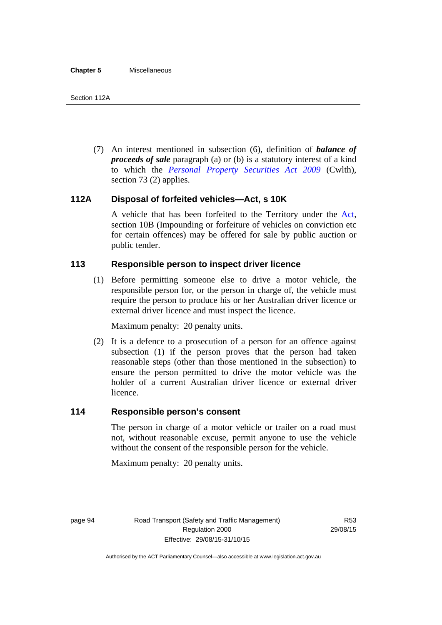(7) An interest mentioned in subsection (6), definition of *balance of proceeds of sale* paragraph (a) or (b) is a statutory interest of a kind to which the *[Personal Property Securities Act 2009](http://www.comlaw.gov.au/Series/C2009A00130)* (Cwlth), section 73 (2) applies.

## **112A Disposal of forfeited vehicles—Act, s 10K**

A vehicle that has been forfeited to the Territory under the [Act](http://www.legislation.act.gov.au/a/1999-80/default.asp), section 10B (Impounding or forfeiture of vehicles on conviction etc for certain offences) may be offered for sale by public auction or public tender.

## **113 Responsible person to inspect driver licence**

(1) Before permitting someone else to drive a motor vehicle, the responsible person for, or the person in charge of, the vehicle must require the person to produce his or her Australian driver licence or external driver licence and must inspect the licence.

Maximum penalty: 20 penalty units.

 (2) It is a defence to a prosecution of a person for an offence against subsection (1) if the person proves that the person had taken reasonable steps (other than those mentioned in the subsection) to ensure the person permitted to drive the motor vehicle was the holder of a current Australian driver licence or external driver licence.

## **114 Responsible person's consent**

The person in charge of a motor vehicle or trailer on a road must not, without reasonable excuse, permit anyone to use the vehicle without the consent of the responsible person for the vehicle.

Maximum penalty: 20 penalty units.

page 94 Road Transport (Safety and Traffic Management) Regulation 2000 Effective: 29/08/15-31/10/15

R53 29/08/15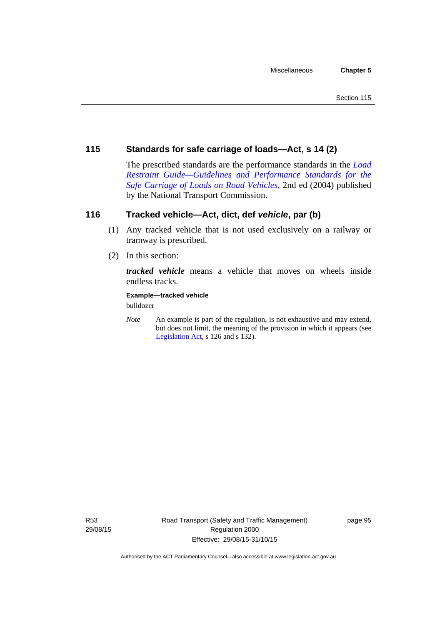## **115 Standards for safe carriage of loads—Act, s 14 (2)**

The prescribed standards are the performance standards in the *[Load](http://www.ntc.gov.au/viewpage.aspx?documentid=862)  [Restraint Guide—Guidelines and Performance Standards for the](http://www.ntc.gov.au/viewpage.aspx?documentid=862)  [Safe Carriage of Loads on Road Vehicles](http://www.ntc.gov.au/viewpage.aspx?documentid=862)*, 2nd ed (2004) published by the National Transport Commission.

## **116 Tracked vehicle—Act, dict, def** *vehicle***, par (b)**

- (1) Any tracked vehicle that is not used exclusively on a railway or tramway is prescribed.
- (2) In this section:

*tracked vehicle* means a vehicle that moves on wheels inside endless tracks.

**Example—tracked vehicle** 

bulldozer

*Note* An example is part of the regulation, is not exhaustive and may extend, but does not limit, the meaning of the provision in which it appears (see [Legislation Act,](http://www.legislation.act.gov.au/a/2001-14) s 126 and s 132).

R53 29/08/15 page 95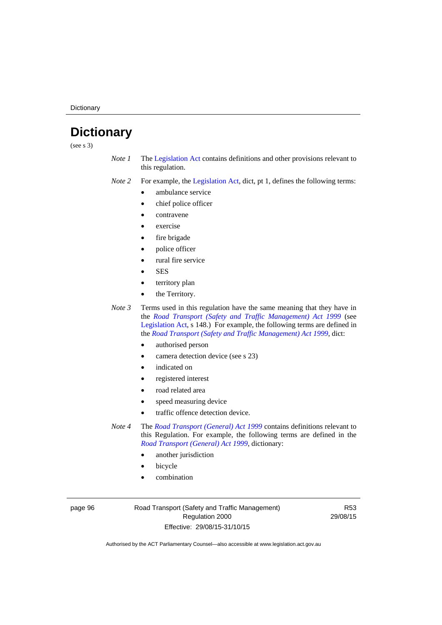**Dictionary** 

# **Dictionary**

(see s 3)

- *Note 1* The [Legislation Act](http://www.legislation.act.gov.au/a/2001-14) contains definitions and other provisions relevant to this regulation.
- *Note 2* For example, the [Legislation Act,](http://www.legislation.act.gov.au/a/2001-14) dict, pt 1, defines the following terms:
	- ambulance service
	- chief police officer
	- contravene
	- exercise
	- fire brigade
	- police officer
		- rural fire service
	- **SES**
	- territory plan
	- the Territory.

*Note 3* Terms used in this regulation have the same meaning that they have in the *[Road Transport \(Safety and Traffic Management\) Act 1999](http://www.legislation.act.gov.au/a/1999-80)* (see [Legislation Act,](http://www.legislation.act.gov.au/a/2001-14) s 148.) For example, the following terms are defined in the *[Road Transport \(Safety and Traffic Management\) Act 1999](http://www.legislation.act.gov.au/a/1999-80)*, dict:

- authorised person
- camera detection device (see s 23)
- indicated on
- registered interest
- road related area
- speed measuring device
- traffic offence detection device.

*Note 4* The *[Road Transport \(General\) Act 1999](http://www.legislation.act.gov.au/a/1999-77)* contains definitions relevant to this Regulation. For example, the following terms are defined in the *[Road Transport \(General\) Act 1999](http://www.legislation.act.gov.au/a/1999-77)*, dictionary:

- another jurisdiction
- bicycle
- combination

page 96 Road Transport (Safety and Traffic Management) Regulation 2000 Effective: 29/08/15-31/10/15

R53 29/08/15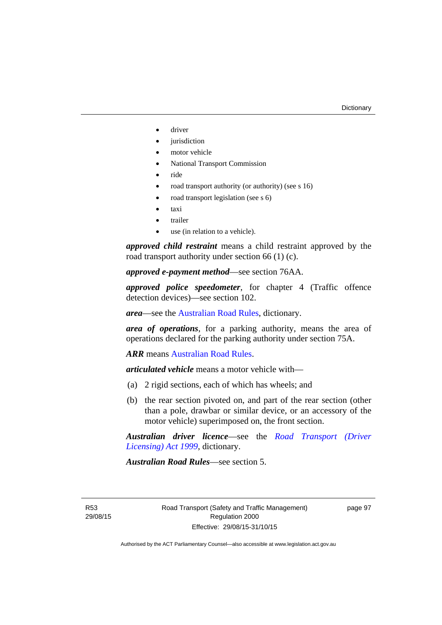- driver
- jurisdiction
- motor vehicle
- National Transport Commission
- ride
- road transport authority (or authority) (see s 16)
- road transport legislation (see s 6)
- taxi
- trailer
- use (in relation to a vehicle).

*approved child restraint* means a child restraint approved by the road transport authority under section 66 (1) (c).

*approved e-payment method*—see section 76AA.

*approved police speedometer*, for chapter 4 (Traffic offence detection devices)—see section 102.

*area*—see the [Australian Road Rules,](http://www.legislation.act.gov.au//ni/db_37271/default.asp) dictionary.

*area of operations*, for a parking authority, means the area of operations declared for the parking authority under section 75A.

*ARR* means [Australian Road Rules](http://www.legislation.act.gov.au//ni/db_37271/default.asp).

*articulated vehicle* means a motor vehicle with—

- (a) 2 rigid sections, each of which has wheels; and
- (b) the rear section pivoted on, and part of the rear section (other than a pole, drawbar or similar device, or an accessory of the motor vehicle) superimposed on, the front section.

*Australian driver licence*—see the *[Road Transport \(Driver](http://www.legislation.act.gov.au/a/1999-78)  [Licensing\) Act 1999](http://www.legislation.act.gov.au/a/1999-78)*, dictionary.

*Australian Road Rules*—see section 5.

R53 29/08/15 page 97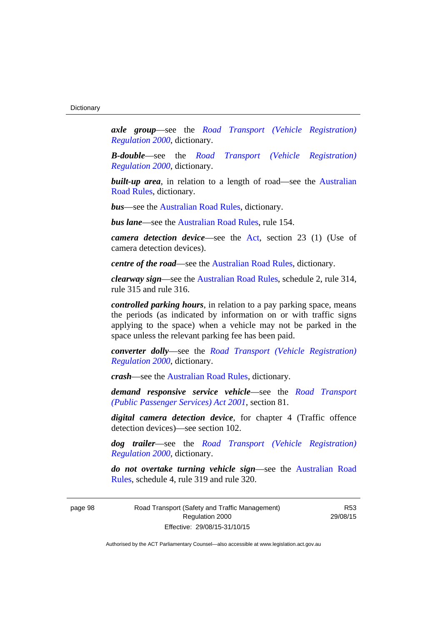*axle group*—see the *[Road Transport \(Vehicle Registration\)](http://www.legislation.act.gov.au/sl/2000-12)  [Regulation 2000](http://www.legislation.act.gov.au/sl/2000-12)*, dictionary.

*B-double*—see the *[Road Transport \(Vehicle Registration\)](http://www.legislation.act.gov.au/sl/2000-12)  [Regulation 2000](http://www.legislation.act.gov.au/sl/2000-12)*, dictionary.

**built-up area**, in relation to a length of road—see the Australian [Road Rules,](http://www.legislation.act.gov.au//ni/db_37271/default.asp) dictionary.

*bus*—see the [Australian Road Rules,](http://www.legislation.act.gov.au//ni/db_37271/default.asp) dictionary.

*bus lane*—see the [Australian Road Rules](http://www.legislation.act.gov.au//ni/db_37271/default.asp), rule 154.

*camera detection device*—see the [Act](http://www.legislation.act.gov.au/a/1999-80/default.asp), section 23 (1) (Use of camera detection devices).

*centre of the road*—see the [Australian Road Rules](http://www.legislation.act.gov.au//ni/db_37271/default.asp), dictionary.

*clearway sign*—see the [Australian Road Rules,](http://www.legislation.act.gov.au//ni/db_37271/default.asp) schedule 2, rule 314, rule 315 and rule 316.

*controlled parking hours*, in relation to a pay parking space, means the periods (as indicated by information on or with traffic signs applying to the space) when a vehicle may not be parked in the space unless the relevant parking fee has been paid.

*converter dolly*—see the *[Road Transport \(Vehicle Registration\)](http://www.legislation.act.gov.au/sl/2000-12)  [Regulation 2000](http://www.legislation.act.gov.au/sl/2000-12)*, dictionary.

*crash*—see the [Australian Road Rules](http://www.legislation.act.gov.au//ni/db_37271/default.asp), dictionary.

*demand responsive service vehicle*—see the *[Road Transport](http://www.legislation.act.gov.au/a/2001-62)  [\(Public Passenger Services\) Act 2001](http://www.legislation.act.gov.au/a/2001-62)*, section 81.

*digital camera detection device*, for chapter 4 (Traffic offence detection devices)—see section 102.

*dog trailer*—see the *[Road Transport \(Vehicle Registration\)](http://www.legislation.act.gov.au/sl/2000-12)  [Regulation 2000](http://www.legislation.act.gov.au/sl/2000-12)*, dictionary.

*do not overtake turning vehicle sign*—see the [Australian Road](http://www.legislation.act.gov.au//ni/db_37271/default.asp)  [Rules](http://www.legislation.act.gov.au//ni/db_37271/default.asp), schedule 4, rule 319 and rule 320.

page 98 Road Transport (Safety and Traffic Management) Regulation 2000 Effective: 29/08/15-31/10/15

R53 29/08/15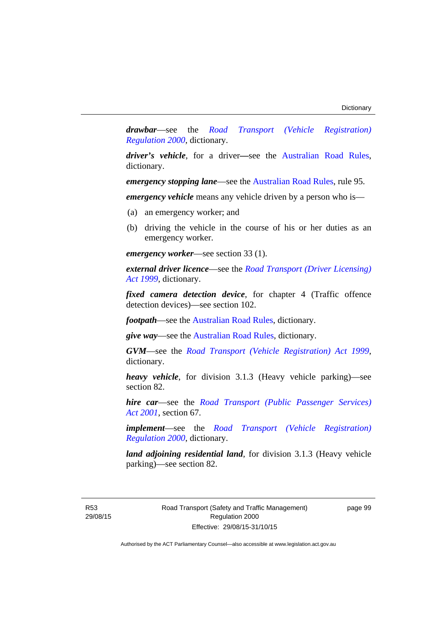*drawbar*—see the *[Road Transport \(Vehicle Registration\)](http://www.legislation.act.gov.au/sl/2000-12)  [Regulation 2000](http://www.legislation.act.gov.au/sl/2000-12)*, dictionary.

*driver's vehicle*, for a driver*—*see the [Australian Road Rules](http://www.legislation.act.gov.au//ni/db_37271/default.asp), dictionary.

*emergency stopping lane—see the [Australian Road Rules](http://www.legislation.act.gov.au//ni/db_37271/default.asp), rule 95.* 

*emergency vehicle* means any vehicle driven by a person who is—

- (a) an emergency worker; and
- (b) driving the vehicle in the course of his or her duties as an emergency worker.

*emergency worker*—see section 33 (1).

*external driver licence*—see the *[Road Transport \(Driver Licensing\)](http://www.legislation.act.gov.au/a/1999-78)  [Act 1999](http://www.legislation.act.gov.au/a/1999-78)*, dictionary.

*fixed camera detection device*, for chapter 4 (Traffic offence detection devices)—see section 102.

*footpath*—see the [Australian Road Rules](http://www.legislation.act.gov.au//ni/db_37271/default.asp), dictionary.

*give way*—see the [Australian Road Rules](http://www.legislation.act.gov.au//ni/db_37271/default.asp), dictionary.

*GVM*—see the *[Road Transport \(Vehicle Registration\) Act 1999](http://www.legislation.act.gov.au/a/1999-81)*, dictionary.

*heavy vehicle*, for division 3.1.3 (Heavy vehicle parking)—see section 82.

*hire car*—see the *[Road Transport \(Public Passenger Services\)](http://www.legislation.act.gov.au/a/2001-62)  [Act 2001](http://www.legislation.act.gov.au/a/2001-62)*, section 67.

*implement*—see the *[Road Transport \(Vehicle Registration\)](http://www.legislation.act.gov.au/sl/2000-12)  [Regulation 2000](http://www.legislation.act.gov.au/sl/2000-12)*, dictionary.

*land adjoining residential land*, for division 3.1.3 (Heavy vehicle parking)—see section 82.

R53 29/08/15 page 99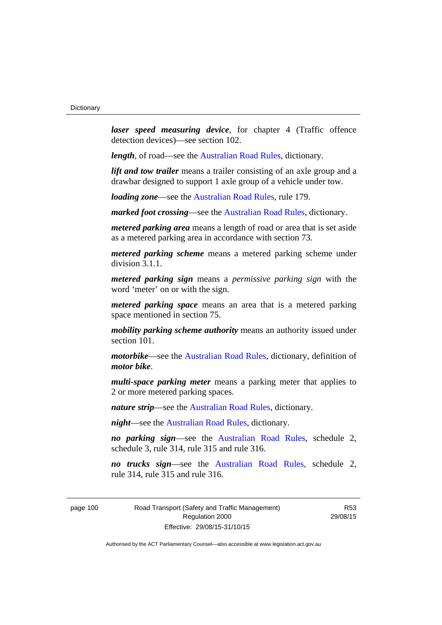*laser speed measuring device*, for chapter 4 (Traffic offence detection devices)—see section 102.

*length*, of road—see the [Australian Road Rules](http://www.legislation.act.gov.au//ni/db_37271/default.asp), dictionary.

*lift and tow trailer* means a trailer consisting of an axle group and a drawbar designed to support 1 axle group of a vehicle under tow.

*loading zone*—see the [Australian Road Rules,](http://www.legislation.act.gov.au//ni/db_37271/default.asp) rule 179.

*marked foot crossing*—see the [Australian Road Rules,](http://www.legislation.act.gov.au//ni/db_37271/default.asp) dictionary.

*metered parking area* means a length of road or area that is set aside as a metered parking area in accordance with section 73.

*metered parking scheme* means a metered parking scheme under division 3.1.1.

*metered parking sign* means a *permissive parking sign* with the word 'meter' on or with the sign.

*metered parking space* means an area that is a metered parking space mentioned in section 75.

*mobility parking scheme authority* means an authority issued under section 101.

*motorbike*—see the [Australian Road Rules,](http://www.legislation.act.gov.au//ni/db_37271/default.asp) dictionary, definition of *motor bike*.

*multi-space parking meter* means a parking meter that applies to 2 or more metered parking spaces.

*nature strip*—see the [Australian Road Rules](http://www.legislation.act.gov.au//ni/db_37271/default.asp), dictionary.

*night*—see the [Australian Road Rules,](http://www.legislation.act.gov.au//ni/db_37271/default.asp) dictionary.

*no parking sign*—see the [Australian Road Rules](http://www.legislation.act.gov.au//ni/db_37271/default.asp), schedule 2, schedule 3, rule 314, rule 315 and rule 316.

*no trucks sign*—see the [Australian Road Rules,](http://www.legislation.act.gov.au//ni/db_37271/default.asp) schedule 2, rule 314, rule 315 and rule 316.

page 100 Road Transport (Safety and Traffic Management) Regulation 2000 Effective: 29/08/15-31/10/15

R53 29/08/15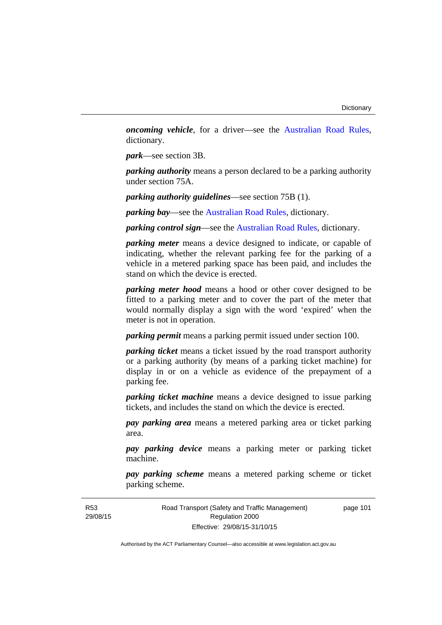*oncoming vehicle*, for a driver—see the [Australian Road Rules](http://www.legislation.act.gov.au//ni/db_37271/default.asp), dictionary.

*park*—see section 3B.

*parking authority* means a person declared to be a parking authority under section 75A.

*parking authority guidelines*—see section 75B (1).

*parking bay*—see the [Australian Road Rules,](http://www.legislation.act.gov.au//ni/db_37271/default.asp) dictionary.

*parking control sign*—see the [Australian Road Rules](http://www.legislation.act.gov.au//ni/db_37271/default.asp), dictionary.

*parking meter* means a device designed to indicate, or capable of indicating, whether the relevant parking fee for the parking of a vehicle in a metered parking space has been paid, and includes the stand on which the device is erected.

*parking meter hood* means a hood or other cover designed to be fitted to a parking meter and to cover the part of the meter that would normally display a sign with the word 'expired' when the meter is not in operation.

*parking permit* means a parking permit issued under section 100.

*parking ticket* means a ticket issued by the road transport authority or a parking authority (by means of a parking ticket machine) for display in or on a vehicle as evidence of the prepayment of a parking fee.

*parking ticket machine* means a device designed to issue parking tickets, and includes the stand on which the device is erected.

*pay parking area* means a metered parking area or ticket parking area.

*pay parking device* means a parking meter or parking ticket machine.

*pay parking scheme* means a metered parking scheme or ticket parking scheme.

Road Transport (Safety and Traffic Management) Regulation 2000 Effective: 29/08/15-31/10/15

page 101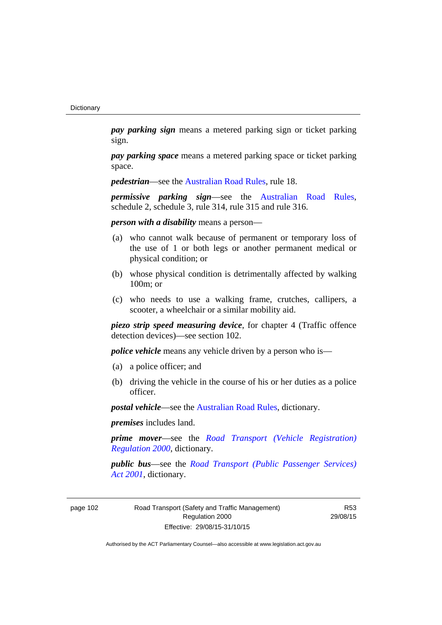*pay parking sign* means a metered parking sign or ticket parking sign.

*pay parking space* means a metered parking space or ticket parking space.

*pedestrian***—see the [Australian Road Rules](http://www.legislation.act.gov.au//ni/db_37271/default.asp)**, rule 18.

*permissive parking sign*—see the [Australian Road Rules](http://www.legislation.act.gov.au//ni/db_37271/default.asp), schedule 2, schedule 3, rule 314, rule 315 and rule 316.

*person with a disability* means a person—

- (a) who cannot walk because of permanent or temporary loss of the use of 1 or both legs or another permanent medical or physical condition; or
- (b) whose physical condition is detrimentally affected by walking 100m; or
- (c) who needs to use a walking frame, crutches, callipers, a scooter, a wheelchair or a similar mobility aid.

*piezo strip speed measuring device*, for chapter 4 (Traffic offence detection devices)—see section 102.

*police vehicle* means any vehicle driven by a person who is—

- (a) a police officer; and
- (b) driving the vehicle in the course of his or her duties as a police officer.

*postal vehicle*—see the [Australian Road Rules,](http://www.legislation.act.gov.au//ni/db_37271/default.asp) dictionary.

*premises* includes land.

*prime mover*—see the *[Road Transport \(Vehicle Registration\)](http://www.legislation.act.gov.au/sl/2000-12)  [Regulation 2000](http://www.legislation.act.gov.au/sl/2000-12)*, dictionary.

*public bus*—see the *[Road Transport \(Public Passenger Services\)](http://www.legislation.act.gov.au/a/2001-62)  [Act 2001](http://www.legislation.act.gov.au/a/2001-62)*, dictionary.

page 102 Road Transport (Safety and Traffic Management) Regulation 2000 Effective: 29/08/15-31/10/15

R53 29/08/15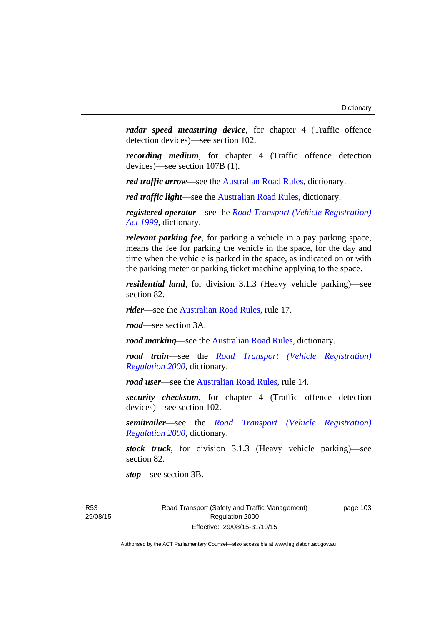*radar speed measuring device*, for chapter 4 (Traffic offence detection devices)—see section 102.

*recording medium*, for chapter 4 (Traffic offence detection devices)—see section 107B (1).

*red traffic arrow*—see the [Australian Road Rules,](http://www.legislation.act.gov.au//ni/db_37271/default.asp) dictionary.

*red traffic light*—see the [Australian Road Rules](http://www.legislation.act.gov.au//ni/db_37271/default.asp), dictionary.

*registered operator*—see the *[Road Transport \(Vehicle Registration\)](http://www.legislation.act.gov.au/a/1999-81)  [Act 1999](http://www.legislation.act.gov.au/a/1999-81)*, dictionary.

*relevant parking fee*, for parking a vehicle in a pay parking space, means the fee for parking the vehicle in the space, for the day and time when the vehicle is parked in the space, as indicated on or with the parking meter or parking ticket machine applying to the space.

*residential land*, for division 3.1.3 (Heavy vehicle parking)—see section 82.

*rider*—see the [Australian Road Rules,](http://www.legislation.act.gov.au//ni/db_37271/default.asp) rule 17.

*road*—see section 3A.

*road marking*—see the [Australian Road Rules](http://www.legislation.act.gov.au//ni/db_37271/default.asp), dictionary.

*road train*—see the *[Road Transport \(Vehicle Registration\)](http://www.legislation.act.gov.au/sl/2000-12)  [Regulation 2000](http://www.legislation.act.gov.au/sl/2000-12)*, dictionary.

*road user***—see the Australian Road Rules**, rule 14.

*security checksum*, for chapter 4 (Traffic offence detection devices)—see section 102.

*semitrailer*—see the *[Road Transport \(Vehicle Registration\)](http://www.legislation.act.gov.au/sl/2000-12)  [Regulation 2000](http://www.legislation.act.gov.au/sl/2000-12)*, dictionary.

*stock truck*, for division 3.1.3 (Heavy vehicle parking)—see section 82.

*stop*—see section 3B.

R53 29/08/15 Road Transport (Safety and Traffic Management) Regulation 2000 Effective: 29/08/15-31/10/15

page 103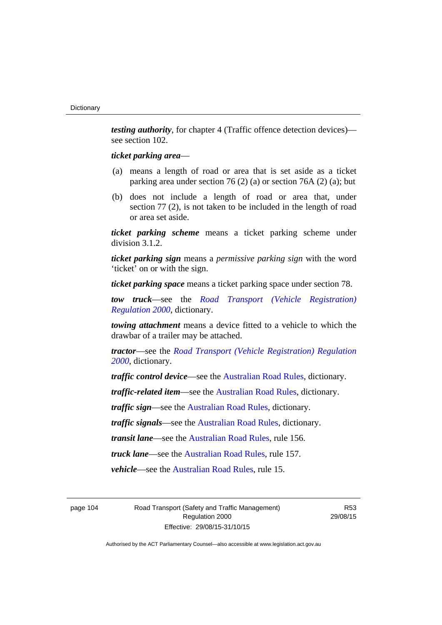*testing authority*, for chapter 4 (Traffic offence detection devices) see section 102.

#### *ticket parking area*—

- (a) means a length of road or area that is set aside as a ticket parking area under section 76 (2) (a) or section 76A (2) (a); but
- (b) does not include a length of road or area that, under section 77 (2), is not taken to be included in the length of road or area set aside.

*ticket parking scheme* means a ticket parking scheme under division 3.1.2.

*ticket parking sign* means a *permissive parking sign* with the word 'ticket' on or with the sign.

*ticket parking space* means a ticket parking space under section 78.

*tow truck*—see the *[Road Transport \(Vehicle Registration\)](http://www.legislation.act.gov.au/sl/2000-12)  [Regulation 2000](http://www.legislation.act.gov.au/sl/2000-12)*, dictionary.

*towing attachment* means a device fitted to a vehicle to which the drawbar of a trailer may be attached.

*tractor*—see the *[Road Transport \(Vehicle Registration\) Regulation](http://www.legislation.act.gov.au/sl/2000-12)  [2000](http://www.legislation.act.gov.au/sl/2000-12)*, dictionary.

*traffic control device*—see the [Australian Road Rules](http://www.legislation.act.gov.au//ni/db_37271/default.asp), dictionary.

*traffic-related item*—see the [Australian Road Rules,](http://www.legislation.act.gov.au//ni/db_37271/default.asp) dictionary.

*traffic sign*—see the [Australian Road Rules](http://www.legislation.act.gov.au//ni/db_37271/default.asp), dictionary.

*traffic signals*—see the [Australian Road Rules](http://www.legislation.act.gov.au//ni/db_37271/default.asp), dictionary.

*transit lane*—see the [Australian Road Rules,](http://www.legislation.act.gov.au//ni/db_37271/default.asp) rule 156.

*truck lane*—see the [Australian Road Rules,](http://www.legislation.act.gov.au//ni/db_37271/default.asp) rule 157.

*vehicle*—see the [Australian Road Rules](http://www.legislation.act.gov.au//ni/db_37271/default.asp), rule 15.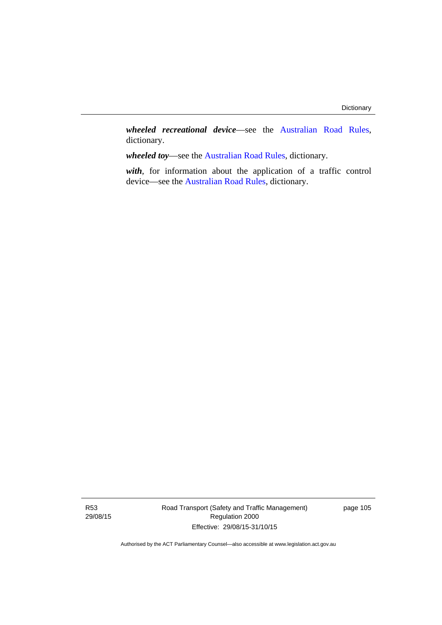*wheeled recreational device*—see the [Australian Road Rules](http://www.legislation.act.gov.au//ni/db_37271/default.asp), dictionary.

*wheeled toy*—see the [Australian Road Rules](http://www.legislation.act.gov.au//ni/db_37271/default.asp), dictionary.

*with*, for information about the application of a traffic control device—see the [Australian Road Rules](http://www.legislation.act.gov.au//ni/db_37271/default.asp), dictionary.

R53 29/08/15 Road Transport (Safety and Traffic Management) Regulation 2000 Effective: 29/08/15-31/10/15

page 105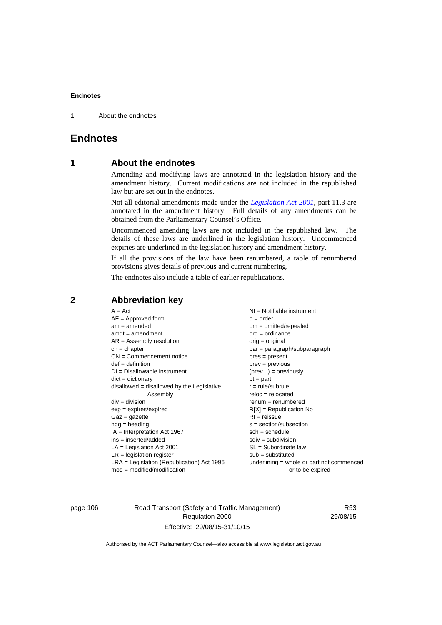1 About the endnotes

## **Endnotes**

## **1 About the endnotes**

Amending and modifying laws are annotated in the legislation history and the amendment history. Current modifications are not included in the republished law but are set out in the endnotes.

Not all editorial amendments made under the *[Legislation Act 2001](http://www.legislation.act.gov.au/a/2001-14)*, part 11.3 are annotated in the amendment history. Full details of any amendments can be obtained from the Parliamentary Counsel's Office.

Uncommenced amending laws are not included in the republished law. The details of these laws are underlined in the legislation history. Uncommenced expiries are underlined in the legislation history and amendment history.

If all the provisions of the law have been renumbered, a table of renumbered provisions gives details of previous and current numbering.

The endnotes also include a table of earlier republications.

| $A = Act$                                    | $NI =$ Notifiable instrument                |
|----------------------------------------------|---------------------------------------------|
| $AF =$ Approved form                         | $o = order$                                 |
| $am = amended$                               | $om = omitted/repealed$                     |
| $amdt = amendment$                           | $ord = ordinance$                           |
| $AR = Assembly resolution$                   | $orig = original$                           |
| $ch = chapter$                               | par = paragraph/subparagraph                |
| $CN =$ Commencement notice                   | $pres = present$                            |
| $def = definition$                           | prev = previous                             |
| $DI = Disallowable instrument$               | $(\text{prev}) = \text{previously}$         |
| $dict = dictionary$                          | $pt = part$                                 |
| $disallowed = disallowed by the Legislative$ | $r = rule/subrule$                          |
| Assembly                                     | $reloc = relocated$                         |
| $div = division$                             | $remum = renumbered$                        |
| $exp = expires/expired$                      | $R[X]$ = Republication No                   |
| $Gaz = gazette$                              | $RI = reissue$                              |
| $hdg =$ heading                              | $s = section/subsection$                    |
| $IA = Interpretation Act 1967$               | $sch = schedule$                            |
| $ins = inserted/added$                       | $sdiv = subdivision$                        |
| $LA =$ Legislation Act 2001                  | $SL = Subordinate$ law                      |
| $LR =$ legislation register                  | $sub =$ substituted                         |
| $LRA =$ Legislation (Republication) Act 1996 | $underlining = whole or part not commenced$ |
| $mod = modified/modification$                | or to be expired                            |
|                                              |                                             |

## **2 Abbreviation key**

page 106 Road Transport (Safety and Traffic Management) Regulation 2000 Effective: 29/08/15-31/10/15

R53 29/08/15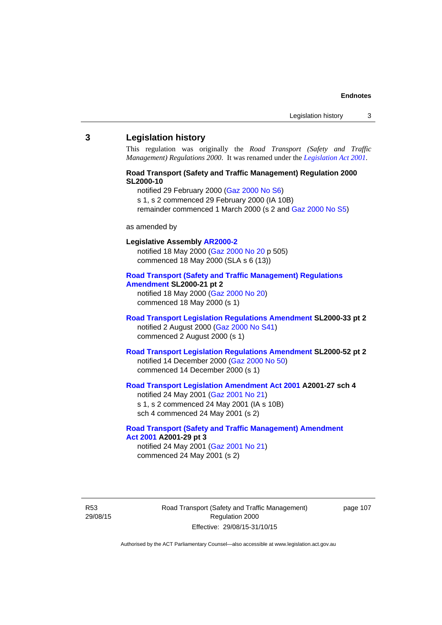#### **3 Legislation history**

This regulation was originally the *Road Transport (Safety and Traffic Management) Regulations 2000*. It was renamed under the *[Legislation Act 2001](http://www.legislation.act.gov.au/a/2001-14)*.

## **Road Transport (Safety and Traffic Management) Regulation 2000 SL2000-10**

notified 29 February 2000 [\(Gaz 2000 No S6](http://www.legislation.act.gov.au/gaz/2000-S6/default.asp))

s 1, s 2 commenced 29 February 2000 (IA 10B)

remainder commenced 1 March 2000 (s 2 and [Gaz 2000 No S5\)](http://www.legislation.act.gov.au/gaz/2000-S5/default.asp)

#### as amended by

## **Legislative Assembly [AR2000-2](http://www.legislation.act.gov.au/ar/2000-2/default.asp)**

notified 18 May 2000 ([Gaz 2000 No 20 p](http://www.legislation.act.gov.au/gaz/2000-20/default.asp) 505) commenced 18 May 2000 (SLA s 6 (13))

#### **[Road Transport \(Safety and Traffic Management\) Regulations](http://www.legislation.act.gov.au/sl/2000-21/default.asp)  [Amendment](http://www.legislation.act.gov.au/sl/2000-21/default.asp) SL2000-21 pt 2**

notified 18 May 2000 ([Gaz 2000 No 20\)](http://www.legislation.act.gov.au/gaz/2000-20/default.asp) commenced 18 May 2000 (s 1)

#### **[Road Transport Legislation Regulations Amendment](http://www.legislation.act.gov.au/sl/2000-33/default.asp) SL2000-33 pt 2**  notified 2 August 2000 ([Gaz 2000 No S41](http://www.legislation.act.gov.au/gaz/2000-S41/default.asp)) commenced 2 August 2000 (s 1)

## **[Road Transport Legislation Regulations Amendment](http://www.legislation.act.gov.au/sl/2000-52/default.asp) SL2000-52 pt 2**  notified 14 December 2000 [\(Gaz 2000 No 50](http://www.legislation.act.gov.au/gaz/2000-50/default.asp)) commenced 14 December 2000 (s 1)

## **[Road Transport Legislation Amendment Act 2001](http://www.legislation.act.gov.au/a/2001-27) A2001-27 sch 4**

notified 24 May 2001 ([Gaz 2001 No 21\)](http://www.legislation.act.gov.au/gaz/2001-21/default.asp) s 1, s 2 commenced 24 May 2001 (IA s 10B) sch 4 commenced 24 May 2001 (s 2)

#### **[Road Transport \(Safety and Traffic Management\) Amendment](http://www.legislation.act.gov.au/a/2001-29)  [Act 2001](http://www.legislation.act.gov.au/a/2001-29) A2001-29 pt 3**  notified 24 May 2001 ([Gaz 2001 No 21\)](http://www.legislation.act.gov.au/gaz/2001-21/default.asp)

commenced 24 May 2001 (s 2)

R53 29/08/15 Road Transport (Safety and Traffic Management) Regulation 2000 Effective: 29/08/15-31/10/15

page 107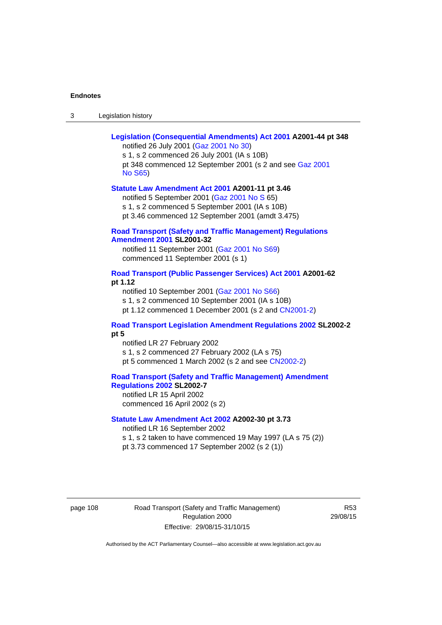| Legislation history<br>-3 |
|---------------------------|
|---------------------------|

| Legislation (Consequential Amendments) Act 2001 A2001-44 pt 348<br>notified 26 July 2001 (Gaz 2001 No 30)<br>s 1, s 2 commenced 26 July 2001 (IA s 10B)                                               |
|-------------------------------------------------------------------------------------------------------------------------------------------------------------------------------------------------------|
| pt 348 commenced 12 September 2001 (s 2 and see Gaz 2001<br><b>No S65)</b>                                                                                                                            |
| Statute Law Amendment Act 2001 A2001-11 pt 3.46<br>notified 5 September 2001 (Gaz 2001 No S 65)<br>s 1, s 2 commenced 5 September 2001 (IA s 10B)<br>pt 3.46 commenced 12 September 2001 (amdt 3.475) |
| <b>Road Transport (Safety and Traffic Management) Regulations</b><br><b>Amendment 2001 SL2001-32</b>                                                                                                  |
| notified 11 September 2001 (Gaz 2001 No S69)<br>commenced 11 September 2001 (s 1)                                                                                                                     |
| Road Transport (Public Passenger Services) Act 2001 A2001-62<br>pt 1.12                                                                                                                               |
| notified 10 September 2001 (Gaz 2001 No S66)<br>s 1, s 2 commenced 10 September 2001 (IA s 10B)                                                                                                       |
| pt 1.12 commenced 1 December 2001 (s 2 and CN2001-2)                                                                                                                                                  |
| Road Transport Legislation Amendment Regulations 2002 SL2002-2<br>pt 5                                                                                                                                |
| notified LR 27 February 2002                                                                                                                                                                          |
| s 1, s 2 commenced 27 February 2002 (LA s 75)<br>pt 5 commenced 1 March 2002 (s 2 and see CN2002-2)                                                                                                   |
| <b>Road Transport (Safety and Traffic Management) Amendment</b><br>Regulations 2002 SL2002-7<br>notified LR 15 April 2002<br>commenced 16 April 2002 (s 2)                                            |
| Statute Law Amendment Act 2002 A2002-30 pt 3.73                                                                                                                                                       |
| notified LR 16 September 2002<br>s 1, s 2 taken to have commenced 19 May 1997 (LA s 75 (2))                                                                                                           |
| pt 3.73 commenced 17 September 2002 (s 2 (1))                                                                                                                                                         |

page 108 Road Transport (Safety and Traffic Management) Regulation 2000 Effective: 29/08/15-31/10/15

R53 29/08/15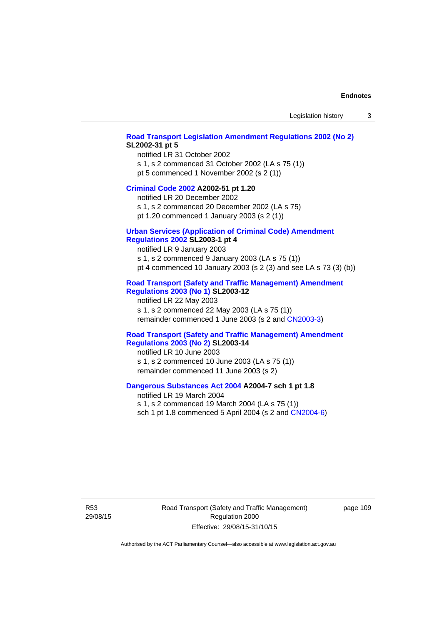#### **[Road Transport Legislation Amendment Regulations 2002 \(No 2\)](http://www.legislation.act.gov.au/sl/2002-31) SL2002-31 pt 5**

notified LR 31 October 2002 s 1, s 2 commenced 31 October 2002 (LA s 75 (1)) pt 5 commenced 1 November 2002 (s 2 (1))

#### **[Criminal Code 2002](http://www.legislation.act.gov.au/a/2002-51) A2002-51 pt 1.20**

notified LR 20 December 2002 s 1, s 2 commenced 20 December 2002 (LA s 75)

pt 1.20 commenced 1 January 2003 (s 2 (1))

## **[Urban Services \(Application of Criminal Code\) Amendment](http://www.legislation.act.gov.au/sl/2003-1)**

## **[Regulations 2002](http://www.legislation.act.gov.au/sl/2003-1) SL2003-1 pt 4**

notified LR 9 January 2003 s 1, s 2 commenced 9 January 2003 (LA s 75 (1)) pt 4 commenced 10 January 2003 (s 2 (3) and see LA s 73 (3) (b))

## **[Road Transport \(Safety and Traffic Management\) Amendment](http://www.legislation.act.gov.au/sl/2003-12)  [Regulations 2003 \(No 1\)](http://www.legislation.act.gov.au/sl/2003-12) SL2003-12**

notified LR 22 May 2003 s 1, s 2 commenced 22 May 2003 (LA s 75 (1)) remainder commenced 1 June 2003 (s 2 and [CN2003-3](http://www.legislation.act.gov.au/cn/2003-3/default.asp))

#### **[Road Transport \(Safety and Traffic Management\) Amendment](http://www.legislation.act.gov.au/sl/2003-14)  [Regulations 2003 \(No 2\)](http://www.legislation.act.gov.au/sl/2003-14) SL2003-14**

notified LR 10 June 2003 s 1, s 2 commenced 10 June 2003 (LA s 75 (1)) remainder commenced 11 June 2003 (s 2)

#### **[Dangerous Substances Act 2004](http://www.legislation.act.gov.au/a/2004-7) A2004-7 sch 1 pt 1.8**

notified LR 19 March 2004 s 1, s 2 commenced 19 March 2004 (LA s 75 (1)) sch 1 pt 1.8 commenced 5 April 2004 (s 2 and [CN2004-6](http://www.legislation.act.gov.au/cn/2004-6/default.asp))

R53 29/08/15 Road Transport (Safety and Traffic Management) Regulation 2000 Effective: 29/08/15-31/10/15

page 109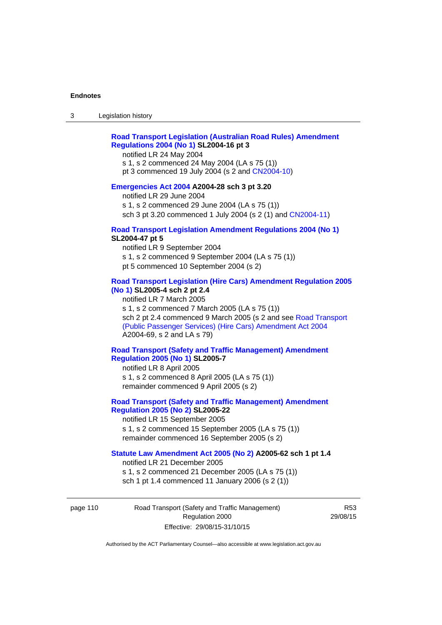## **[Road Transport Legislation \(Australian Road Rules\) Amendment](http://www.legislation.act.gov.au/sl/2004-16)  [Regulations 2004 \(No 1\)](http://www.legislation.act.gov.au/sl/2004-16) SL2004-16 pt 3**

notified LR 24 May 2004

s 1, s 2 commenced 24 May 2004 (LA s 75 (1)) pt 3 commenced 19 July 2004 (s 2 and [CN2004-10](http://www.legislation.act.gov.au/cn/2004-10/default.asp))

## **[Emergencies Act 2004](http://www.legislation.act.gov.au/a/2004-28) A2004-28 sch 3 pt 3.20**

notified LR 29 June 2004 s 1, s 2 commenced 29 June 2004 (LA s 75 (1)) sch 3 pt 3.20 commenced 1 July 2004 (s 2 (1) and [CN2004-11](http://www.legislation.act.gov.au/cn/2004-11/default.asp))

#### **[Road Transport Legislation Amendment Regulations 2004 \(No 1\)](http://www.legislation.act.gov.au/sl/2004-47) SL2004-47 pt 5**

notified LR 9 September 2004 s 1, s 2 commenced 9 September 2004 (LA s 75 (1)) pt 5 commenced 10 September 2004 (s 2)

## **[Road Transport Legislation \(Hire Cars\) Amendment Regulation 2005](http://www.legislation.act.gov.au/sl/2005-4)  [\(No 1\)](http://www.legislation.act.gov.au/sl/2005-4) SL2005-4 sch 2 pt 2.4**

notified LR 7 March 2005 s 1, s 2 commenced 7 March 2005 (LA s 75 (1)) sch 2 pt 2.4 commenced 9 March 2005 (s 2 and see [Road Transport](http://www.legislation.act.gov.au/a/2004-69)  [\(Public Passenger Services\) \(Hire Cars\) Amendment Act 2004](http://www.legislation.act.gov.au/a/2004-69) A2004-69, s 2 and LA s 79)

## **[Road Transport \(Safety and Traffic Management\) Amendment](http://www.legislation.act.gov.au/sl/2005-7)  [Regulation 2005 \(No 1\)](http://www.legislation.act.gov.au/sl/2005-7) SL2005-7**

notified LR 8 April 2005 s 1, s 2 commenced 8 April 2005 (LA s 75 (1)) remainder commenced 9 April 2005 (s 2)

## **[Road Transport \(Safety and Traffic Management\) Amendment](http://www.legislation.act.gov.au/sl/2005-22)  [Regulation 2005 \(No 2\)](http://www.legislation.act.gov.au/sl/2005-22) SL2005-22**

notified LR 15 September 2005 s 1, s 2 commenced 15 September 2005 (LA s 75 (1)) remainder commenced 16 September 2005 (s 2)

## **[Statute Law Amendment Act 2005 \(No 2\)](http://www.legislation.act.gov.au/a/2005-62) A2005-62 sch 1 pt 1.4**

notified LR 21 December 2005 s 1, s 2 commenced 21 December 2005 (LA s 75 (1)) sch 1 pt 1.4 commenced 11 January 2006 (s 2 (1))

page 110 Road Transport (Safety and Traffic Management) Regulation 2000 Effective: 29/08/15-31/10/15

R53 29/08/15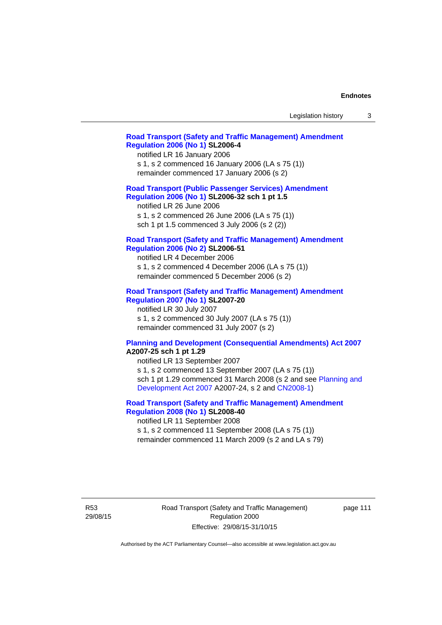| Legislation history |  |
|---------------------|--|
|---------------------|--|

#### **[Road Transport \(Safety and Traffic Management\) Amendment](http://www.legislation.act.gov.au/sl/2006-4)  [Regulation 2006 \(No 1\)](http://www.legislation.act.gov.au/sl/2006-4) SL2006-4**

notified LR 16 January 2006 s 1, s 2 commenced 16 January 2006 (LA s 75 (1)) remainder commenced 17 January 2006 (s 2)

#### **[Road Transport \(Public Passenger Services\) Amendment](http://www.legislation.act.gov.au/sl/2006-32)  [Regulation 2006 \(No 1\)](http://www.legislation.act.gov.au/sl/2006-32) SL2006-32 sch 1 pt 1.5**

notified LR 26 June 2006 s 1, s 2 commenced 26 June 2006 (LA s 75 (1)) sch 1 pt 1.5 commenced 3 July 2006 (s 2 (2))

#### **[Road Transport \(Safety and Traffic Management\) Amendment](http://www.legislation.act.gov.au/sl/2006-51)  [Regulation 2006 \(No 2\)](http://www.legislation.act.gov.au/sl/2006-51) SL2006-51**

notified LR 4 December 2006 s 1, s 2 commenced 4 December 2006 (LA s 75 (1)) remainder commenced 5 December 2006 (s 2)

#### **[Road Transport \(Safety and Traffic Management\) Amendment](http://www.legislation.act.gov.au/sl/2007-20)**

**[Regulation 2007 \(No 1\)](http://www.legislation.act.gov.au/sl/2007-20) SL2007-20**  notified LR 30 July 2007 s 1, s 2 commenced 30 July 2007 (LA s 75 (1)) remainder commenced 31 July 2007 (s 2)

#### **[Planning and Development \(Consequential Amendments\) Act 2007](http://www.legislation.act.gov.au/a/2007-25) A2007-25 sch 1 pt 1.29**

notified LR 13 September 2007 s 1, s 2 commenced 13 September 2007 (LA s 75 (1)) sch 1 pt 1.29 commenced 31 March 2008 (s 2 and see [Planning and](http://www.legislation.act.gov.au/a/2007-24)  [Development Act 2007](http://www.legislation.act.gov.au/a/2007-24) A2007-24, s 2 and [CN2008-1](http://www.legislation.act.gov.au/cn/2008-1/default.asp))

## **[Road Transport \(Safety and Traffic Management\) Amendment](http://www.legislation.act.gov.au/sl/2008-40)  [Regulation 2008 \(No 1\)](http://www.legislation.act.gov.au/sl/2008-40) SL2008-40**

notified LR 11 September 2008 s 1, s 2 commenced 11 September 2008 (LA s 75 (1)) remainder commenced 11 March 2009 (s 2 and LA s 79)

R53 29/08/15 Road Transport (Safety and Traffic Management) Regulation 2000 Effective: 29/08/15-31/10/15

page 111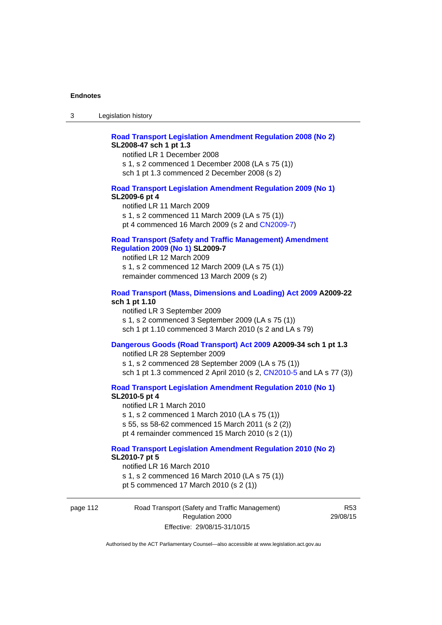## **[Road Transport Legislation Amendment Regulation 2008 \(No 2\)](http://www.legislation.act.gov.au/sl/2008-47) SL2008-47 sch 1 pt 1.3**

notified LR 1 December 2008 s 1, s 2 commenced 1 December 2008 (LA s 75 (1)) sch 1 pt 1.3 commenced 2 December 2008 (s 2)

#### **[Road Transport Legislation Amendment Regulation 2009 \(No 1\)](http://www.legislation.act.gov.au/sl/2009-6) SL2009-6 pt 4**

notified LR 11 March 2009 s 1, s 2 commenced 11 March 2009 (LA s 75 (1)) pt 4 commenced 16 March 2009 (s 2 and [CN2009-7\)](http://www.legislation.act.gov.au/cn/2009-7/default.asp)

## **[Road Transport \(Safety and Traffic Management\) Amendment](http://www.legislation.act.gov.au/sl/2009-7)  [Regulation 2009 \(No 1\)](http://www.legislation.act.gov.au/sl/2009-7) SL2009-7**

notified LR 12 March 2009 s 1, s 2 commenced 12 March 2009 (LA s 75 (1)) remainder commenced 13 March 2009 (s 2)

#### **[Road Transport \(Mass, Dimensions and Loading\) Act 2009](http://www.legislation.act.gov.au/a/2009-22/default.asp) A2009-22 sch 1 pt 1.10**

notified LR 3 September 2009 s 1, s 2 commenced 3 September 2009 (LA s 75 (1)) sch 1 pt 1.10 commenced 3 March 2010 (s 2 and LA s 79)

#### **[Dangerous Goods \(Road Transport\) Act 2009](http://www.legislation.act.gov.au/a/2009-34) A2009-34 sch 1 pt 1.3**

notified LR 28 September 2009 s 1, s 2 commenced 28 September 2009 (LA s 75 (1)) sch 1 pt 1.3 commenced 2 April 2010 (s 2, [CN2010-5 a](http://www.legislation.act.gov.au/cn/2010-5/default.asp)nd LA s 77 (3))

**[Road Transport Legislation Amendment Regulation 2010 \(No 1\)](http://www.legislation.act.gov.au/sl/2010-5)**

#### **SL2010-5 pt 4**

notified LR 1 March 2010 s 1, s 2 commenced 1 March 2010 (LA s 75 (1)) s 55, ss 58-62 commenced 15 March 2011 (s 2 (2)) pt 4 remainder commenced 15 March 2010 (s 2 (1))

#### **[Road Transport Legislation Amendment Regulation 2010 \(No 2\)](http://www.legislation.act.gov.au/sl/2010-7) SL2010-7 pt 5**  notified LR 16 March 2010

s 1, s 2 commenced 16 March 2010 (LA s 75 (1)) pt 5 commenced 17 March 2010 (s 2 (1))

page 112 Road Transport (Safety and Traffic Management) Regulation 2000 Effective: 29/08/15-31/10/15

R53 29/08/15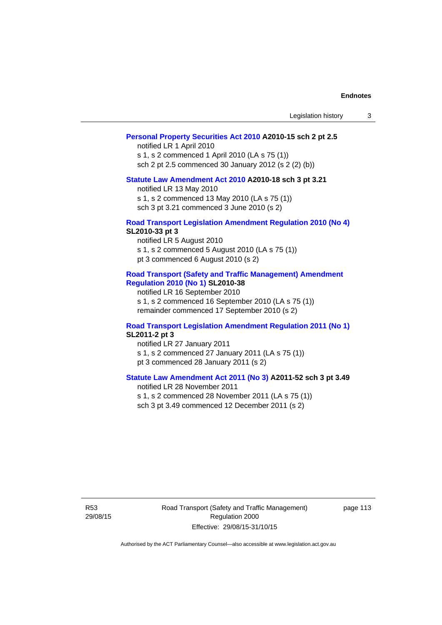| Legislation history |  |
|---------------------|--|
|---------------------|--|

#### **[Personal Property Securities Act 2010](http://www.legislation.act.gov.au/a/2010-15) A2010-15 sch 2 pt 2.5**

notified LR 1 April 2010 s 1, s 2 commenced 1 April 2010 (LA s 75 (1)) sch 2 pt 2.5 commenced 30 January 2012 (s 2 (2) (b))

## **[Statute Law Amendment Act 2010](http://www.legislation.act.gov.au/a/2010-18) A2010-18 sch 3 pt 3.21**

notified LR 13 May 2010 s 1, s 2 commenced 13 May 2010 (LA s 75 (1)) sch 3 pt 3.21 commenced 3 June 2010 (s 2)

#### **[Road Transport Legislation Amendment Regulation 2010 \(No 4\)](http://www.legislation.act.gov.au/sl/2010-33) SL2010-33 pt 3**

notified LR 5 August 2010 s 1, s 2 commenced 5 August 2010 (LA s 75 (1)) pt 3 commenced 6 August 2010 (s 2)

#### **[Road Transport \(Safety and Traffic Management\) Amendment](http://www.legislation.act.gov.au/sl/2010-38)  [Regulation 2010 \(No 1\)](http://www.legislation.act.gov.au/sl/2010-38) SL2010-38**

notified LR 16 September 2010 s 1, s 2 commenced 16 September 2010 (LA s 75 (1)) remainder commenced 17 September 2010 (s 2)

#### **[Road Transport Legislation Amendment Regulation 2011 \(No 1\)](http://www.legislation.act.gov.au/sl/2011-2) SL2011-2 pt 3**

notified LR 27 January 2011 s 1, s 2 commenced 27 January 2011 (LA s 75 (1)) pt 3 commenced 28 January 2011 (s 2)

## **[Statute Law Amendment Act 2011 \(No 3\)](http://www.legislation.act.gov.au/a/2011-52) A2011-52 sch 3 pt 3.49**

notified LR 28 November 2011 s 1, s 2 commenced 28 November 2011 (LA s 75 (1)) sch 3 pt 3.49 commenced 12 December 2011 (s 2)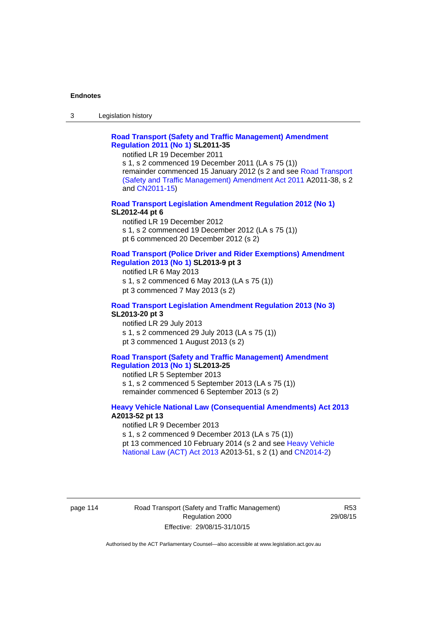3 Legislation history

## **[Road Transport \(Safety and Traffic Management\) Amendment](http://www.legislation.act.gov.au/sl/2011-35)  [Regulation 2011 \(No 1\)](http://www.legislation.act.gov.au/sl/2011-35) SL2011-35**

notified LR 19 December 2011

s 1, s 2 commenced 19 December 2011 (LA s 75 (1)) remainder commenced 15 January 2012 (s 2 and see [Road Transport](http://www.legislation.act.gov.au/a/2011-38)  [\(Safety and Traffic Management\) Amendment Act 2011](http://www.legislation.act.gov.au/a/2011-38) A2011-38, s 2 and [CN2011-15\)](http://www.legislation.act.gov.au/cn/2011-15/default.asp)

#### **[Road Transport Legislation Amendment Regulation 2012 \(No 1\)](http://www.legislation.act.gov.au/sl/2012-44/default.asp) SL2012-44 pt 6**

notified LR 19 December 2012 s 1, s 2 commenced 19 December 2012 (LA s 75 (1)) pt 6 commenced 20 December 2012 (s 2)

#### **[Road Transport \(Police Driver and Rider Exemptions\) Amendment](http://www.legislation.act.gov.au/sl/2013-9/default.asp)  [Regulation 2013 \(No 1\)](http://www.legislation.act.gov.au/sl/2013-9/default.asp) SL2013-9 pt 3**

notified LR 6 May 2013 s 1, s 2 commenced 6 May 2013 (LA s 75 (1)) pt 3 commenced 7 May 2013 (s 2)

#### **[Road Transport Legislation Amendment Regulation 2013 \(No 3\)](http://www.legislation.act.gov.au/sl/2013-20) SL2013-20 pt 3**  notified LR 29 July 2013

s 1, s 2 commenced 29 July 2013 (LA s 75 (1)) pt 3 commenced 1 August 2013 (s 2)

#### **[Road Transport \(Safety and Traffic Management\) Amendment](http://www.legislation.act.gov.au/sl/2013-25)  [Regulation 2013 \(No 1\)](http://www.legislation.act.gov.au/sl/2013-25) SL2013-25**

notified LR 5 September 2013 s 1, s 2 commenced 5 September 2013 (LA s 75 (1)) remainder commenced 6 September 2013 (s 2)

#### **[Heavy Vehicle National Law \(Consequential Amendments\) Act 2013](http://www.legislation.act.gov.au/a/2013-52) A2013-52 pt 13**  notified LR 9 December 2013

s 1, s 2 commenced 9 December 2013 (LA s 75 (1)) pt 13 commenced 10 February 2014 (s 2 and see [Heavy Vehicle](http://www.legislation.act.gov.au/a/2013-51/default.asp)  [National Law \(ACT\) Act 2013](http://www.legislation.act.gov.au/a/2013-51/default.asp) A2013-51, s 2 (1) and [CN2014-2](http://www.legislation.act.gov.au/cn/2014-2/default.asp))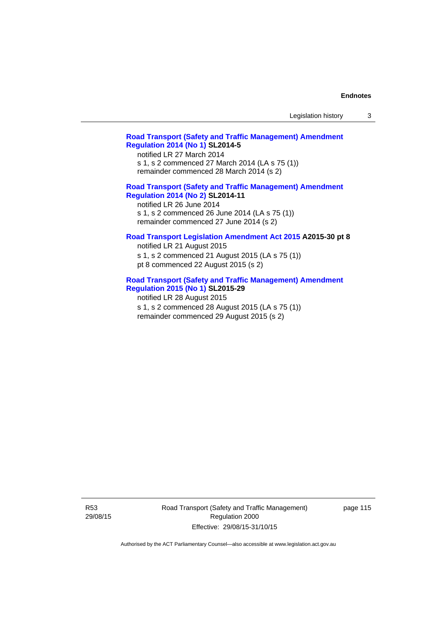#### **[Road Transport \(Safety and Traffic Management\) Amendment](http://www.legislation.act.gov.au/sl/2014-5)  [Regulation 2014 \(No 1\)](http://www.legislation.act.gov.au/sl/2014-5) SL2014-5**

notified LR 27 March 2014 s 1, s 2 commenced 27 March 2014 (LA s 75 (1)) remainder commenced 28 March 2014 (s 2)

## **[Road Transport \(Safety and Traffic Management\) Amendment](http://www.legislation.act.gov.au/sl/2014-11)**

**[Regulation 2014 \(No 2\)](http://www.legislation.act.gov.au/sl/2014-11) SL2014-11**  notified LR 26 June 2014 s 1, s 2 commenced 26 June 2014 (LA s 75 (1)) remainder commenced 27 June 2014 (s 2)

#### **[Road Transport Legislation Amendment Act 2015](http://www.legislation.act.gov.au/a/2015-30/default.asp) A2015-30 pt 8**

notified LR 21 August 2015 s 1, s 2 commenced 21 August 2015 (LA s 75 (1)) pt 8 commenced 22 August 2015 (s 2)

## **[Road Transport \(Safety and Traffic Management\) Amendment](http://www.legislation.act.gov.au/sl/2015-29)  [Regulation 2015 \(No 1\)](http://www.legislation.act.gov.au/sl/2015-29) SL2015-29**

notified LR 28 August 2015 s 1, s 2 commenced 28 August 2015 (LA s 75 (1)) remainder commenced 29 August 2015 (s 2)

Road Transport (Safety and Traffic Management) Regulation 2000 Effective: 29/08/15-31/10/15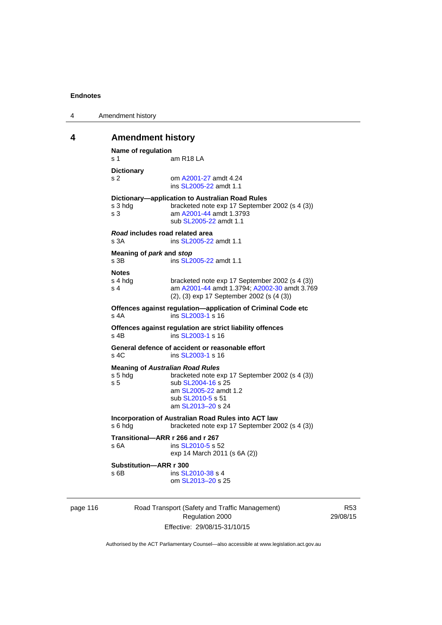| 4 | Amendment history |
|---|-------------------|
|---|-------------------|

## **4 Amendment history**

```
Name of regulation 
s 1 am R18 LA
Dictionary 
s 2 om A2001-27 amdt 4.24
                ins SL2005-22 amdt 1.1 
Dictionary—application to Australian Road Rules 
s 3 hdg bracketed note exp 17 September 2002 (s 4 (3))
s 3 am A2001-44 amdt 1.3793 
                sub SL2005-22 amdt 1.1 
Road includes road related area 
s 3A ins SL2005-22 amdt 1.1
Meaning of park and stop
SL2005-22 amdt 1.1
Notes 
s 4 hdg bracketed note exp 17 September 2002 (s 4 (3))<br>s 4 am A2001-44 amdt 1.3794: A2002-30 amdt 3.76
                A2001-44 A2002-30 amdt 3.769
                (2), (3) exp 17 September 2002 (s (4 (3)) 
Offences against regulation—application of Criminal Code etc 
SL2003-1 s 16
Offences against regulation are strict liability offences 
SL2003-1 s 16
General defence of accident or reasonable effort 
SL2003-1 s 16
Meaning of Australian Road Rules
s 5 hdg bracketed note exp 17 September 2002 (s 4 (3)) 
SL2004-16 s 25
                 am SL2005-22 amdt 1.2 
                sub SL2010-5 s 51 
                 am SL2013–20 s 24 
Incorporation of Australian Road Rules into ACT law 
s 6 hdg bracketed note exp 17 September 2002 (s 4 (3)) 
Transitional—ARR r 266 and r 267 
SL2010-5 s 52
                exp 14 March 2011 (s 6A (2)) 
Substitution—ARR r 300 
SL2010-38 s 4
                 om SL2013–20 s 25
```
page 116 Road Transport (Safety and Traffic Management) Regulation 2000 Effective: 29/08/15-31/10/15

R53 29/08/15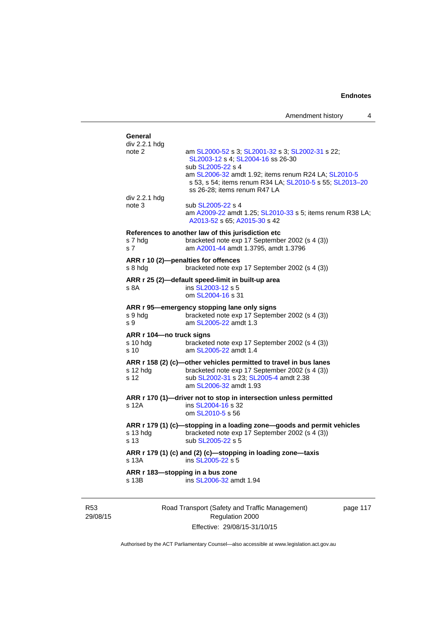| Amendment history |  |
|-------------------|--|
|-------------------|--|

| div 2.2.1 hdg<br>note 2  | am SL2000-52 s 3; SL2001-32 s 3; SL2002-31 s 22;                                                                                                 |
|--------------------------|--------------------------------------------------------------------------------------------------------------------------------------------------|
|                          | SL2003-12 s 4; SL2004-16 ss 26-30                                                                                                                |
|                          | sub SL2005-22 s 4                                                                                                                                |
|                          | am SL2006-32 amdt 1.92; items renum R24 LA; SL2010-5<br>s 53, s 54; items renum R34 LA; SL2010-5 s 55; SL2013-20<br>ss 26-28; items renum R47 LA |
| div 2.2.1 hdg            |                                                                                                                                                  |
| note 3                   | sub SL2005-22 s 4<br>am A2009-22 amdt 1.25; SL2010-33 s 5; items renum R38 LA;<br>A2013-52 s 65; A2015-30 s 42                                   |
|                          | References to another law of this jurisdiction etc                                                                                               |
| s 7 hda<br>s 7           | bracketed note exp 17 September 2002 (s 4 (3))<br>am A2001-44 amdt 1.3795, amdt 1.3796                                                           |
| s 8 hda                  | ARR r 10 (2)-penalties for offences<br>bracketed note exp 17 September 2002 (s 4 (3))                                                            |
|                          | ARR r 25 (2)—default speed-limit in built-up area                                                                                                |
| s 8A                     | ins SL2003-12 s 5                                                                                                                                |
|                          | om SL2004-16 s 31                                                                                                                                |
|                          | ARR r 95-emergency stopping lane only signs                                                                                                      |
| s 9 hdg<br>s 9           | bracketed note exp 17 September 2002 (s 4 (3))<br>am SL2005-22 amdt 1.3                                                                          |
| ARR r 104—no truck signs |                                                                                                                                                  |
| s 10 hdg                 | bracketed note exp 17 September 2002 (s 4 (3))                                                                                                   |
| s 10                     | am SL2005-22 amdt 1.4                                                                                                                            |
|                          | ARR r 158 (2) (c)-other vehicles permitted to travel in bus lanes                                                                                |
| s 12 hdg<br>s 12         | bracketed note exp 17 September 2002 (s 4 (3))<br>sub SL2002-31 s 23; SL2005-4 amdt 2.38                                                         |
|                          | am SL2006-32 amdt 1.93                                                                                                                           |
|                          | ARR r 170 (1)-driver not to stop in intersection unless permitted                                                                                |
| s 12A                    | ins SL2004-16 s 32<br>om SL2010-5 s 56                                                                                                           |
|                          | ARR r 179 (1) (c)-stopping in a loading zone-goods and permit vehicles                                                                           |
| s 13 hdg                 | bracketed note exp 17 September 2002 (s 4 (3))                                                                                                   |
| s 13                     | sub SL2005-22 s 5                                                                                                                                |
| s 13A                    | ARR r 179 (1) (c) and (2) (c)-stopping in loading zone-taxis<br>ins SL2005-22 s 5                                                                |
|                          | ARR r 183-stopping in a bus zone                                                                                                                 |
| s 13B                    | ins SL2006-32 amdt 1.94                                                                                                                          |

R53 29/08/15

Road Transport (Safety and Traffic Management) Regulation 2000 Effective: 29/08/15-31/10/15

page 117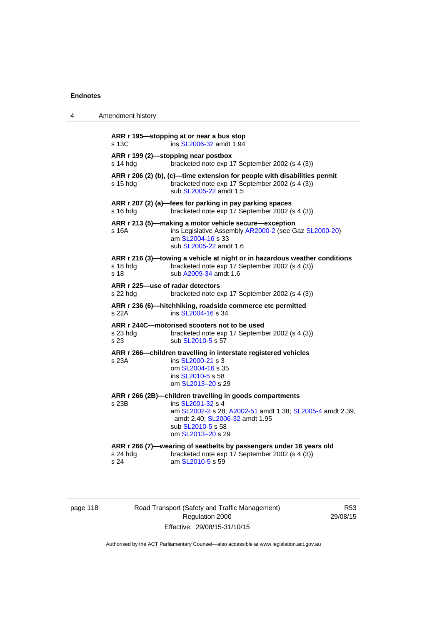| 4 | Amendment history                                                                                                                                                                                                               |
|---|---------------------------------------------------------------------------------------------------------------------------------------------------------------------------------------------------------------------------------|
|   | ARR r 195-stopping at or near a bus stop<br>s 13C<br>ins SL2006-32 amdt 1.94                                                                                                                                                    |
|   | ARR r 199 (2)-stopping near postbox<br>s 14 hdg<br>bracketed note exp 17 September 2002 (s 4 (3))                                                                                                                               |
|   | ARR r 206 (2) (b), (c)—time extension for people with disabilities permit<br>bracketed note exp 17 September 2002 (s 4 (3))<br>s 15 hdq<br>sub SL2005-22 amdt 1.5                                                               |
|   | ARR r 207 (2) (a)—fees for parking in pay parking spaces<br>s 16 hdg<br>bracketed note exp 17 September 2002 (s 4 (3))                                                                                                          |
|   | ARR r 213 (5)—making a motor vehicle secure—exception<br>ins Legislative Assembly AR2000-2 (see Gaz SL2000-20)<br>s 16A<br>am SL2004-16 s 33<br>sub SL2005-22 amdt 1.6                                                          |
|   | ARR r 216 (3)—towing a vehicle at night or in hazardous weather conditions<br>s 18 hdg<br>bracketed note exp 17 September 2002 (s 4 (3))<br>s 18<br>sub A2009-34 amdt 1.6                                                       |
|   | ARR r 225-use of radar detectors<br>s 22 hdg<br>bracketed note exp 17 September 2002 (s 4 (3))                                                                                                                                  |
|   | ARR r 236 (6)-hitchhiking, roadside commerce etc permitted<br>s 22A<br>ins SL2004-16 s 34                                                                                                                                       |
|   | ARR r 244C-motorised scooters not to be used<br>s 23 hdg<br>bracketed note exp 17 September 2002 (s 4 (3))<br>s 23<br>sub SL2010-5 s 57                                                                                         |
|   | ARR r 266-children travelling in interstate registered vehicles<br>ins SL2000-21 s 3<br>s 23A<br>om SL2004-16 s 35<br>ins SL2010-5 s 58<br>om SL2013-20 s 29                                                                    |
|   | ARR r 266 (2B)-children travelling in goods compartments<br>s 23B<br>ins SL2001-32 s 4<br>am SL2002-2 s 28; A2002-51 amdt 1.38; SL2005-4 amdt 2.39,<br>amdt 2.40; SL2006-32 amdt 1.95<br>sub SL2010-5 s 58<br>om SL2013-20 s 29 |
|   | ARR r 266 (7)-wearing of seatbelts by passengers under 16 years old<br>s 24 hdg<br>bracketed note exp 17 September 2002 (s 4 (3))<br>s 24<br>am SL2010-5 s 59                                                                   |

R53 29/08/15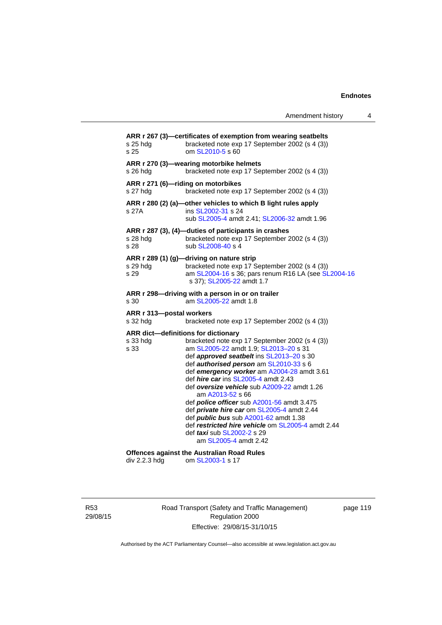|                                                         | Amendment history                                                                                                                                                                                                                                                                                                                                                                                                                                                                                                                                                                                                         | 4 |
|---------------------------------------------------------|---------------------------------------------------------------------------------------------------------------------------------------------------------------------------------------------------------------------------------------------------------------------------------------------------------------------------------------------------------------------------------------------------------------------------------------------------------------------------------------------------------------------------------------------------------------------------------------------------------------------------|---|
| s 25 hdg<br>s 25                                        | ARR r 267 (3)—certificates of exemption from wearing seatbelts<br>bracketed note exp 17 September 2002 (s 4 (3))<br>om SL2010-5 s 60                                                                                                                                                                                                                                                                                                                                                                                                                                                                                      |   |
| s 26 hdg                                                | ARR r 270 (3)—wearing motorbike helmets<br>bracketed note exp 17 September 2002 (s 4 (3))                                                                                                                                                                                                                                                                                                                                                                                                                                                                                                                                 |   |
| s 27 hdg                                                | ARR r 271 (6)-riding on motorbikes<br>bracketed note exp 17 September 2002 (s 4 (3))                                                                                                                                                                                                                                                                                                                                                                                                                                                                                                                                      |   |
| s 27A                                                   | ARR r 280 (2) (a)-other vehicles to which B light rules apply<br>ins SL2002-31 s 24<br>sub SL2005-4 amdt 2.41; SL2006-32 amdt 1.96                                                                                                                                                                                                                                                                                                                                                                                                                                                                                        |   |
| s 28 hdg<br>s 28                                        | ARR r 287 (3), (4)-duties of participants in crashes<br>bracketed note exp 17 September 2002 (s 4 (3))<br>sub SL2008-40 s 4                                                                                                                                                                                                                                                                                                                                                                                                                                                                                               |   |
| s 29 hdg<br>s 29                                        | ARR r 289 (1) (g)-driving on nature strip<br>bracketed note exp 17 September 2002 (s 4 (3))<br>am SL2004-16 s 36; pars renum R16 LA (see SL2004-16<br>s 37); SL2005-22 amdt 1.7                                                                                                                                                                                                                                                                                                                                                                                                                                           |   |
| s 30                                                    | ARR r 298-driving with a person in or on trailer<br>am SL2005-22 amdt 1.8                                                                                                                                                                                                                                                                                                                                                                                                                                                                                                                                                 |   |
| ARR r 313-postal workers<br>s 32 hdg                    | bracketed note exp 17 September 2002 (s 4 (3))                                                                                                                                                                                                                                                                                                                                                                                                                                                                                                                                                                            |   |
| ARR dict-definitions for dictionary<br>s 33 hda<br>s 33 | bracketed note exp 17 September 2002 (s 4 (3))<br>am SL2005-22 amdt 1.9; SL2013-20 s 31<br>def approved seatbelt ins SL2013-20 s 30<br>def authorised person am SL2010-33 s 6<br>def emergency worker am A2004-28 amdt 3.61<br>def <i>hire car</i> ins SL2005-4 amdt 2.43<br>def oversize vehicle sub A2009-22 amdt 1.26<br>am A2013-52 s 66<br>def <i>police officer</i> sub A2001-56 amdt 3.475<br>def <i>private hire car</i> om SL2005-4 amdt 2.44<br>def <i>public bus</i> sub A2001-62 amdt 1.38<br>def restricted hire vehicle om SL2005-4 amdt 2.44<br>def <i>taxi</i> sub SL2002-2 s 29<br>am SL2005-4 amdt 2.42 |   |
| div 2.2.3 hdg                                           | <b>Offences against the Australian Road Rules</b><br>om SL2003-1 s 17                                                                                                                                                                                                                                                                                                                                                                                                                                                                                                                                                     |   |

R53 29/08/15 Road Transport (Safety and Traffic Management) Regulation 2000 Effective: 29/08/15-31/10/15

page 119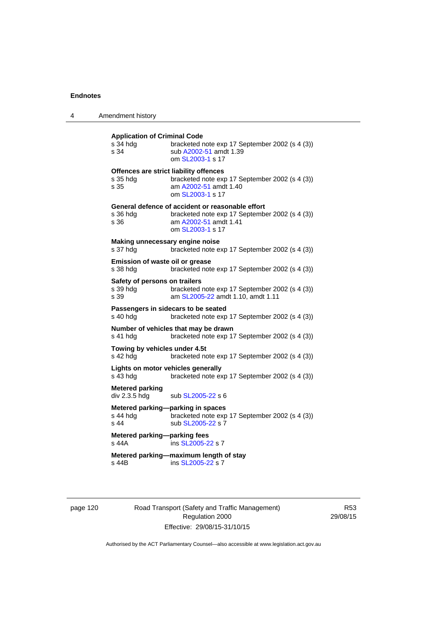| 4 | Amendment history                                          |                                                                                                                                                 |
|---|------------------------------------------------------------|-------------------------------------------------------------------------------------------------------------------------------------------------|
|   | <b>Application of Criminal Code</b><br>s 34 hda<br>s 34    | bracketed note exp 17 September 2002 (s 4 (3))<br>sub A2002-51 amdt 1.39<br>om SL2003-1 s 17                                                    |
|   | Offences are strict liability offences<br>s 35 hdg<br>s 35 | bracketed note exp 17 September 2002 (s 4 (3))<br>am A2002-51 amdt 1.40<br>om SL2003-1 s 17                                                     |
|   | s 36 hda<br>s 36                                           | General defence of accident or reasonable effort<br>bracketed note exp 17 September 2002 (s 4 (3))<br>am A2002-51 amdt 1.41<br>om SL2003-1 s 17 |
|   | Making unnecessary engine noise<br>s 37 hdg                | bracketed note exp 17 September 2002 (s 4 (3))                                                                                                  |
|   | Emission of waste oil or grease<br>s 38 hda                | bracketed note exp 17 September 2002 (s 4 (3))                                                                                                  |
|   | Safety of persons on trailers<br>s 39 hda<br>s 39          | bracketed note exp 17 September 2002 (s 4 (3))<br>am SL2005-22 amdt 1.10, amdt 1.11                                                             |
|   | Passengers in sidecars to be seated<br>s 40 hdg            | bracketed note exp 17 September 2002 (s 4 (3))                                                                                                  |
|   | Number of vehicles that may be drawn<br>s 41 hdg           | bracketed note exp 17 September 2002 (s 4 (3))                                                                                                  |
|   | Towing by vehicles under 4.5t<br>s 42 hdg                  | bracketed note exp 17 September 2002 (s 4 (3))                                                                                                  |
|   | Lights on motor vehicles generally<br>s 43 hda             | bracketed note exp 17 September 2002 (s 4 (3))                                                                                                  |
|   | <b>Metered parking</b><br>div 2.3.5 hdg                    | sub SL2005-22 s 6                                                                                                                               |
|   | Metered parking-parking in spaces<br>s 44 hda<br>s 44      | bracketed note exp 17 September 2002 (s 4 (3))<br>sub SL2005-22 s 7                                                                             |
|   | Metered parking-parking fees<br>s 44A                      | ins SL2005-22 s 7                                                                                                                               |
|   | s 44B                                                      | Metered parking-maximum length of stay<br>ins SL2005-22 s 7                                                                                     |

page 120 Road Transport (Safety and Traffic Management) Regulation 2000 Effective: 29/08/15-31/10/15

R53 29/08/15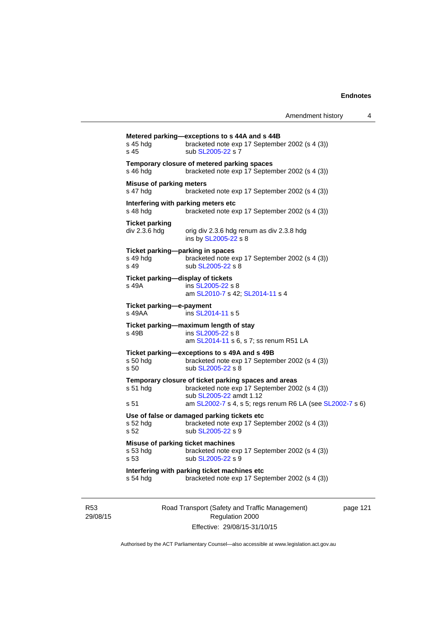| s 45 hdg<br>s 45                                                 | bracketed note exp 17 September 2002 (s 4 (3))<br>sub SL2005-22 s 7                                                               |
|------------------------------------------------------------------|-----------------------------------------------------------------------------------------------------------------------------------|
| s 46 hda                                                         | Temporary closure of metered parking spaces<br>bracketed note exp 17 September 2002 (s 4 (3))                                     |
| Misuse of parking meters<br>s 47 hdg                             | bracketed note exp 17 September 2002 (s 4 (3))                                                                                    |
| Interfering with parking meters etc<br>s 48 hdg                  | bracketed note exp 17 September 2002 (s 4 (3))                                                                                    |
| <b>Ticket parking</b><br>div 2.3.6 hdg                           | orig div 2.3.6 hdg renum as div 2.3.8 hdg<br>ins by SL2005-22 s 8                                                                 |
| Ticket parking-parking in spaces<br>s 49 hda<br>s 49             | bracketed note exp 17 September 2002 (s 4 (3))<br>sub SL2005-22 s 8                                                               |
| Ticket parking—display of tickets<br>s 49A                       | ins SL2005-22 s 8<br>am SL2010-7 s 42; SL2014-11 s 4                                                                              |
| Ticket parking-e-payment<br>s 49AA                               | ins SL2014-11 s 5                                                                                                                 |
| s 49B                                                            | Ticket parking-maximum length of stay<br>ins SL2005-22 s 8<br>am SL2014-11 s 6, s 7; ss renum R51 LA                              |
| s 50 hda<br>s <sub>50</sub>                                      | Ticket parking-exceptions to s 49A and s 49B<br>bracketed note exp 17 September 2002 (s 4 (3))<br>sub SL2005-22 s 8               |
| $s51$ hdg                                                        | Temporary closure of ticket parking spaces and areas<br>bracketed note exp 17 September 2002 (s 4 (3))<br>sub SL2005-22 amdt 1.12 |
| s 51                                                             | am SL2002-7 s 4, s 5; regs renum R6 LA (see SL2002-7 s 6)                                                                         |
| s 52 hda<br>s 52                                                 | Use of false or damaged parking tickets etc<br>bracketed note exp 17 September 2002 (s 4 (3))<br>sub SL2005-22 s 9                |
| Misuse of parking ticket machines<br>s 53 hdg<br>s <sub>53</sub> | bracketed note exp 17 September 2002 (s 4 (3))<br>sub SL2005-22 s 9                                                               |
| s 54 hdg                                                         | Interfering with parking ticket machines etc<br>bracketed note exp 17 September 2002 (s 4 (3))                                    |

R53 29/08/15 Road Transport (Safety and Traffic Management) Regulation 2000 Effective: 29/08/15-31/10/15

page 121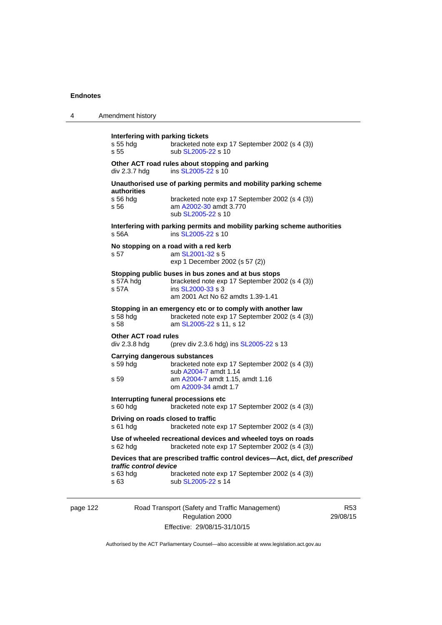| 4 | Amendment history                                                                                                                                                                                   |  |  |
|---|-----------------------------------------------------------------------------------------------------------------------------------------------------------------------------------------------------|--|--|
|   | Interfering with parking tickets<br>s 55 hda<br>bracketed note exp 17 September 2002 (s 4 (3))<br>s 55<br>sub SL2005-22 s 10                                                                        |  |  |
|   | Other ACT road rules about stopping and parking<br>ins SL2005-22 s 10<br>div 2.3.7 hdg                                                                                                              |  |  |
|   | Unauthorised use of parking permits and mobility parking scheme<br>authorities                                                                                                                      |  |  |
|   | $s$ 56 hdg<br>bracketed note exp 17 September 2002 (s 4 (3))<br>s 56<br>am A2002-30 amdt 3.770<br>sub SL2005-22 s 10                                                                                |  |  |
|   | Interfering with parking permits and mobility parking scheme authorities<br>s 56A<br>ins SL2005-22 s 10                                                                                             |  |  |
|   | No stopping on a road with a red kerb<br>s 57<br>am SL2001-32 s 5<br>exp 1 December 2002 (s 57 (2))                                                                                                 |  |  |
|   | Stopping public buses in bus zones and at bus stops<br>bracketed note exp 17 September 2002 (s 4 (3))<br>s 57A hdg<br>ins SL2000-33 s 3<br>s 57A<br>am 2001 Act No 62 amdts 1.39-1.41               |  |  |
|   | Stopping in an emergency etc or to comply with another law<br>s 58 hdg<br>bracketed note exp 17 September 2002 (s 4 (3))<br>am SL2005-22 s 11, s 12<br>s 58                                         |  |  |
|   | <b>Other ACT road rules</b><br>div 2.3.8 hdg<br>(prev div 2.3.6 hdg) ins SL2005-22 s 13                                                                                                             |  |  |
|   | <b>Carrying dangerous substances</b><br>s 59 hdg<br>bracketed note exp 17 September 2002 (s 4 (3))                                                                                                  |  |  |
|   | sub A2004-7 amdt 1.14<br>am A2004-7 amdt 1.15, amdt 1.16<br>s 59<br>om A2009-34 amdt 1.7                                                                                                            |  |  |
|   | Interrupting funeral processions etc<br>s 60 hdg<br>bracketed note exp 17 September 2002 (s 4 (3))                                                                                                  |  |  |
|   | Driving on roads closed to traffic<br>s 61 hdg<br>bracketed note exp 17 September 2002 (s 4 (3))                                                                                                    |  |  |
|   | Use of wheeled recreational devices and wheeled toys on roads<br>bracketed note exp 17 September 2002 (s 4 (3))<br>s 62 hdg                                                                         |  |  |
|   | Devices that are prescribed traffic control devices-Act, dict, def prescribed<br>traffic control device<br>bracketed note exp 17 September 2002 (s 4 (3))<br>s 63 hdg<br>s 63<br>sub SL2005-22 s 14 |  |  |
|   |                                                                                                                                                                                                     |  |  |

page 122 Road Transport (Safety and Traffic Management) Regulation 2000 Effective: 29/08/15-31/10/15

R53 29/08/15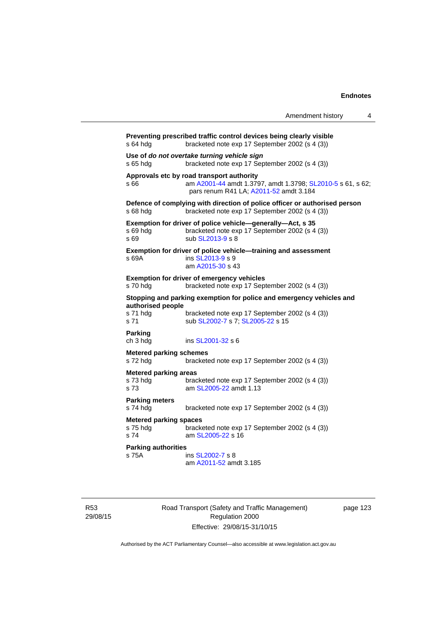|                                                   |                                                                                                                                                   | Amendment history | 4 |
|---------------------------------------------------|---------------------------------------------------------------------------------------------------------------------------------------------------|-------------------|---|
| s 64 hda                                          | Preventing prescribed traffic control devices being clearly visible<br>bracketed note exp 17 September 2002 (s 4 (3))                             |                   |   |
| s 65 hdg                                          | Use of do not overtake turning vehicle sign<br>bracketed note exp 17 September 2002 (s 4 (3))                                                     |                   |   |
| s 66                                              | Approvals etc by road transport authority<br>am A2001-44 amdt 1.3797, amdt 1.3798; SL2010-5 s 61, s 62;<br>pars renum R41 LA; A2011-52 amdt 3.184 |                   |   |
| s 68 hdg                                          | Defence of complying with direction of police officer or authorised person<br>bracketed note exp 17 September 2002 (s 4 (3))                      |                   |   |
| s 69 hda<br>s 69                                  | Exemption for driver of police vehicle-generally-Act, s 35<br>bracketed note exp 17 September 2002 (s 4 (3))<br>sub SL2013-9 s 8                  |                   |   |
| s 69A                                             | Exemption for driver of police vehicle-training and assessment<br>ins SL2013-9 s 9<br>am A2015-30 s 43                                            |                   |   |
| s 70 hdg                                          | <b>Exemption for driver of emergency vehicles</b><br>bracketed note exp 17 September 2002 (s 4 (3))                                               |                   |   |
| authorised people                                 | Stopping and parking exemption for police and emergency vehicles and                                                                              |                   |   |
| s 71 hda<br>s 71                                  | bracketed note exp 17 September 2002 (s 4 (3))<br>sub SL2002-7 s 7; SL2005-22 s 15                                                                |                   |   |
| Parking<br>ch 3 hdg                               | ins SL2001-32 s 6                                                                                                                                 |                   |   |
| <b>Metered parking schemes</b><br>s 72 hdg        | bracketed note exp 17 September 2002 (s 4 (3))                                                                                                    |                   |   |
| <b>Metered parking areas</b><br>s 73 hda<br>s 73  | bracketed note exp 17 September 2002 (s 4 (3))<br>am SL2005-22 amdt 1.13                                                                          |                   |   |
| <b>Parking meters</b><br>s 74 hdg                 | bracketed note exp 17 September 2002 (s 4 (3))                                                                                                    |                   |   |
| <b>Metered parking spaces</b><br>s 75 hdg<br>s 74 | bracketed note exp 17 September 2002 (s 4 (3))<br>am SL2005-22 s 16                                                                               |                   |   |
| <b>Parking authorities</b><br>s 75A               | ins SL2002-7 s 8<br>am A2011-52 amdt 3.185                                                                                                        |                   |   |

R53 29/08/15 Road Transport (Safety and Traffic Management) Regulation 2000 Effective: 29/08/15-31/10/15

page 123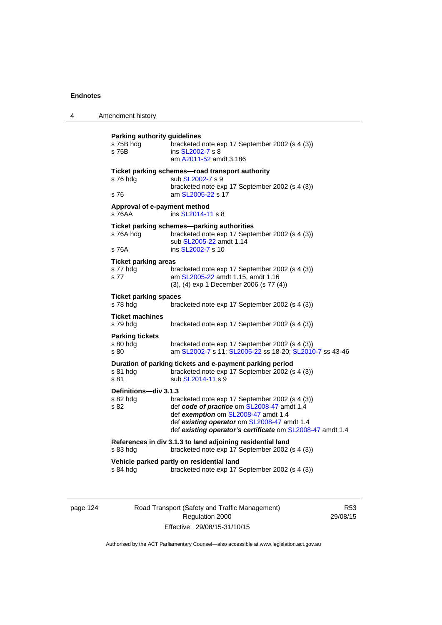| 4 | Amendment history                                  |                                                                                                                                                                                                                                                 |
|---|----------------------------------------------------|-------------------------------------------------------------------------------------------------------------------------------------------------------------------------------------------------------------------------------------------------|
|   | Parking authority guidelines<br>s 75B hdg<br>s 75B | bracketed note exp 17 September 2002 (s 4 (3))<br>ins SL2002-7 s 8<br>am A2011-52 amdt 3.186                                                                                                                                                    |
|   | s 76 hdg<br>s 76                                   | Ticket parking schemes-road transport authority<br>sub SL2002-7 s 9<br>bracketed note exp 17 September 2002 (s 4 (3))<br>am SL2005-22 s 17                                                                                                      |
|   | Approval of e-payment method<br>s 76AA             | ins SL2014-11 s 8                                                                                                                                                                                                                               |
|   | s 76A hdg<br>s 76A                                 | Ticket parking schemes-parking authorities<br>bracketed note exp 17 September 2002 (s 4 (3))<br>sub SL2005-22 amdt 1.14<br>ins SL2002-7 s 10                                                                                                    |
|   | <b>Ticket parking areas</b><br>s 77 hdg<br>s 77    | bracketed note exp 17 September 2002 (s 4 (3))<br>am SL2005-22 amdt 1.15, amdt 1.16<br>(3), (4) exp 1 December 2006 (s 77 (4))                                                                                                                  |
|   | <b>Ticket parking spaces</b><br>s 78 hdg           | bracketed note exp 17 September 2002 (s 4 (3))                                                                                                                                                                                                  |
|   | <b>Ticket machines</b><br>s 79 hdg                 | bracketed note exp 17 September 2002 (s 4 (3))                                                                                                                                                                                                  |
|   | <b>Parking tickets</b><br>s 80 hdg<br>s 80         | bracketed note exp 17 September 2002 (s 4 (3))<br>am SL2002-7 s 11; SL2005-22 ss 18-20; SL2010-7 ss 43-46                                                                                                                                       |
|   | s 81 hdg<br>s 81                                   | Duration of parking tickets and e-payment parking period<br>bracketed note exp 17 September 2002 (s 4 (3))<br>sub SL2014-11 s 9                                                                                                                 |
|   | Definitions-div 3.1.3<br>s 82 hdg<br>s 82          | bracketed note exp 17 September 2002 (s 4 (3))<br>def code of practice om SL2008-47 amdt 1.4<br>def exemption om SL2008-47 amdt 1.4<br>def existing operator om SL2008-47 amdt 1.4<br>def existing operator's certificate om SL2008-47 amdt 1.4 |
|   | s 83 hdg                                           | References in div 3.1.3 to land adjoining residential land<br>bracketed note exp 17 September 2002 (s 4 (3))                                                                                                                                    |
|   | s 84 hdg                                           | Vehicle parked partly on residential land<br>bracketed note exp 17 September 2002 (s 4 (3))                                                                                                                                                     |

page 124 Road Transport (Safety and Traffic Management) Regulation 2000 Effective: 29/08/15-31/10/15

R53 29/08/15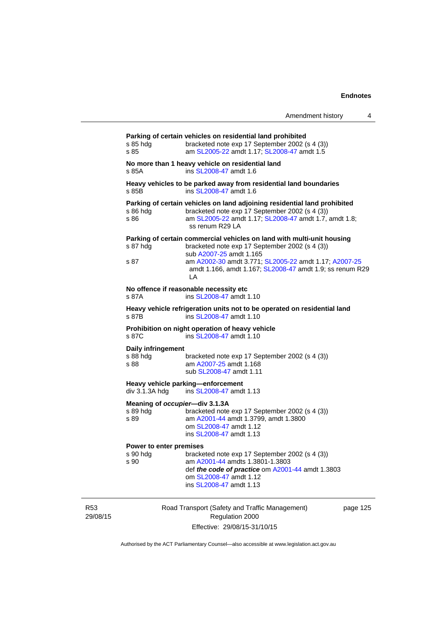| Amendment history |  |
|-------------------|--|
|-------------------|--|

| No more than 1 heavy vehicle on residential land<br>ins SL2008-47 amdt 1.6<br>Heavy vehicles to be parked away from residential land boundaries<br>ins SL2008-47 amdt 1.6<br>Parking of certain vehicles on land adjoining residential land prohibited<br>bracketed note exp 17 September 2002 (s 4 (3))<br>am SL2005-22 amdt 1.17; SL2008-47 amdt 1.7, amdt 1.8;<br>ss renum R29 LA<br>Parking of certain commercial vehicles on land with multi-unit housing<br>bracketed note exp 17 September 2002 (s 4 (3))<br>sub A2007-25 amdt 1.165<br>am A2002-30 amdt 3.771; SL2005-22 amdt 1.17; A2007-25<br>amdt 1.166, amdt 1.167; SL2008-47 amdt 1.9; ss renum R29<br>LA<br>No offence if reasonable necessity etc<br>ins SL2008-47 amdt 1.10<br>Heavy vehicle refrigeration units not to be operated on residential land<br>ins SL2008-47 amdt 1.10<br>Prohibition on night operation of heavy vehicle<br>ins SL2008-47 amdt 1.10 |  |
|----------------------------------------------------------------------------------------------------------------------------------------------------------------------------------------------------------------------------------------------------------------------------------------------------------------------------------------------------------------------------------------------------------------------------------------------------------------------------------------------------------------------------------------------------------------------------------------------------------------------------------------------------------------------------------------------------------------------------------------------------------------------------------------------------------------------------------------------------------------------------------------------------------------------------------|--|
|                                                                                                                                                                                                                                                                                                                                                                                                                                                                                                                                                                                                                                                                                                                                                                                                                                                                                                                                  |  |
|                                                                                                                                                                                                                                                                                                                                                                                                                                                                                                                                                                                                                                                                                                                                                                                                                                                                                                                                  |  |
|                                                                                                                                                                                                                                                                                                                                                                                                                                                                                                                                                                                                                                                                                                                                                                                                                                                                                                                                  |  |
|                                                                                                                                                                                                                                                                                                                                                                                                                                                                                                                                                                                                                                                                                                                                                                                                                                                                                                                                  |  |
|                                                                                                                                                                                                                                                                                                                                                                                                                                                                                                                                                                                                                                                                                                                                                                                                                                                                                                                                  |  |
|                                                                                                                                                                                                                                                                                                                                                                                                                                                                                                                                                                                                                                                                                                                                                                                                                                                                                                                                  |  |
|                                                                                                                                                                                                                                                                                                                                                                                                                                                                                                                                                                                                                                                                                                                                                                                                                                                                                                                                  |  |
| Daily infringement<br>bracketed note exp 17 September 2002 (s 4 (3))<br>am A2007-25 amdt 1.168<br>sub SL2008-47 amdt 1.11                                                                                                                                                                                                                                                                                                                                                                                                                                                                                                                                                                                                                                                                                                                                                                                                        |  |
| Heavy vehicle parking-enforcement<br>ins SL2008-47 amdt 1.13                                                                                                                                                                                                                                                                                                                                                                                                                                                                                                                                                                                                                                                                                                                                                                                                                                                                     |  |
| Meaning of occupier-div 3.1.3A<br>bracketed note exp 17 September 2002 (s 4 (3))<br>am A2001-44 amdt 1.3799, amdt 1.3800<br>om SL2008-47 amdt 1.12<br>ins SL2008-47 amdt 1.13                                                                                                                                                                                                                                                                                                                                                                                                                                                                                                                                                                                                                                                                                                                                                    |  |
| Power to enter premises                                                                                                                                                                                                                                                                                                                                                                                                                                                                                                                                                                                                                                                                                                                                                                                                                                                                                                          |  |
| bracketed note exp 17 September 2002 (s 4 (3))<br>am A2001-44 amdts 1.3801-1.3803<br>def the code of practice om A2001-44 amdt 1.3803<br>om SL2008-47 amdt 1.12<br>ins SL2008-47 amdt 1.13                                                                                                                                                                                                                                                                                                                                                                                                                                                                                                                                                                                                                                                                                                                                       |  |
|                                                                                                                                                                                                                                                                                                                                                                                                                                                                                                                                                                                                                                                                                                                                                                                                                                                                                                                                  |  |

R53 29/08/15

Road Transport (Safety and Traffic Management) Regulation 2000 Effective: 29/08/15-31/10/15

page 125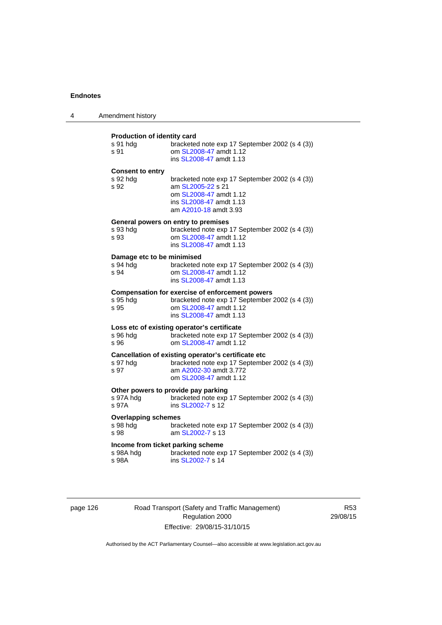| 4 | Amendment history                                                                                                                                                                                |
|---|--------------------------------------------------------------------------------------------------------------------------------------------------------------------------------------------------|
|   | <b>Production of identity card</b><br>s 91 hdg<br>bracketed note exp 17 September 2002 (s 4 (3))<br>om SL2008-47 amdt 1.12<br>s 91<br>ins SL2008-47 amdt 1.13                                    |
|   | <b>Consent to entry</b><br>s 92 hda<br>bracketed note exp 17 September 2002 (s 4 (3))<br>s 92<br>am SL2005-22 s 21<br>om SL2008-47 amdt 1.12<br>ins SL2008-47 amdt 1.13<br>am A2010-18 amdt 3.93 |
|   | General powers on entry to premises<br>s 93 hdg<br>bracketed note exp 17 September 2002 (s 4 (3))<br>s 93<br>om SL2008-47 amdt 1.12<br>ins SL2008-47 amdt 1.13                                   |
|   | Damage etc to be minimised<br>s 94 hdg<br>bracketed note exp 17 September 2002 (s 4 (3))<br>s 94<br>om SL2008-47 amdt 1.12<br>ins SL2008-47 amdt 1.13                                            |
|   | <b>Compensation for exercise of enforcement powers</b><br>s 95 hdg<br>bracketed note exp 17 September 2002 (s 4 (3))<br>s 95<br>om SL2008-47 amdt 1.12<br>ins SL2008-47 amdt 1.13                |
|   | Loss etc of existing operator's certificate<br>bracketed note exp 17 September 2002 (s 4 (3))<br>s 96 hdg<br>s 96<br>om SL2008-47 amdt 1.12                                                      |
|   | Cancellation of existing operator's certificate etc<br>bracketed note exp 17 September 2002 (s 4 (3))<br>s 97 hdg<br>s 97<br>am A2002-30 amdt 3.772<br>om SL2008-47 amdt 1.12                    |
|   | Other powers to provide pay parking<br>s 97A hdg<br>bracketed note exp 17 September 2002 (s 4 (3))<br>s 97A<br>ins SL2002-7 s 12                                                                 |
|   | <b>Overlapping schemes</b><br>s 98 hdg<br>bracketed note exp 17 September 2002 (s 4 (3))<br>s 98<br>am SL2002-7 s 13                                                                             |
|   | Income from ticket parking scheme<br>s 98A hdg<br>bracketed note exp 17 September 2002 (s 4 (3))<br>s 98A<br>ins SL2002-7 s 14                                                                   |

page 126 Road Transport (Safety and Traffic Management) Regulation 2000 Effective: 29/08/15-31/10/15

R53 29/08/15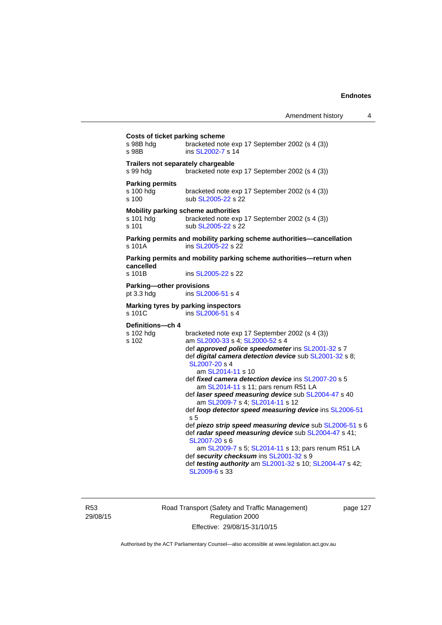| Costs of ticket parking scheme<br>s 98B hdg<br>s 98B      | bracketed note exp 17 September 2002 (s 4 (3))<br>ins SL2002-7 s 14                                                                                                                                                                                                                                                                                                                                                                                                                                                                                                                                                                                                                                                                                                                                                 |
|-----------------------------------------------------------|---------------------------------------------------------------------------------------------------------------------------------------------------------------------------------------------------------------------------------------------------------------------------------------------------------------------------------------------------------------------------------------------------------------------------------------------------------------------------------------------------------------------------------------------------------------------------------------------------------------------------------------------------------------------------------------------------------------------------------------------------------------------------------------------------------------------|
| Trailers not separately chargeable<br>s 99 hda            | bracketed note exp 17 September 2002 (s 4 (3))                                                                                                                                                                                                                                                                                                                                                                                                                                                                                                                                                                                                                                                                                                                                                                      |
| <b>Parking permits</b><br>s 100 hdg<br>s 100              | bracketed note exp 17 September 2002 (s 4 (3))<br>sub SL2005-22 s 22                                                                                                                                                                                                                                                                                                                                                                                                                                                                                                                                                                                                                                                                                                                                                |
| Mobility parking scheme authorities<br>s 101 hdq<br>s 101 | bracketed note exp 17 September 2002 (s 4 (3))<br>sub SL2005-22 s 22                                                                                                                                                                                                                                                                                                                                                                                                                                                                                                                                                                                                                                                                                                                                                |
| s 101A                                                    | Parking permits and mobility parking scheme authorities-cancellation<br>ins SL2005-22 s 22                                                                                                                                                                                                                                                                                                                                                                                                                                                                                                                                                                                                                                                                                                                          |
| cancelled<br>s 101B                                       | Parking permits and mobility parking scheme authorities—return when<br>ins SL2005-22 s 22                                                                                                                                                                                                                                                                                                                                                                                                                                                                                                                                                                                                                                                                                                                           |
| Parking-other provisions<br>pt 3.3 hdg                    | ins SL2006-51 s 4                                                                                                                                                                                                                                                                                                                                                                                                                                                                                                                                                                                                                                                                                                                                                                                                   |
| s 101C                                                    | Marking tyres by parking inspectors<br>ins SL2006-51 s 4                                                                                                                                                                                                                                                                                                                                                                                                                                                                                                                                                                                                                                                                                                                                                            |
| Definitions-ch 4<br>s 102 hdg<br>s 102                    | bracketed note exp 17 September 2002 (s 4 (3))<br>am SL2000-33 s 4; SL2000-52 s 4<br>def approved police speedometer ins SL2001-32 s 7<br>def digital camera detection device sub SL2001-32 s 8;<br>SL2007-20 s 4<br>am SL2014-11 s 10<br>def fixed camera detection device ins SL2007-20 s 5<br>am SL2014-11 s 11; pars renum R51 LA<br>def laser speed measuring device sub SL2004-47 s 40<br>am SL2009-7 s 4; SL2014-11 s 12<br>def loop detector speed measuring device ins SL2006-51<br>s 5<br>def piezo strip speed measuring device sub SL2006-51 s 6<br>def radar speed measuring device sub SL2004-47 s 41;<br>SL2007-20 s 6<br>am SL2009-7 s 5; SL2014-11 s 13; pars renum R51 LA<br>def security checksum ins SL2001-32 s 9<br>def testing authority am SL2001-32 s 10; SL2004-47 s 42;<br>SL2009-6 s 33 |

R53 29/08/15 Road Transport (Safety and Traffic Management) Regulation 2000 Effective: 29/08/15-31/10/15

page 127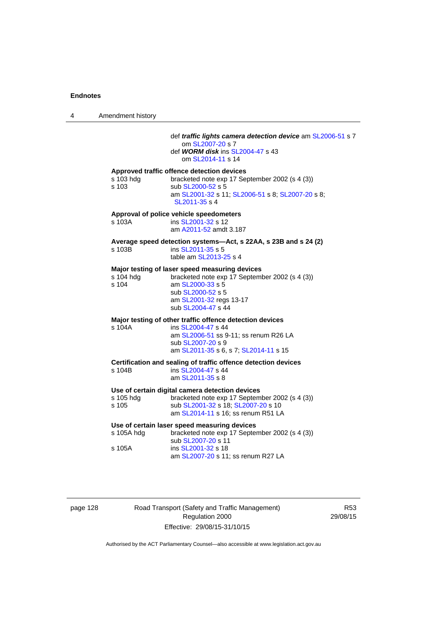4 Amendment history def *traffic lights camera detection device* am [SL2006-51](http://www.legislation.act.gov.au/sl/2006-51) s 7 om [SL2007-20](http://www.legislation.act.gov.au/sl/2007-20) s 7 def *WORM disk* ins [SL2004-47](http://www.legislation.act.gov.au/sl/2004-47) s 43 om [SL2014-11](http://www.legislation.act.gov.au/sl/2014-11) s 14 **Approved traffic offence detection devices**  s 103 hdg bracketed note exp 17 September 2002 (s 4 (3)) s 103 sub [SL2000-52](http://www.legislation.act.gov.au/sl/2000-52) s 5 am [SL2001-32](http://www.legislation.act.gov.au/sl/2001-32) s 11; [SL2006-51](http://www.legislation.act.gov.au/sl/2006-51) s 8; [SL2007-20](http://www.legislation.act.gov.au/sl/2007-20) s 8; [SL2011-35](http://www.legislation.act.gov.au/sl/2011-35) s 4 **Approval of police vehicle speedometers**  s 103A **ins [SL2001-32](http://www.legislation.act.gov.au/sl/2001-32) s 12**  am [A2011-52](http://www.legislation.act.gov.au/a/2011-52) amdt 3.187 **Average speed detection systems—Act, s 22AA, s 23B and s 24 (2)**  s 103B ins [SL2011-35](http://www.legislation.act.gov.au/sl/2011-35) s 5 table am [SL2013-25](http://www.legislation.act.gov.au/sl/2013-25) s 4 **Major testing of laser speed measuring devices**  s 104 hdg bracketed note exp 17 September 2002 (s 4 (3)) s 104 am [SL2000-33](http://www.legislation.act.gov.au/sl/2000-33) s 5 sub [SL2000-52](http://www.legislation.act.gov.au/sl/2000-52) s 5 am [SL2001-32](http://www.legislation.act.gov.au/sl/2001-32) regs 13-17 sub [SL2004-47](http://www.legislation.act.gov.au/sl/2004-47) s 44 **Major testing of other traffic offence detection devices**  s 104A ins [SL2004-47](http://www.legislation.act.gov.au/sl/2004-47) s 44 am [SL2006-51](http://www.legislation.act.gov.au/sl/2006-51) ss 9-11; ss renum R26 LA sub [SL2007-20](http://www.legislation.act.gov.au/sl/2007-20) s 9 am [SL2011-35](http://www.legislation.act.gov.au/sl/2011-35) s 6, s 7; [SL2014-11](http://www.legislation.act.gov.au/sl/2014-11) s 15 **Certification and sealing of traffic offence detection devices**  s 104B ins [SL2004-47](http://www.legislation.act.gov.au/sl/2004-47) s 44 am [SL2011-35](http://www.legislation.act.gov.au/sl/2011-35) s 8 **Use of certain digital camera detection devices**  s 105 hdg bracketed note exp 17 September 2002 (s 4 (3)) s 105 sub [SL2001-32](http://www.legislation.act.gov.au/sl/2001-32) s 18; [SL2007-20](http://www.legislation.act.gov.au/sl/2007-20) s 10 am [SL2014-11](http://www.legislation.act.gov.au/sl/2014-11) s 16; ss renum R51 LA **Use of certain laser speed measuring devices**  s 105A hdg bracketed note exp 17 September 2002 (s 4 (3)) sub [SL2007-20](http://www.legislation.act.gov.au/sl/2007-20) s 11 s 105A ins [SL2001-32](http://www.legislation.act.gov.au/sl/2001-32) s 18 am [SL2007-20](http://www.legislation.act.gov.au/sl/2007-20) s 11; ss renum R27 LA

| page 128 |  |
|----------|--|
|          |  |

Road Transport (Safety and Traffic Management) Regulation 2000 Effective: 29/08/15-31/10/15

R53 29/08/15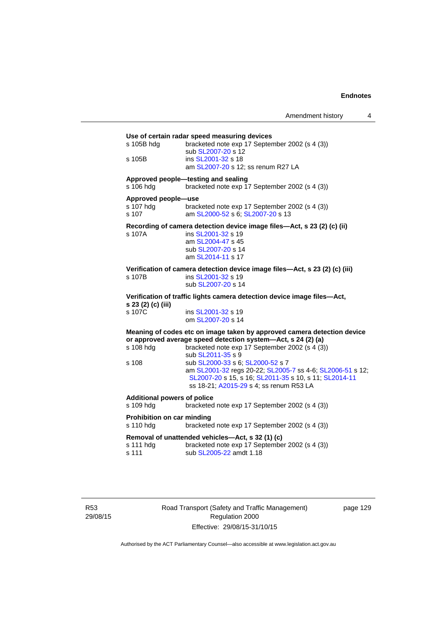| s 105B hdg                              | Use of certain radar speed measuring devices<br>bracketed note exp 17 September 2002 (s 4 (3))<br>sub SL2007-20 s 12 |
|-----------------------------------------|----------------------------------------------------------------------------------------------------------------------|
| s 105B                                  | ins SL2001-32 s 18<br>am SL2007-20 s 12; ss renum R27 LA                                                             |
| s 106 hdg                               | Approved people-testing and sealing<br>bracketed note exp 17 September 2002 (s 4 (3))                                |
| Approved people-use                     |                                                                                                                      |
| s 107 hdg<br>s 107                      | bracketed note exp 17 September 2002 (s 4 (3))<br>am SL2000-52 s 6; SL2007-20 s 13                                   |
|                                         | Recording of camera detection device image files-Act, s 23 (2) (c) (ii)                                              |
| s 107A                                  | ins SL2001-32 s 19                                                                                                   |
|                                         | am SL2004-47 s 45<br>sub SL2007-20 s 14                                                                              |
|                                         | am SL2014-11 s 17                                                                                                    |
|                                         | Verification of camera detection device image files-Act, s 23 (2) (c) (iii)                                          |
| s 107B                                  | ins SL2001-32 s 19                                                                                                   |
|                                         | sub SL2007-20 s 14                                                                                                   |
| s 23 (2) (c) (iii)                      | Verification of traffic lights camera detection device image files-Act,                                              |
| s 107C                                  | ins SL2001-32 s 19                                                                                                   |
|                                         | om SL2007-20 s 14                                                                                                    |
|                                         | Meaning of codes etc on image taken by approved camera detection device                                              |
|                                         | or approved average speed detection system-Act, s 24 (2) (a)<br>bracketed note exp 17 September 2002 (s 4 (3))       |
| s 108 hdg                               | sub SL2011-35 s 9                                                                                                    |
| s 108                                   | sub SL2000-33 s 6; SL2000-52 s 7                                                                                     |
|                                         | am SL2001-32 regs 20-22; SL2005-7 ss 4-6; SL2006-51 s 12;                                                            |
|                                         | SL2007-20 s 15, s 16, SL2011-35 s 10, s 11, SL2014-11                                                                |
|                                         | ss 18-21; A2015-29 s 4; ss renum R53 LA                                                                              |
| <b>Additional powers of police</b>      |                                                                                                                      |
| s 109 hdg                               | bracketed note exp 17 September 2002 (s 4 (3))                                                                       |
| Prohibition on car minding<br>s 110 hdg | bracketed note exp 17 September 2002 (s 4 (3))                                                                       |
|                                         | Removal of unattended vehicles-Act, s 32 (1) (c)                                                                     |
| s 111 hdg                               | bracketed note exp 17 September 2002 (s 4 (3))                                                                       |
| s 111                                   | sub SL2005-22 amdt 1.18                                                                                              |

R53 29/08/15 Road Transport (Safety and Traffic Management) Regulation 2000 Effective: 29/08/15-31/10/15

page 129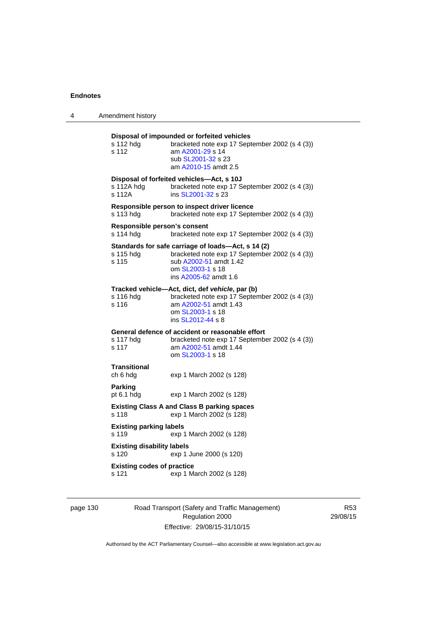| 4 | Amendment history                                                                                                                                                                                 |  |  |
|---|---------------------------------------------------------------------------------------------------------------------------------------------------------------------------------------------------|--|--|
|   | Disposal of impounded or forfeited vehicles<br>s 112 hdg<br>bracketed note exp 17 September 2002 (s 4 (3))<br>s 112<br>am A2001-29 s 14<br>sub SL2001-32 s 23<br>am A2010-15 amdt 2.5             |  |  |
|   | Disposal of forfeited vehicles—Act, s 10J<br>s 112A hda<br>bracketed note exp 17 September 2002 (s 4 (3))<br>s 112A<br>ins SL2001-32 s 23                                                         |  |  |
|   | Responsible person to inspect driver licence<br>s 113 hda<br>bracketed note exp 17 September 2002 (s 4 (3))                                                                                       |  |  |
|   | Responsible person's consent<br>s 114 hdg<br>bracketed note exp 17 September 2002 (s 4 (3))                                                                                                       |  |  |
|   | Standards for safe carriage of loads—Act, s 14 (2)<br>bracketed note exp 17 September 2002 (s 4 (3))<br>s 115 hdg<br>sub A2002-51 amdt 1.42<br>s 115<br>om SL2003-1 s 18<br>ins A2005-62 amdt 1.6 |  |  |
|   | Tracked vehicle-Act, dict, def vehicle, par (b)<br>bracketed note exp 17 September 2002 (s 4 (3))<br>s 116 hdg<br>s 116<br>am A2002-51 amdt 1.43<br>om SL2003-1 s 18<br>ins SL2012-44 s 8         |  |  |
|   | General defence of accident or reasonable effort<br>s 117 hdg<br>bracketed note exp 17 September 2002 (s 4 (3))<br>am A2002-51 amdt 1.44<br>s 117<br>om SL2003-1 s 18                             |  |  |
|   | Transitional<br>ch 6 hdg<br>exp 1 March 2002 (s 128)                                                                                                                                              |  |  |
|   | Parking<br>pt 6.1 hdg<br>exp 1 March 2002 (s 128)                                                                                                                                                 |  |  |
|   | <b>Existing Class A and Class B parking spaces</b><br>exp 1 March 2002 (s 128)<br>s 118                                                                                                           |  |  |
|   | <b>Existing parking labels</b><br>s 119<br>exp 1 March 2002 (s 128)                                                                                                                               |  |  |
|   | <b>Existing disability labels</b><br>s 120<br>exp 1 June 2000 (s 120)                                                                                                                             |  |  |
|   | <b>Existing codes of practice</b><br>s 121<br>exp 1 March 2002 (s 128)                                                                                                                            |  |  |

# page 130 Road Transport (Safety and Traffic Management) Regulation 2000 Effective: 29/08/15-31/10/15

R53 29/08/15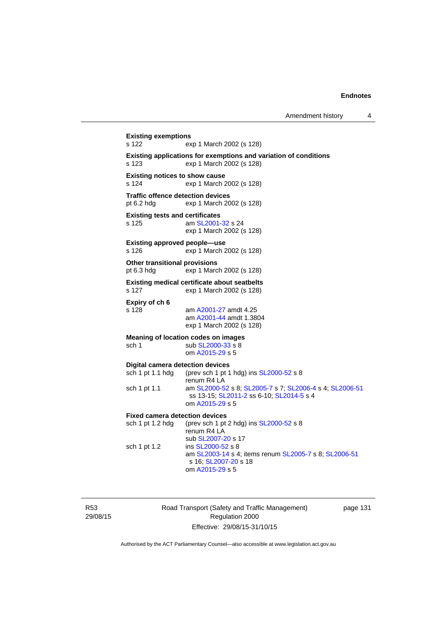**Existing exemptions**  s 122 exp 1 March 2002 (s 128) **Existing applications for exemptions and variation of conditions**  s 123 exp 1 March 2002 (s 128) **Existing notices to show cause**  s 124 exp 1 March 2002 (s 128) **Traffic offence detection devices**  pt 6.2 hdg exp 1 March 2002 (s 128) **Existing tests and certificates**  s 125 **am [SL2001-32](http://www.legislation.act.gov.au/sl/2001-32) s 24** exp 1 March 2002 (s 128) **Existing approved people—use**  s 126 exp 1 March 2002 (s 128) **Other transitional provisions**  pt 6.3 hdg exp 1 March 2002 (s 128) **Existing medical certificate about seatbelts**  s 127 exp 1 March 2002 (s 128) **Expiry of ch 6**  s 128 am [A2001-27](http://www.legislation.act.gov.au/a/2001-27) amdt 4.25 am [A2001-44](http://www.legislation.act.gov.au/a/2001-44) amdt 1.3804 exp 1 March 2002 (s 128) **Meaning of location codes on images**  sch 1 sub [SL2000-33](http://www.legislation.act.gov.au/sl/2000-33) s 8 om [A2015-29](http://www.legislation.act.gov.au/a/2015-29) s 5 **Digital camera detection devices**  sch 1 pt 1.1 hdg (prev sch 1 pt 1 hdg) ins  $SL2000-52$  s 8 renum R4 LA sch 1 pt 1.1 am [SL2000-52](http://www.legislation.act.gov.au/sl/2000-52) s 8; [SL2005-7](http://www.legislation.act.gov.au/sl/2005-7) s 7; [SL2006-4](http://www.legislation.act.gov.au/sl/2006-4) s 4; [SL2006-51](http://www.legislation.act.gov.au/sl/2006-51) ss 13-15; [SL2011-2](http://www.legislation.act.gov.au/sl/2011-2) ss 6-10; [SL2014-5](http://www.legislation.act.gov.au/sl/2014-5) s 4 om [A2015-29](http://www.legislation.act.gov.au/a/2015-29) s 5 **Fixed camera detection devices**  sch 1 pt 1.2 hdg (prev sch 1 pt 2 hdg) ins [SL2000-52](http://www.legislation.act.gov.au/sl/2000-52) s 8 renum R4 LA sub [SL2007-20](http://www.legislation.act.gov.au/sl/2007-20) s 17 sch 1 pt 1.2 ins [SL2000-52](http://www.legislation.act.gov.au/sl/2000-52) s 8 am [SL2003-14](http://www.legislation.act.gov.au/sl/2003-14) s 4; items renum [SL2005-7](http://www.legislation.act.gov.au/sl/2005-7) s 8; [SL2006-51](http://www.legislation.act.gov.au/sl/2006-51) s 16; [SL2007-20](http://www.legislation.act.gov.au/sl/2007-20) s 18 om [A2015-29](http://www.legislation.act.gov.au/a/2015-29) s 5

R53 29/08/15 Road Transport (Safety and Traffic Management) Regulation 2000 Effective: 29/08/15-31/10/15

page 131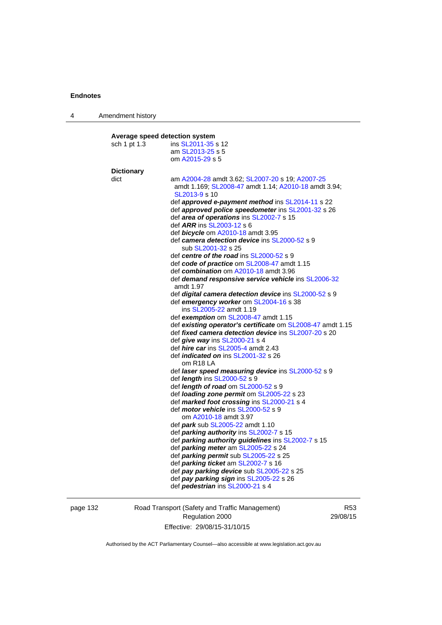| 4 | Amendment history |                                                                       |
|---|-------------------|-----------------------------------------------------------------------|
|   |                   |                                                                       |
|   |                   | Average speed detection system                                        |
|   | sch 1 pt 1.3      | ins SL2011-35 s 12                                                    |
|   |                   | am SL2013-25 s 5                                                      |
|   |                   | om A2015-29 s 5                                                       |
|   | <b>Dictionary</b> |                                                                       |
|   | dict              | am A2004-28 amdt 3.62; SL2007-20 s 19; A2007-25                       |
|   |                   | amdt 1.169; SL2008-47 amdt 1.14; A2010-18 amdt 3.94;<br>SL2013-9 s 10 |
|   |                   | def approved e-payment method ins SL2014-11 s 22                      |
|   |                   | def approved police speedometer ins SL2001-32 s 26                    |
|   |                   | def area of operations ins SL2002-7 s 15                              |
|   |                   | def <i>ARR</i> ins SL2003-12 s 6                                      |
|   |                   | def <b>bicycle</b> om A2010-18 amdt 3.95                              |
|   |                   | def camera detection device ins SL2000-52 s 9                         |
|   |                   | sub SL2001-32 s 25                                                    |
|   |                   | def centre of the road ins SL2000-52 s 9                              |
|   |                   | def code of practice om SL2008-47 amdt 1.15                           |
|   |                   | def combination om A2010-18 amdt 3.96                                 |
|   |                   | def demand responsive service vehicle ins SL2006-32<br>amdt 1.97      |
|   |                   | def digital camera detection device ins SL2000-52 s 9                 |
|   |                   | def emergency worker om SL2004-16 s 38<br>ins SL2005-22 amdt 1.19     |
|   |                   | def exemption om SL2008-47 amdt 1.15                                  |
|   |                   | def existing operator's certificate om SL2008-47 amdt 1.15            |
|   |                   | def <i>fixed camera detection device</i> ins SL2007-20 s 20           |
|   |                   | def give way ins SL2000-21 s 4                                        |
|   |                   | def <i>hire car</i> ins SL2005-4 amdt 2.43                            |
|   |                   | def <i>indicated on</i> ins SL2001-32 s 26<br>om R <sub>18</sub> LA   |
|   |                   | def laser speed measuring device ins SL2000-52 s 9                    |
|   |                   | def <i>length</i> ins SL2000-52 s 9                                   |
|   |                   | def length of road om SL2000-52 s 9                                   |
|   |                   | def <i>loading zone permit</i> om SL2005-22 s 23                      |
|   |                   | def marked foot crossing ins SL2000-21 s 4                            |
|   |                   | def <i>motor vehicle</i> ins SL2000-52 s 9                            |
|   |                   | om A2010-18 amdt 3.97                                                 |
|   |                   | def park sub SL2005-22 amdt 1.10                                      |
|   |                   | def parking authority ins SL2002-7 s 15                               |
|   |                   | def parking authority guidelines ins SL2002-7 s 15                    |
|   |                   | def parking meter am SL2005-22 s 24                                   |
|   |                   | def parking permit sub SL2005-22 s 25                                 |
|   |                   | def parking ticket am SL2002-7 s 16                                   |
|   |                   | def pay parking device sub SL2005-22 s 25                             |
|   |                   | def pay parking sign ins SL2005-22 s 26                               |
|   |                   | def pedestrian ins SL2000-21 s 4                                      |
|   |                   |                                                                       |

page 132 Road Transport (Safety and Traffic Management) Regulation 2000 Effective: 29/08/15-31/10/15

R53 29/08/15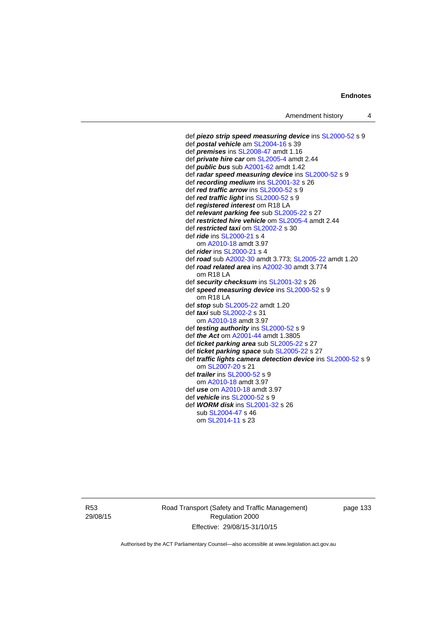```
 def piezo strip speed measuring device ins SL2000-52 s 9 
def postal vehicle am SL2004-16 s 39 
def premises ins SL2008-47 amdt 1.16 
def private hire car om SL2005-4 amdt 2.44 
def public bus sub A2001-62 amdt 1.42
def radar speed measuring device ins SL2000-52 s 9 
def recording medium ins SL2001-32 s 26 
def red traffic arrow ins SL2000-52 s 9 
def red traffic light ins SL2000-52 s 9 
def registered interest om R18 LA 
def relevant parking fee sub SL2005-22 s 27 
def restricted hire vehicle om SL2005-4 amdt 2.44 
def restricted taxi om SL2002-2 s 30 
def ride ins SL2000-21 s 4 
   om A2010-18 amdt 3.97
def rider ins SL2000-21 s 4 
def road sub A2002-30 amdt 3.773; SL2005-22 amdt 1.20 
def road related area ins A2002-30 amdt 3.774 
  om R18 LA 
def security checksum ins SL2001-32 s 26 
def speed measuring device ins SL2000-52 s 9 
  om R18 LA 
def stop sub SL2005-22 amdt 1.20 
def taxi sub SL2002-2 s 31 
   om A2010-18 amdt 3.97
def testing authority ins SL2000-52 s 9 
def the Act om A2001-44 amdt 1.3805 
def ticket parking area sub SL2005-22 s 27 
def ticket parking space sub SL2005-22 s 27 
def traffic lights camera detection device ins SL2000-52 s 9 
   om SL2007-20 s 21 
def trailer ins SL2000-52 s 9 
   om A2010-18 amdt 3.97
def use om A2010-18 amdt 3.97 
def vehicle ins SL2000-52 s 9 
def WORM disk ins SL2001-32 s 26 
   sub SL2004-47 s 46 
   om SL2014-11 s 23
```
R53 29/08/15 Road Transport (Safety and Traffic Management) Regulation 2000 Effective: 29/08/15-31/10/15

page 133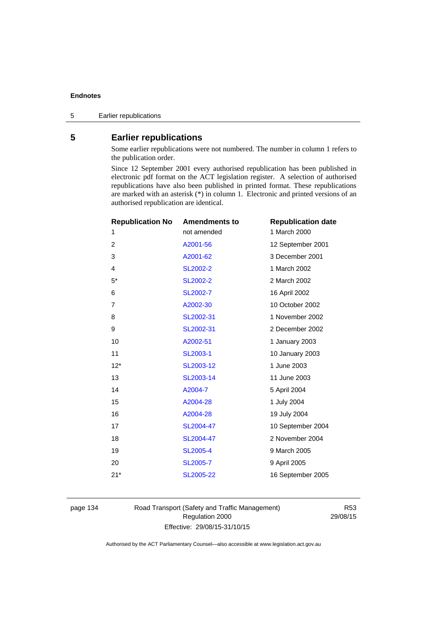# **5 Earlier republications**

Some earlier republications were not numbered. The number in column 1 refers to the publication order.

Since 12 September 2001 every authorised republication has been published in electronic pdf format on the ACT legislation register. A selection of authorised republications have also been published in printed format. These republications are marked with an asterisk (\*) in column 1. Electronic and printed versions of an authorised republication are identical.

| <b>Republication No</b> | <b>Amendments to</b> | <b>Republication date</b> |
|-------------------------|----------------------|---------------------------|
| 1                       | not amended          | 1 March 2000              |
| 2                       | A2001-56             | 12 September 2001         |
| 3                       | A2001-62             | 3 December 2001           |
| 4                       | SL2002-2             | 1 March 2002              |
| $5^*$                   | <b>SL2002-2</b>      | 2 March 2002              |
| 6                       | SL2002-7             | 16 April 2002             |
| 7                       | A2002-30             | 10 October 2002           |
| 8                       | SL2002-31            | 1 November 2002           |
| 9                       | SL2002-31            | 2 December 2002           |
| 10                      | A2002-51             | 1 January 2003            |
| 11                      | SL2003-1             | 10 January 2003           |
| $12*$                   | SL2003-12            | 1 June 2003               |
| 13                      | SL2003-14            | 11 June 2003              |
| 14                      | A2004-7              | 5 April 2004              |
| 15                      | A2004-28             | 1 July 2004               |
| 16                      | A2004-28             | 19 July 2004              |
| 17                      | SL2004-47            | 10 September 2004         |
| 18                      | SL2004-47            | 2 November 2004           |
| 19                      | <b>SL2005-4</b>      | 9 March 2005              |
| 20                      | SL2005-7             | 9 April 2005              |
| $21*$                   | SL2005-22            | 16 September 2005         |
|                         |                      |                           |

page 134 Road Transport (Safety and Traffic Management) Regulation 2000 Effective: 29/08/15-31/10/15

R53 29/08/15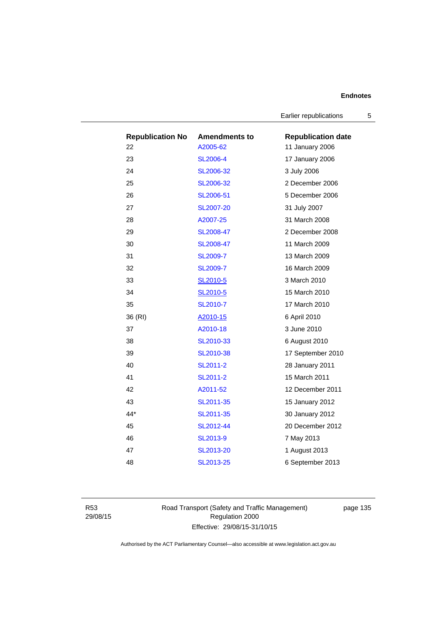Earlier republications 5

| <b>Republication No</b> | <b>Amendments to</b> | <b>Republication date</b> |
|-------------------------|----------------------|---------------------------|
| 22                      | A2005-62             | 11 January 2006           |
| 23                      | <b>SL2006-4</b>      | 17 January 2006           |
| 24                      | SL2006-32            | 3 July 2006               |
| 25                      | SL2006-32            | 2 December 2006           |
| 26                      | SL2006-51            | 5 December 2006           |
| 27                      | <b>SL2007-20</b>     | 31 July 2007              |
| 28                      | A2007-25             | 31 March 2008             |
| 29                      | SL2008-47            | 2 December 2008           |
| 30                      | SL2008-47            | 11 March 2009             |
| 31                      | <b>SL2009-7</b>      | 13 March 2009             |
| 32                      | <b>SL2009-7</b>      | 16 March 2009             |
| 33                      | SL2010-5             | 3 March 2010              |
| 34                      | SL2010-5             | 15 March 2010             |
| 35                      | SL2010-7             | 17 March 2010             |
| 36 (RI)                 | A2010-15             | 6 April 2010              |
| 37                      | A2010-18             | 3 June 2010               |
| 38                      | SL2010-33            | 6 August 2010             |
| 39                      | SL2010-38            | 17 September 2010         |
| 40                      | SL2011-2             | 28 January 2011           |
| 41                      | SL2011-2             | 15 March 2011             |
| 42                      | A2011-52             | 12 December 2011          |
| 43                      | SL2011-35            | 15 January 2012           |
| 44*                     | SL2011-35            | 30 January 2012           |
| 45                      | SL2012-44            | 20 December 2012          |
| 46                      | SL2013-9             | 7 May 2013                |
| 47                      | SL2013-20            | 1 August 2013             |
| 48                      | SL2013-25            | 6 September 2013          |

R53 29/08/15 Road Transport (Safety and Traffic Management) Regulation 2000 Effective: 29/08/15-31/10/15

page 135